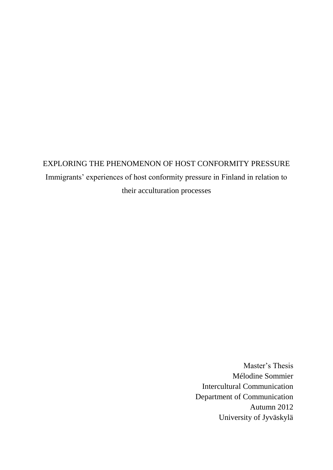# EXPLORING THE PHENOMENON OF HOST CONFORMITY PRESSURE Immigrants' experiences of host conformity pressure in Finland in relation to their acculturation processes

Master's Thesis Mélodine Sommier Intercultural Communication Department of Communication Autumn 2012 University of Jyväskylä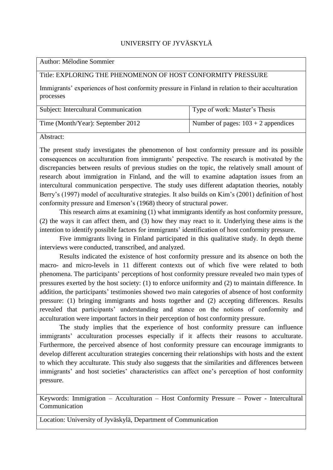### UNIVERSITY OF JYVÄSKYLÄ

Author: Mélodine Sommier

#### Title: EXPLORING THE PHENOMENON OF HOST CONFORMITY PRESSURE

Immigrants' experiences of host conformity pressure in Finland in relation to their acculturation processes

| Subject: Intercultural Communication | Type of work: Master's Thesis         |
|--------------------------------------|---------------------------------------|
| Time (Month/Year): September 2012    | Number of pages: $103 + 2$ appendices |

Abstract:

The present study investigates the phenomenon of host conformity pressure and its possible consequences on acculturation from immigrants' perspective. The research is motivated by the discrepancies between results of previous studies on the topic, the relatively small amount of research about immigration in Finland, and the will to examine adaptation issues from an intercultural communication perspective. The study uses different adaptation theories, notably Berry's (1997) model of acculturative strategies. It also builds on Kim's (2001) definition of host conformity pressure and Emerson's (1968) theory of structural power.

This research aims at examining (1) what immigrants identify as host conformity pressure, (2) the ways it can affect them, and (3) how they may react to it. Underlying these aims is the intention to identify possible factors for immigrants' identification of host conformity pressure.

Five immigrants living in Finland participated in this qualitative study. In depth theme interviews were conducted, transcribed, and analyzed.

Results indicated the existence of host conformity pressure and its absence on both the macro- and micro-levels in 11 different contexts out of which five were related to both phenomena. The participants' perceptions of host conformity pressure revealed two main types of pressures exerted by the host society: (1) to enforce uniformity and (2) to maintain difference. In addition, the participants' testimonies showed two main categories of absence of host conformity pressure: (1) bringing immigrants and hosts together and (2) accepting differences. Results revealed that participants' understanding and stance on the notions of conformity and acculturation were important factors in their perception of host conformity pressure.

The study implies that the experience of host conformity pressure can influence immigrants' acculturation processes especially if it affects their reasons to acculturate. Furthermore, the perceived absence of host conformity pressure can encourage immigrants to develop different acculturation strategies concerning their relationships with hosts and the extent to which they acculturate. This study also suggests that the similarities and differences between immigrants' and host societies' characteristics can affect one's perception of host conformity pressure.

Keywords: Immigration – Acculturation – Host Conformity Pressure – Power - Intercultural Communication

Location: University of Jyväskylä, Department of Communication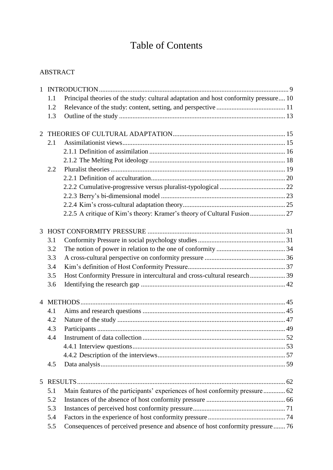# Table of Contents

## ABSTRACT

| $\mathbf{1}$   |     |                                                                                      |  |
|----------------|-----|--------------------------------------------------------------------------------------|--|
|                | 1.1 | Principal theories of the study: cultural adaptation and host conformity pressure 10 |  |
|                | 1.2 |                                                                                      |  |
|                | 1.3 |                                                                                      |  |
| $\overline{2}$ |     |                                                                                      |  |
|                | 2.1 |                                                                                      |  |
|                |     |                                                                                      |  |
|                |     |                                                                                      |  |
|                | 2.2 |                                                                                      |  |
|                |     |                                                                                      |  |
|                |     |                                                                                      |  |
|                |     |                                                                                      |  |
|                |     |                                                                                      |  |
|                |     | 2.2.5 A critique of Kim's theory: Kramer's theory of Cultural Fusion 27              |  |
|                |     |                                                                                      |  |
| 3              |     |                                                                                      |  |
|                | 3.1 |                                                                                      |  |
|                | 3.2 |                                                                                      |  |
|                | 3.3 |                                                                                      |  |
|                | 3.4 |                                                                                      |  |
|                | 3.5 | Host Conformity Pressure in intercultural and cross-cultural research 39             |  |
|                | 3.6 |                                                                                      |  |
|                |     |                                                                                      |  |
|                | 4.1 |                                                                                      |  |
|                | 4.2 |                                                                                      |  |
|                | 4.3 |                                                                                      |  |
|                | 4.4 |                                                                                      |  |
|                |     |                                                                                      |  |
|                |     |                                                                                      |  |
|                | 4.5 |                                                                                      |  |
|                |     |                                                                                      |  |
| 5              |     |                                                                                      |  |
|                | 5.1 | Main features of the participants' experiences of host conformity pressure 62        |  |
|                | 5.2 |                                                                                      |  |
|                | 5.3 |                                                                                      |  |
|                | 5.4 |                                                                                      |  |
|                | 5.5 | Consequences of perceived presence and absence of host conformity pressure  76       |  |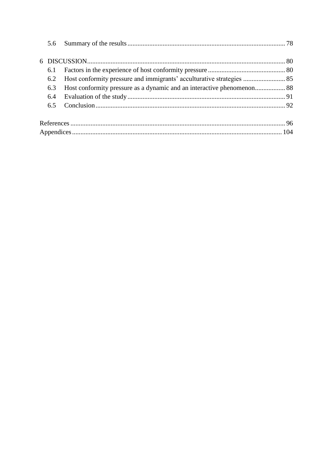| 6.1 |  |
|-----|--|
|     |  |
| 6.3 |  |
| 6.4 |  |
|     |  |
|     |  |
|     |  |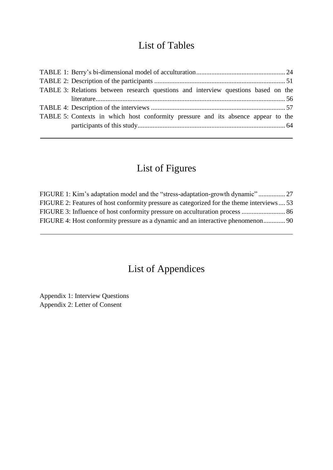## List of Tables

| TABLE 3: Relations between research questions and interview questions based on the |  |
|------------------------------------------------------------------------------------|--|
|                                                                                    |  |
|                                                                                    |  |
| TABLE 5: Contexts in which host conformity pressure and its absence appear to the  |  |
|                                                                                    |  |
|                                                                                    |  |

# List of Figures

| FIGURE 1: Kim's adaptation model and the "stress-adaptation-growth dynamic"              |  |
|------------------------------------------------------------------------------------------|--|
| FIGURE 2: Features of host conformity pressure as categorized for the theme interviews53 |  |
|                                                                                          |  |
|                                                                                          |  |

# List of Appendices

Appendix 1: Interview Questions Appendix 2: Letter of Consent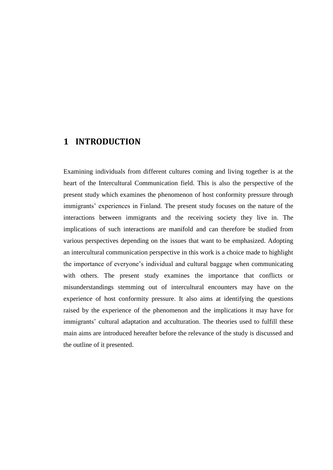## <span id="page-8-0"></span>**1 INTRODUCTION**

Examining individuals from different cultures coming and living together is at the heart of the Intercultural Communication field. This is also the perspective of the present study which examines the phenomenon of host conformity pressure through immigrants' experiences in Finland. The present study focuses on the nature of the interactions between immigrants and the receiving society they live in. The implications of such interactions are manifold and can therefore be studied from various perspectives depending on the issues that want to be emphasized. Adopting an intercultural communication perspective in this work is a choice made to highlight the importance of everyone's individual and cultural baggage when communicating with others. The present study examines the importance that conflicts or misunderstandings stemming out of intercultural encounters may have on the experience of host conformity pressure. It also aims at identifying the questions raised by the experience of the phenomenon and the implications it may have for immigrants' cultural adaptation and acculturation. The theories used to fulfill these main aims are introduced hereafter before the relevance of the study is discussed and the outline of it presented.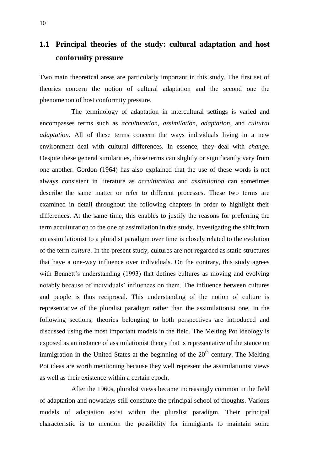## <span id="page-9-0"></span>**1.1 Principal theories of the study: cultural adaptation and host conformity pressure**

Two main theoretical areas are particularly important in this study. The first set of theories concern the notion of cultural adaptation and the second one the phenomenon of host conformity pressure.

The terminology of adaptation in intercultural settings is varied and encompasses terms such as *acculturation*, *assimilation*, *adaptation*, and *cultural adaptation*. All of these terms concern the ways individuals living in a new environment deal with cultural differences. In essence, they deal with *change*. Despite these general similarities, these terms can slightly or significantly vary from one another. Gordon (1964) has also explained that the use of these words is not always consistent in literature as *acculturation* and *assimilation* can sometimes describe the same matter or refer to different processes. These two terms are examined in detail throughout the following chapters in order to highlight their differences. At the same time, this enables to justify the reasons for preferring the term acculturation to the one of assimilation in this study. Investigating the shift from an assimilationist to a pluralist paradigm over time is closely related to the evolution of the term *culture*. In the present study, cultures are not regarded as static structures that have a one-way influence over individuals. On the contrary, this study agrees with Bennett's understanding (1993) that defines cultures as moving and evolving notably because of individuals' influences on them. The influence between cultures and people is thus reciprocal. This understanding of the notion of culture is representative of the pluralist paradigm rather than the assimilationist one. In the following sections, theories belonging to both perspectives are introduced and discussed using the most important models in the field. The Melting Pot ideology is exposed as an instance of assimilationist theory that is representative of the stance on immigration in the United States at the beginning of the  $20<sup>th</sup>$  century. The Melting Pot ideas are worth mentioning because they well represent the assimilationist views as well as their existence within a certain epoch.

After the 1960s, pluralist views became increasingly common in the field of adaptation and nowadays still constitute the principal school of thoughts. Various models of adaptation exist within the pluralist paradigm. Their principal characteristic is to mention the possibility for immigrants to maintain some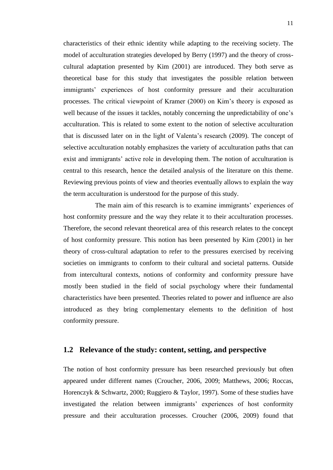characteristics of their ethnic identity while adapting to the receiving society. The model of acculturation strategies developed by Berry (1997) and the theory of crosscultural adaptation presented by Kim (2001) are introduced. They both serve as theoretical base for this study that investigates the possible relation between immigrants' experiences of host conformity pressure and their acculturation processes. The critical viewpoint of Kramer (2000) on Kim's theory is exposed as well because of the issues it tackles, notably concerning the unpredictability of one's acculturation. This is related to some extent to the notion of selective acculturation that is discussed later on in the light of Valenta's research (2009). The concept of selective acculturation notably emphasizes the variety of acculturation paths that can exist and immigrants' active role in developing them. The notion of acculturation is central to this research, hence the detailed analysis of the literature on this theme. Reviewing previous points of view and theories eventually allows to explain the way the term acculturation is understood for the purpose of this study.

The main aim of this research is to examine immigrants' experiences of host conformity pressure and the way they relate it to their acculturation processes. Therefore, the second relevant theoretical area of this research relates to the concept of host conformity pressure. This notion has been presented by Kim (2001) in her theory of cross-cultural adaptation to refer to the pressures exercised by receiving societies on immigrants to conform to their cultural and societal patterns. Outside from intercultural contexts, notions of conformity and conformity pressure have mostly been studied in the field of social psychology where their fundamental characteristics have been presented. Theories related to power and influence are also introduced as they bring complementary elements to the definition of host conformity pressure.

#### <span id="page-10-0"></span>**1.2 Relevance of the study: content, setting, and perspective**

The notion of host conformity pressure has been researched previously but often appeared under different names (Croucher, 2006, 2009; Matthews, 2006; Roccas, Horenczyk & Schwartz, 2000; Ruggiero & Taylor, 1997). Some of these studies have investigated the relation between immigrants' experiences of host conformity pressure and their acculturation processes. Croucher (2006, 2009) found that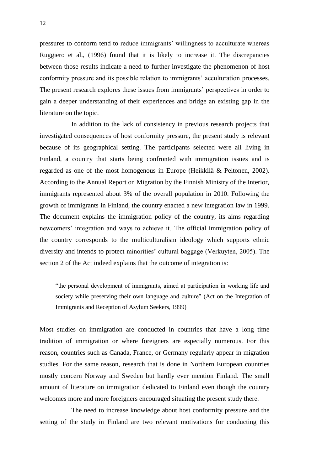pressures to conform tend to reduce immigrants' willingness to acculturate whereas Ruggiero et al., (1996) found that it is likely to increase it. The discrepancies between those results indicate a need to further investigate the phenomenon of host conformity pressure and its possible relation to immigrants' acculturation processes. The present research explores these issues from immigrants' perspectives in order to gain a deeper understanding of their experiences and bridge an existing gap in the literature on the topic.

In addition to the lack of consistency in previous research projects that investigated consequences of host conformity pressure, the present study is relevant because of its geographical setting. The participants selected were all living in Finland, a country that starts being confronted with immigration issues and is regarded as one of the most homogenous in Europe (Heikkilä & Peltonen, 2002). According to the Annual Report on Migration by the Finnish Ministry of the Interior, immigrants represented about 3% of the overall population in 2010. Following the growth of immigrants in Finland, the country enacted a new integration law in 1999. The document explains the immigration policy of the country, its aims regarding newcomers' integration and ways to achieve it. The official immigration policy of the country corresponds to the multiculturalism ideology which supports ethnic diversity and intends to protect minorities' cultural baggage (Verkuyten, 2005). The section 2 of the Act indeed explains that the outcome of integration is:

"the personal development of immigrants, aimed at participation in working life and society while preserving their own language and culture" (Act on the Integration of Immigrants and Reception of Asylum Seekers, 1999)

Most studies on immigration are conducted in countries that have a long time tradition of immigration or where foreigners are especially numerous. For this reason, countries such as Canada, France, or Germany regularly appear in migration studies. For the same reason, research that is done in Northern European countries mostly concern Norway and Sweden but hardly ever mention Finland. The small amount of literature on immigration dedicated to Finland even though the country welcomes more and more foreigners encouraged situating the present study there.

The need to increase knowledge about host conformity pressure and the setting of the study in Finland are two relevant motivations for conducting this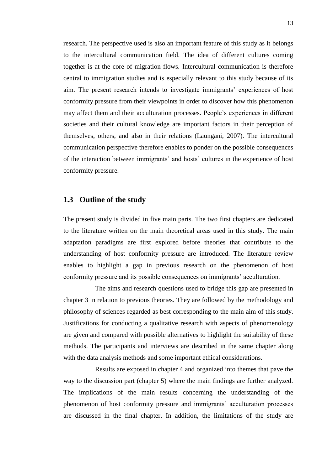research. The perspective used is also an important feature of this study as it belongs to the intercultural communication field. The idea of different cultures coming together is at the core of migration flows. Intercultural communication is therefore central to immigration studies and is especially relevant to this study because of its aim. The present research intends to investigate immigrants' experiences of host conformity pressure from their viewpoints in order to discover how this phenomenon may affect them and their acculturation processes. People's experiences in different societies and their cultural knowledge are important factors in their perception of themselves, others, and also in their relations (Laungani, 2007). The intercultural communication perspective therefore enables to ponder on the possible consequences of the interaction between immigrants' and hosts' cultures in the experience of host conformity pressure.

#### <span id="page-12-0"></span>**1.3 Outline of the study**

The present study is divided in five main parts. The two first chapters are dedicated to the literature written on the main theoretical areas used in this study. The main adaptation paradigms are first explored before theories that contribute to the understanding of host conformity pressure are introduced. The literature review enables to highlight a gap in previous research on the phenomenon of host conformity pressure and its possible consequences on immigrants' acculturation.

The aims and research questions used to bridge this gap are presented in chapter 3 in relation to previous theories. They are followed by the methodology and philosophy of sciences regarded as best corresponding to the main aim of this study. Justifications for conducting a qualitative research with aspects of phenomenology are given and compared with possible alternatives to highlight the suitability of these methods. The participants and interviews are described in the same chapter along with the data analysis methods and some important ethical considerations.

Results are exposed in chapter 4 and organized into themes that pave the way to the discussion part (chapter 5) where the main findings are further analyzed. The implications of the main results concerning the understanding of the phenomenon of host conformity pressure and immigrants' acculturation processes are discussed in the final chapter. In addition, the limitations of the study are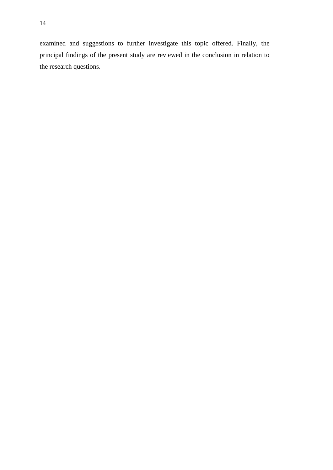examined and suggestions to further investigate this topic offered. Finally, the principal findings of the present study are reviewed in the conclusion in relation to the research questions.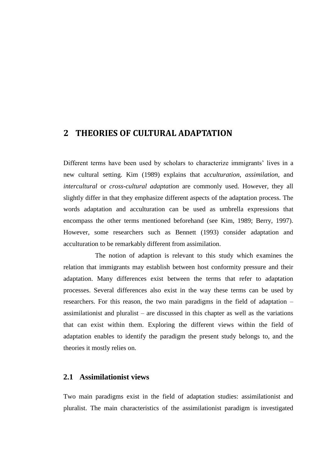## <span id="page-14-0"></span>**2 THEORIES OF CULTURAL ADAPTATION**

Different terms have been used by scholars to characterize immigrants' lives in a new cultural setting. Kim (1989) explains that a*cculturation*, *assimilation*, and *intercultural* or *cross-cultural adaptation* are commonly used. However, they all slightly differ in that they emphasize different aspects of the adaptation process. The words adaptation and acculturation can be used as umbrella expressions that encompass the other terms mentioned beforehand (see Kim, 1989; Berry, 1997). However, some researchers such as Bennett (1993) consider adaptation and acculturation to be remarkably different from assimilation.

The notion of adaption is relevant to this study which examines the relation that immigrants may establish between host conformity pressure and their adaptation. Many differences exist between the terms that refer to adaptation processes. Several differences also exist in the way these terms can be used by researchers. For this reason, the two main paradigms in the field of adaptation – assimilationist and pluralist – are discussed in this chapter as well as the variations that can exist within them. Exploring the different views within the field of adaptation enables to identify the paradigm the present study belongs to, and the theories it mostly relies on.

#### <span id="page-14-1"></span>**2.1 Assimilationist views**

Two main paradigms exist in the field of adaptation studies: assimilationist and pluralist. The main characteristics of the assimilationist paradigm is investigated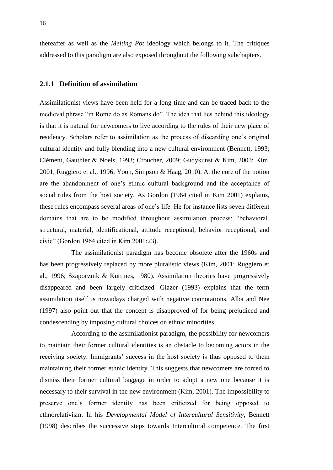thereafter as well as the *Melting Pot* ideology which belongs to it. The critiques addressed to this paradigm are also exposed throughout the following subchapters.

#### <span id="page-15-0"></span>**2.1.1 Definition of assimilation**

Assimilationist views have been held for a long time and can be traced back to the medieval phrase "in Rome do as Romans do". The idea that lies behind this ideology is that it is natural for newcomers to live according to the rules of their new place of residency. Scholars refer to assimilation as the process of discarding one's original cultural identity and fully blending into a new cultural environment (Bennett, 1993; Clément, Gauthier & Noels, 1993; Croucher, 2009; Gudykunst & Kim, 2003; Kim, 2001; Ruggiero et al., 1996; Yoon, Simpson & Haag, 2010). At the core of the notion are the abandonment of one's ethnic cultural background and the acceptance of social rules from the host society. As Gordon (1964 cited in Kim 2001) explains, these rules encompass several areas of one's life. He for instance lists seven different domains that are to be modified throughout assimilation process: "behavioral, structural, material, identificational, attitude receptional, behavior receptional, and civic" (Gordon 1964 cited in Kim 2001:23).

The assimilationist paradigm has become obsolete after the 1960s and has been progressively replaced by more pluralistic views (Kim, 2001; Ruggiero et al., 1996; Szapocznik & Kurtines, 1980). Assimilation theories have progressively disappeared and been largely criticized. Glazer (1993) explains that the term assimilation itself is nowadays charged with negative connotations. Alba and Nee (1997) also point out that the concept is disapproved of for being prejudiced and condescending by imposing cultural choices on ethnic minorities.

According to the assimilationist paradigm, the possibility for newcomers to maintain their former cultural identities is an obstacle to becoming actors in the receiving society. Immigrants' success in the host society is thus opposed to them maintaining their former ethnic identity. This suggests that newcomers are forced to dismiss their former cultural baggage in order to adopt a new one because it is necessary to their survival in the new environment (Kim, 2001). The impossibility to preserve one's former identity has been criticized for being opposed to ethnorelativism. In his *Developmental Model of Intercultural Sensitivity*, Bennett (1998) describes the successive steps towards Intercultural competence. The first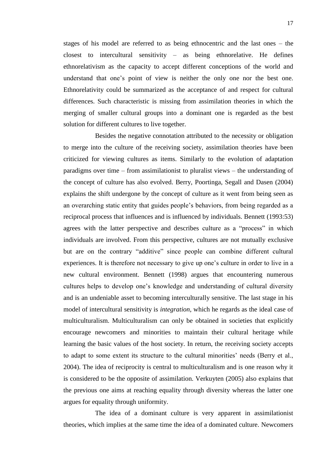stages of his model are referred to as being ethnocentric and the last ones – the closest to intercultural sensitivity – as being ethnorelative. He defines ethnorelativism as the capacity to accept different conceptions of the world and understand that one's point of view is neither the only one nor the best one. Ethnorelativity could be summarized as the acceptance of and respect for cultural differences. Such characteristic is missing from assimilation theories in which the merging of smaller cultural groups into a dominant one is regarded as the best solution for different cultures to live together.

Besides the negative connotation attributed to the necessity or obligation to merge into the culture of the receiving society, assimilation theories have been criticized for viewing cultures as items. Similarly to the evolution of adaptation paradigms over time – from assimilationist to pluralist views – the understanding of the concept of culture has also evolved. Berry, Poortinga, Segall and Dasen (2004) explains the shift undergone by the concept of culture as it went from being seen as an overarching static entity that guides people's behaviors, from being regarded as a reciprocal process that influences and is influenced by individuals. Bennett (1993:53) agrees with the latter perspective and describes culture as a "process" in which individuals are involved. From this perspective, cultures are not mutually exclusive but are on the contrary "additive" since people can combine different cultural experiences. It is therefore not necessary to give up one's culture in order to live in a new cultural environment. Bennett (1998) argues that encountering numerous cultures helps to develop one's knowledge and understanding of cultural diversity and is an undeniable asset to becoming interculturally sensitive. The last stage in his model of intercultural sensitivity is *integration*, which he regards as the ideal case of multiculturalism. Multiculturalism can only be obtained in societies that explicitly encourage newcomers and minorities to maintain their cultural heritage while learning the basic values of the host society. In return, the receiving society accepts to adapt to some extent its structure to the cultural minorities' needs (Berry et al., 2004). The idea of reciprocity is central to multiculturalism and is one reason why it is considered to be the opposite of assimilation. Verkuyten (2005) also explains that the previous one aims at reaching equality through diversity whereas the latter one argues for equality through uniformity.

The idea of a dominant culture is very apparent in assimilationist theories, which implies at the same time the idea of a dominated culture. Newcomers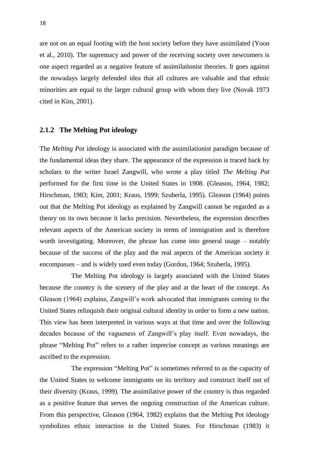are not on an equal footing with the host society before they have assimilated (Yoon et al., 2010). The supremacy and power of the receiving society over newcomers is one aspect regarded as a negative feature of assimilationist theories. It goes against the nowadays largely defended idea that all cultures are valuable and that ethnic minorities are equal to the larger cultural group with whom they live (Novak 1973 cited in Kim, 2001).

#### <span id="page-17-0"></span>**2.1.2 The Melting Pot ideology**

The *Melting Pot* ideology is associated with the assimilationist paradigm because of the fundamental ideas they share. The appearance of the expression is traced back by scholars to the writer Israel Zangwill, who wrote a play titled *The Melting Pot* performed for the first time in the United States in 1908. (Gleason, 1964, 1982; Hirschman, 1983; Kim, 2001; Kraus, 1999; Szuberla, 1995). Gleason (1964) points out that the Melting Pot ideology as explained by Zangwill cannot be regarded as a theory on its own because it lacks precision. Nevertheless, the expression describes relevant aspects of the American society in terms of immigration and is therefore worth investigating. Moreover, the phrase has come into general usage – notably because of the success of the play and the real aspects of the American society it encompasses – and is widely used even today (Gordon, 1964; Szuberla, 1995).

The Melting Pot ideology is largely associated with the United States because the country is the scenery of the play and at the heart of the concept. As Gleason (1964) explains, Zangwill's work advocated that immigrants coming to the United States relinquish their original cultural identity in order to form a new nation. This view has been interpreted in various ways at that time and over the following decades because of the vagueness of Zangwill's play itself. Even nowadays, the phrase "Melting Pot" refers to a rather imprecise concept as various meanings are ascribed to the expression.

The expression "Melting Pot" is sometimes referred to as the capacity of the United States to welcome immigrants on its territory and construct itself out of their diversity (Kraus, 1999). The assimilative power of the country is thus regarded as a positive feature that serves the ongoing construction of the American culture. From this perspective, Gleason (1964, 1982) explains that the Melting Pot ideology symbolizes ethnic interaction in the United States. For Hirschman (1983) it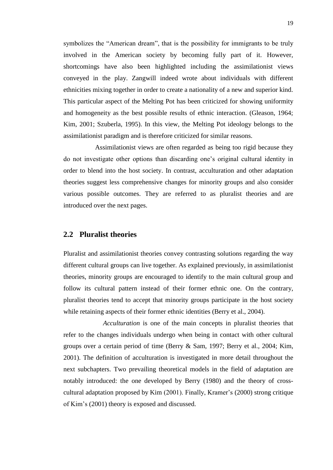symbolizes the "American dream", that is the possibility for immigrants to be truly involved in the American society by becoming fully part of it. However, shortcomings have also been highlighted including the assimilationist views conveyed in the play. Zangwill indeed wrote about individuals with different ethnicities mixing together in order to create a nationality of a new and superior kind. This particular aspect of the Melting Pot has been criticized for showing uniformity and homogeneity as the best possible results of ethnic interaction. (Gleason, 1964; Kim, 2001; Szuberla, 1995). In this view, the Melting Pot ideology belongs to the assimilationist paradigm and is therefore criticized for similar reasons.

Assimilationist views are often regarded as being too rigid because they do not investigate other options than discarding one's original cultural identity in order to blend into the host society. In contrast, acculturation and other adaptation theories suggest less comprehensive changes for minority groups and also consider various possible outcomes. They are referred to as pluralist theories and are introduced over the next pages.

#### <span id="page-18-0"></span>**2.2 Pluralist theories**

Pluralist and assimilationist theories convey contrasting solutions regarding the way different cultural groups can live together. As explained previously, in assimilationist theories, minority groups are encouraged to identify to the main cultural group and follow its cultural pattern instead of their former ethnic one. On the contrary, pluralist theories tend to accept that minority groups participate in the host society while retaining aspects of their former ethnic identities (Berry et al., 2004).

*Acculturation* is one of the main concepts in pluralist theories that refer to the changes individuals undergo when being in contact with other cultural groups over a certain period of time (Berry & Sam, 1997; Berry et al., 2004; Kim, 2001). The definition of acculturation is investigated in more detail throughout the next subchapters. Two prevailing theoretical models in the field of adaptation are notably introduced: the one developed by Berry (1980) and the theory of crosscultural adaptation proposed by Kim (2001). Finally, Kramer's (2000) strong critique of Kim's (2001) theory is exposed and discussed.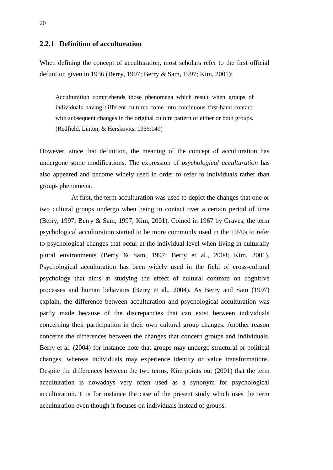#### <span id="page-19-0"></span>**2.2.1 Definition of acculturation**

When defining the concept of acculturation, most scholars refer to the first official definition given in 1936 (Berry, 1997; Berry & Sam, 1997; Kim, 2001):

Acculturation comprehends those phenomena which result when groups of individuals having different cultures come into continuous first-hand contact, with subsequent changes in the original culture pattern of either or both groups. (Redfield, Linton, & Herskovits, 1936:149)

However, since that definition, the meaning of the concept of acculturation has undergone some modifications. The expression of *psychological acculturation* has also appeared and become widely used in order to refer to individuals rather than groups phenomena.

At first, the term acculturation was used to depict the changes that one or two cultural groups undergo when being in contact over a certain period of time (Berry, 1997; Berry & Sam, 1997; Kim, 2001). Coined in 1967 by Graves, the term psychological acculturation started to be more commonly used in the 1970s to refer to psychological changes that occur at the individual level when living in culturally plural environments (Berry & Sam, 1997; Berry et al., 2004; Kim, 2001). Psychological acculturation has been widely used in the field of cross-cultural psychology that aims at studying the effect of cultural contexts on cognitive processes and human behaviors (Berry et al., 2004). As Berry and Sam (1997) explain, the difference between acculturation and psychological acculturation was partly made because of the discrepancies that can exist between individuals concerning their participation in their own cultural group changes. Another reason concerns the differences between the changes that concern groups and individuals. Berry et al. (2004) for instance note that groups may undergo structural or political changes, whereas individuals may experience identity or value transformations. Despite the differences between the two terms, Kim points out (2001) that the term acculturation is nowadays very often used as a synonym for psychological acculturation. It is for instance the case of the present study which uses the term acculturation even though it focuses on individuals instead of groups.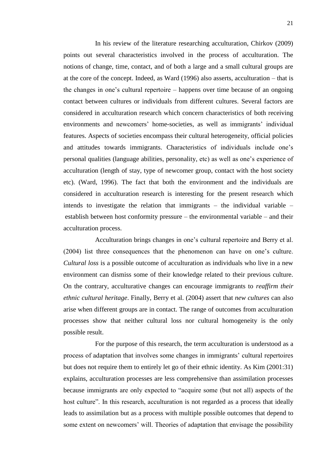In his review of the literature researching acculturation, Chirkov (2009) points out several characteristics involved in the process of acculturation. The notions of change, time, contact, and of both a large and a small cultural groups are at the core of the concept. Indeed, as Ward (1996) also asserts, acculturation – that is the changes in one's cultural repertoire – happens over time because of an ongoing contact between cultures or individuals from different cultures. Several factors are considered in acculturation research which concern characteristics of both receiving environments and newcomers' home-societies, as well as immigrants' individual features. Aspects of societies encompass their cultural heterogeneity, official policies and attitudes towards immigrants. Characteristics of individuals include one's personal qualities (language abilities, personality, etc) as well as one's experience of acculturation (length of stay, type of newcomer group, contact with the host society etc). (Ward, 1996). The fact that both the environment and the individuals are considered in acculturation research is interesting for the present research which intends to investigate the relation that immigrants – the individual variable – establish between host conformity pressure – the environmental variable – and their acculturation process.

Acculturation brings changes in one's cultural repertoire and Berry et al. (2004) list three consequences that the phenomenon can have on one's culture. *Cultural loss* is a possible outcome of acculturation as individuals who live in a new environment can dismiss some of their knowledge related to their previous culture. On the contrary, acculturative changes can encourage immigrants to *reaffirm their ethnic cultural heritage*. Finally, Berry et al. (2004) assert that *new cultures* can also arise when different groups are in contact. The range of outcomes from acculturation processes show that neither cultural loss nor cultural homogeneity is the only possible result.

For the purpose of this research, the term acculturation is understood as a process of adaptation that involves some changes in immigrants' cultural repertoires but does not require them to entirely let go of their ethnic identity. As Kim (2001:31) explains, acculturation processes are less comprehensive than assimilation processes because immigrants are only expected to "acquire some (but not all) aspects of the host culture". In this research, acculturation is not regarded as a process that ideally leads to assimilation but as a process with multiple possible outcomes that depend to some extent on newcomers' will. Theories of adaptation that envisage the possibility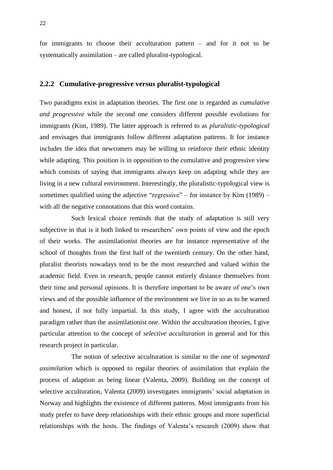for immigrants to choose their acculturation pattern – and for it not to be systematically assimilation – are called pluralist-typological.

#### <span id="page-21-0"></span>**2.2.2 Cumulative-progressive versus pluralist-typological**

Two paradigms exist in adaptation theories. The first one is regarded as *cumulative and progressive* while the second one considers different possible evolutions for immigrants (Kim, 1989). The latter approach is referred to as *pluralistic-typological* and envisages that immigrants follow different adaptation patterns. It for instance includes the idea that newcomers may be willing to reinforce their ethnic identity while adapting. This position is in opposition to the cumulative and progressive view which consists of saying that immigrants always keep on adapting while they are living in a new cultural environment. Interestingly, the pluralistic-typological view is sometimes qualified using the adjective "regressive" – for instance by Kim (1989) – with all the negative connotations that this word contains.

Such lexical choice reminds that the study of adaptation is still very subjective in that is it both linked to researchers' own points of view and the epoch of their works. The assimilationist theories are for instance representative of the school of thoughts from the first half of the twentieth century. On the other hand, pluralist theorists nowadays tend to be the most researched and valued within the academic field. Even in research, people cannot entirely distance themselves from their time and personal opinions. It is therefore important to be aware of one's own views and of the possible influence of the environment we live in so as to be warned and honest, if not fully impartial. In this study, I agree with the acculturation paradigm rather than the assimilationist one. Within the acculturation theories, I give particular attention to the concept of *selective acculturation* in general and for this research project in particular.

The notion of selective acculturation is similar to the one of *segmented assimilation* which is opposed to regular theories of assimilation that explain the process of adaption as being linear (Valenta, 2009). Building on the concept of selective acculturation, Valenta (2009) investigates immigrants' social adaptation in Norway and highlights the existence of different patterns. Most immigrants from his study prefer to have deep relationships with their ethnic groups and more superficial relationships with the hosts. The findings of Valenta's research (2009) show that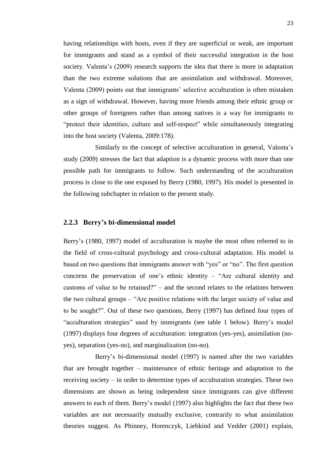having relationships with hosts, even if they are superficial or weak, are important for immigrants and stand as a symbol of their successful integration in the host society. Valenta's (2009) research supports the idea that there is more in adaptation than the two extreme solutions that are assimilation and withdrawal. Moreover, Valenta (2009) points out that immigrants' selective acculturation is often mistaken as a sign of withdrawal. However, having more friends among their ethnic group or other groups of foreigners rather than among natives is a way for immigrants to "protect their identities, culture and self-respect" while simultaneously integrating into the host society (Valenta, 2009:178).

Similarly to the concept of selective acculturation in general, Valenta's study (2009) stresses the fact that adaption is a dynamic process with more than one possible path for immigrants to follow. Such understanding of the acculturation process is close to the one exposed by Berry (1980, 1997). His model is presented in the following subchapter in relation to the present study.

#### <span id="page-22-0"></span>**2.2.3 Berry's bi-dimensional model**

Berry's (1980, 1997) model of acculturation is maybe the most often referred to in the field of cross-cultural psychology and cross-cultural adaptation. His model is based on two questions that immigrants answer with "yes" or "no". The first question concerns the preservation of one's ethnic identity – "Are cultural identity and customs of value to be retained?" – and the second relates to the relations between the two cultural groups – "Are positive relations with the larger society of value and to be sought?". Out of these two questions, Berry (1997) has defined four types of "acculturation strategies" used by immigrants (see table 1 below). Berry's model (1997) displays four degrees of acculturation: integration (yes-yes), assimilation (noyes), separation (yes-no), and marginalization (no-no).

Berry's bi-dimensional model (1997) is named after the two variables that are brought together – maintenance of ethnic heritage and adaptation to the receiving society – in order to determine types of acculturation strategies. These two dimensions are shown as being independent since immigrants can give different answers to each of them. Berry's model (1997) also highlights the fact that these two variables are not necessarily mutually exclusive, contrarily to what assimilation theories suggest. As Phinney, Horenczyk, Liebkind and Vedder (2001) explain,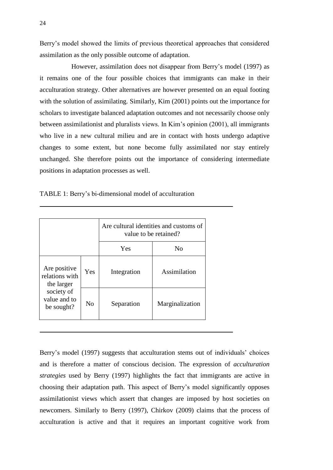Berry's model showed the limits of previous theoretical approaches that considered assimilation as the only possible outcome of adaptation.

However, assimilation does not disappear from Berry's model (1997) as it remains one of the four possible choices that immigrants can make in their acculturation strategy. Other alternatives are however presented on an equal footing with the solution of assimilating. Similarly, Kim (2001) points out the importance for scholars to investigate balanced adaptation outcomes and not necessarily choose only between assimilationist and pluralists views. In Kim's opinion (2001), all immigrants who live in a new cultural milieu and are in contact with hosts undergo adaptive changes to some extent, but none become fully assimilated nor stay entirely unchanged. She therefore points out the importance of considering intermediate positions in adaptation processes as well.

<span id="page-23-0"></span>

| TABLE 1: Berry's bi-dimensional model of acculturation |  |
|--------------------------------------------------------|--|
|--------------------------------------------------------|--|

|                                              |                | Are cultural identities and customs of<br>value to be retained? |                 |
|----------------------------------------------|----------------|-----------------------------------------------------------------|-----------------|
|                                              |                | Yes                                                             | No              |
| Are positive<br>relations with<br>the larger | Yes            | Integration                                                     | Assimilation    |
| society of<br>value and to<br>be sought?     | N <sub>0</sub> | Separation                                                      | Marginalization |

Berry's model (1997) suggests that acculturation stems out of individuals' choices and is therefore a matter of conscious decision. The expression of *acculturation strategies* used by Berry (1997) highlights the fact that immigrants are active in choosing their adaptation path. This aspect of Berry's model significantly opposes assimilationist views which assert that changes are imposed by host societies on newcomers. Similarly to Berry (1997), Chirkov (2009) claims that the process of acculturation is active and that it requires an important cognitive work from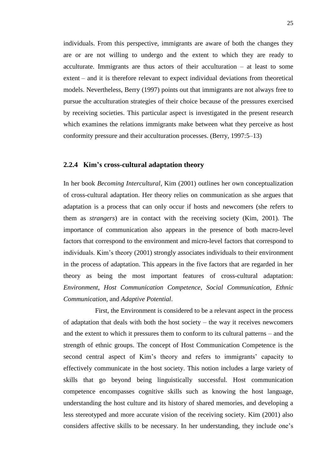individuals. From this perspective, immigrants are aware of both the changes they are or are not willing to undergo and the extent to which they are ready to acculturate. Immigrants are thus actors of their acculturation – at least to some extent – and it is therefore relevant to expect individual deviations from theoretical models. Nevertheless, Berry (1997) points out that immigrants are not always free to pursue the acculturation strategies of their choice because of the pressures exercised by receiving societies. This particular aspect is investigated in the present research which examines the relations immigrants make between what they perceive as host conformity pressure and their acculturation processes. (Berry, 1997:5–13)

#### <span id="page-24-0"></span>**2.2.4 Kim's cross-cultural adaptation theory**

In her book *Becoming Intercultural*, Kim (2001) outlines her own conceptualization of cross-cultural adaptation. Her theory relies on communication as she argues that adaptation is a process that can only occur if hosts and newcomers (she refers to them as *strangers*) are in contact with the receiving society (Kim, 2001). The importance of communication also appears in the presence of both macro-level factors that correspond to the environment and micro-level factors that correspond to individuals. Kim's theory (2001) strongly associates individuals to their environment in the process of adaptation. This appears in the five factors that are regarded in her theory as being the most important features of cross-cultural adaptation: *Environment*, *Host Communication Competence*, *Social Communication, Ethnic Communication*, and *Adaptive Potential*.

First, the Environment is considered to be a relevant aspect in the process of adaptation that deals with both the host society – the way it receives newcomers and the extent to which it pressures them to conform to its cultural patterns – and the strength of ethnic groups. The concept of Host Communication Competence is the second central aspect of Kim's theory and refers to immigrants' capacity to effectively communicate in the host society. This notion includes a large variety of skills that go beyond being linguistically successful. Host communication competence encompasses cognitive skills such as knowing the host language, understanding the host culture and its history of shared memories, and developing a less stereotyped and more accurate vision of the receiving society. Kim (2001) also considers affective skills to be necessary. In her understanding, they include one's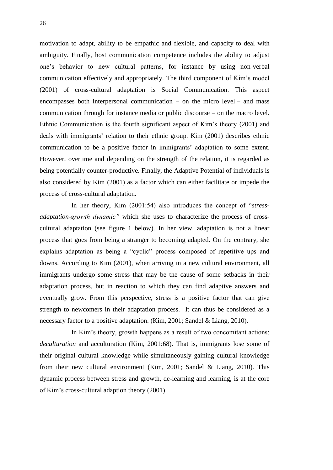motivation to adapt, ability to be empathic and flexible, and capacity to deal with ambiguity. Finally, host communication competence includes the ability to adjust one's behavior to new cultural patterns, for instance by using non-verbal communication effectively and appropriately. The third component of Kim's model (2001) of cross-cultural adaptation is Social Communication. This aspect encompasses both interpersonal communication – on the micro level – and mass communication through for instance media or public discourse – on the macro level. Ethnic Communication is the fourth significant aspect of Kim's theory (2001) and deals with immigrants' relation to their ethnic group. Kim (2001) describes ethnic communication to be a positive factor in immigrants' adaptation to some extent. However, overtime and depending on the strength of the relation, it is regarded as being potentially counter-productive. Finally, the Adaptive Potential of individuals is also considered by Kim (2001) as a factor which can either facilitate or impede the process of cross-cultural adaptation.

In her theory, Kim (2001:54) also introduces the concept of "*stressadaptation-growth dynamic"* which she uses to characterize the process of crosscultural adaptation (see figure 1 below). In her view, adaptation is not a linear process that goes from being a stranger to becoming adapted. On the contrary, she explains adaptation as being a "cyclic" process composed of repetitive ups and downs. According to Kim (2001), when arriving in a new cultural environment, all immigrants undergo some stress that may be the cause of some setbacks in their adaptation process, but in reaction to which they can find adaptive answers and eventually grow. From this perspective, stress is a positive factor that can give strength to newcomers in their adaptation process. It can thus be considered as a necessary factor to a positive adaptation. (Kim, 2001; Sandel & Liang, 2010).

In Kim's theory, growth happens as a result of two concomitant actions: *deculturation* and acculturation (Kim, 2001:68). That is, immigrants lose some of their original cultural knowledge while simultaneously gaining cultural knowledge from their new cultural environment (Kim, 2001; Sandel & Liang, 2010). This dynamic process between stress and growth, de-learning and learning, is at the core of Kim's cross-cultural adaption theory (2001).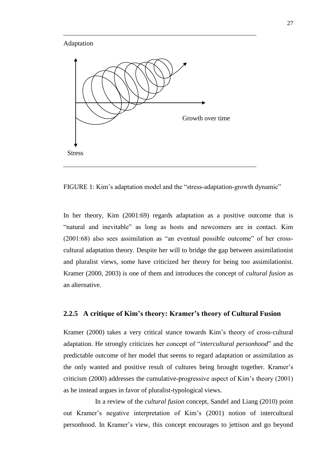#### Adaptation



<span id="page-26-1"></span>FIGURE 1: Kim's adaptation model and the "stress-adaptation-growth dynamic"

In her theory, Kim (2001:69) regards adaptation as a positive outcome that is "natural and inevitable" as long as hosts and newcomers are in contact. Kim (2001:68) also sees assimilation as "an eventual possible outcome" of her crosscultural adaptation theory. Despite her will to bridge the gap between assimilationist and pluralist views, some have criticized her theory for being too assimilationist. Kramer (2000, 2003) is one of them and introduces the concept of *cultural fusion* as an alternative.

#### <span id="page-26-0"></span>**2.2.5 A critique of Kim's theory: Kramer's theory of Cultural Fusion**

Kramer (2000) takes a very critical stance towards Kim's theory of cross-cultural adaptation. He strongly criticizes her concept of "*intercultural personhood*" and the predictable outcome of her model that seems to regard adaptation or assimilation as the only wanted and positive result of cultures being brought together. Kramer's criticism (2000) addresses the cumulative-progressive aspect of Kim's theory (2001) as he instead argues in favor of pluralist-typological views.

In a review of the *cultural fusion* concept, Sandel and Liang (2010) point out Kramer's negative interpretation of Kim's (2001) notion of intercultural personhood. In Kramer's view, this concept encourages to jettison and go beyond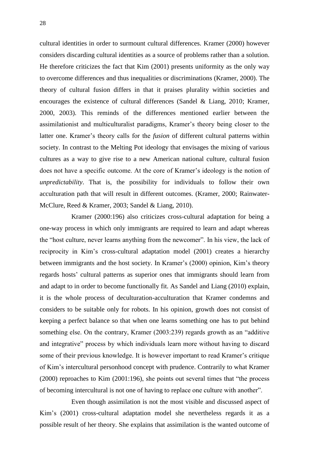cultural identities in order to surmount cultural differences. Kramer (2000) however considers discarding cultural identities as a source of problems rather than a solution. He therefore criticizes the fact that Kim (2001) presents uniformity as the only way to overcome differences and thus inequalities or discriminations (Kramer, 2000). The theory of cultural fusion differs in that it praises plurality within societies and encourages the existence of cultural differences (Sandel & Liang, 2010; Kramer, 2000, 2003). This reminds of the differences mentioned earlier between the assimilationist and multiculturalist paradigms, Kramer's theory being closer to the latter one. Kramer's theory calls for the *fusion* of different cultural patterns within society. In contrast to the Melting Pot ideology that envisages the mixing of various cultures as a way to give rise to a new American national culture, cultural fusion does not have a specific outcome. At the core of Kramer's ideology is the notion of *unpredictability*. That is, the possibility for individuals to follow their own acculturation path that will result in different outcomes. (Kramer, 2000; Rainwater-McClure, Reed & Kramer, 2003; Sandel & Liang, 2010).

Kramer (2000:196) also criticizes cross-cultural adaptation for being a one-way process in which only immigrants are required to learn and adapt whereas the "host culture, never learns anything from the newcomer". In his view, the lack of reciprocity in Kim's cross-cultural adaptation model (2001) creates a hierarchy between immigrants and the host society. In Kramer's (2000) opinion, Kim's theory regards hosts' cultural patterns as superior ones that immigrants should learn from and adapt to in order to become functionally fit. As Sandel and Liang (2010) explain, it is the whole process of deculturation-acculturation that Kramer condemns and considers to be suitable only for robots. In his opinion, growth does not consist of keeping a perfect balance so that when one learns something one has to put behind something else. On the contrary, Kramer (2003:239) regards growth as an "additive and integrative" process by which individuals learn more without having to discard some of their previous knowledge. It is however important to read Kramer's critique of Kim's intercultural personhood concept with prudence. Contrarily to what Kramer (2000) reproaches to Kim (2001:196), she points out several times that "the process of becoming intercultural is not one of having to replace one culture with another".

Even though assimilation is not the most visible and discussed aspect of Kim's (2001) cross-cultural adaptation model she nevertheless regards it as a possible result of her theory. She explains that assimilation is the wanted outcome of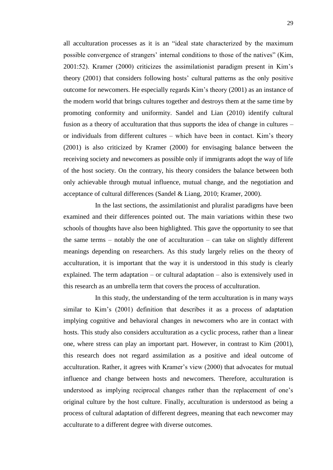all acculturation processes as it is an "ideal state characterized by the maximum possible convergence of strangers' internal conditions to those of the natives" (Kim, 2001:52). Kramer (2000) criticizes the assimilationist paradigm present in Kim's theory (2001) that considers following hosts' cultural patterns as the only positive outcome for newcomers. He especially regards Kim's theory (2001) as an instance of the modern world that brings cultures together and destroys them at the same time by promoting conformity and uniformity. Sandel and Lian (2010) identify cultural fusion as a theory of acculturation that thus supports the idea of change in cultures – or individuals from different cultures – which have been in contact. Kim's theory (2001) is also criticized by Kramer (2000) for envisaging balance between the receiving society and newcomers as possible only if immigrants adopt the way of life of the host society. On the contrary, his theory considers the balance between both only achievable through mutual influence, mutual change, and the negotiation and acceptance of cultural differences (Sandel & Liang, 2010; Kramer, 2000).

In the last sections, the assimilationist and pluralist paradigms have been examined and their differences pointed out. The main variations within these two schools of thoughts have also been highlighted. This gave the opportunity to see that the same terms – notably the one of acculturation – can take on slightly different meanings depending on researchers. As this study largely relies on the theory of acculturation, it is important that the way it is understood in this study is clearly explained. The term adaptation – or cultural adaptation – also is extensively used in this research as an umbrella term that covers the process of acculturation.

In this study, the understanding of the term acculturation is in many ways similar to Kim's (2001) definition that describes it as a process of adaptation implying cognitive and behavioral changes in newcomers who are in contact with hosts. This study also considers acculturation as a cyclic process, rather than a linear one, where stress can play an important part. However, in contrast to Kim (2001), this research does not regard assimilation as a positive and ideal outcome of acculturation. Rather, it agrees with Kramer's view (2000) that advocates for mutual influence and change between hosts and newcomers. Therefore, acculturation is understood as implying reciprocal changes rather than the replacement of one's original culture by the host culture. Finally, acculturation is understood as being a process of cultural adaptation of different degrees, meaning that each newcomer may acculturate to a different degree with diverse outcomes.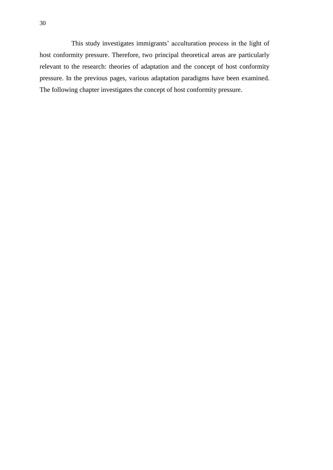This study investigates immigrants' acculturation process in the light of host conformity pressure. Therefore, two principal theoretical areas are particularly relevant to the research: theories of adaptation and the concept of host conformity pressure. In the previous pages, various adaptation paradigms have been examined. The following chapter investigates the concept of host conformity pressure.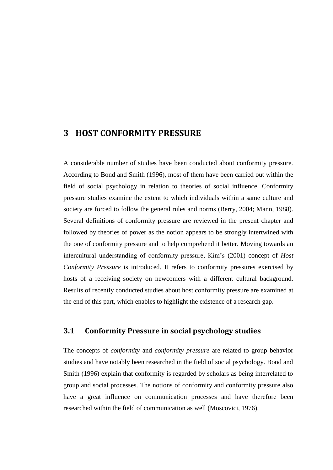#### <span id="page-30-0"></span>**3 HOST CONFORMITY PRESSURE**

A considerable number of studies have been conducted about conformity pressure. According to Bond and Smith (1996), most of them have been carried out within the field of social psychology in relation to theories of social influence. Conformity pressure studies examine the extent to which individuals within a same culture and society are forced to follow the general rules and norms (Berry, 2004; Mann, 1988). Several definitions of conformity pressure are reviewed in the present chapter and followed by theories of power as the notion appears to be strongly intertwined with the one of conformity pressure and to help comprehend it better. Moving towards an intercultural understanding of conformity pressure, Kim's (2001) concept of *Host Conformity Pressure* is introduced. It refers to conformity pressures exercised by hosts of a receiving society on newcomers with a different cultural background. Results of recently conducted studies about host conformity pressure are examined at the end of this part, which enables to highlight the existence of a research gap.

#### <span id="page-30-1"></span>**3.1 Conformity Pressure in social psychology studies**

The concepts of *conformity* and *conformity pressure* are related to group behavior studies and have notably been researched in the field of social psychology. Bond and Smith (1996) explain that conformity is regarded by scholars as being interrelated to group and social processes. The notions of conformity and conformity pressure also have a great influence on communication processes and have therefore been researched within the field of communication as well (Moscovici, 1976).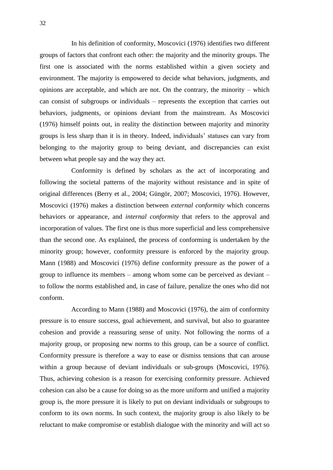In his definition of conformity, Moscovici (1976) identifies two different groups of factors that confront each other: the majority and the minority groups. The first one is associated with the norms established within a given society and environment. The majority is empowered to decide what behaviors, judgments, and opinions are acceptable, and which are not. On the contrary, the minority – which can consist of subgroups or individuals – represents the exception that carries out behaviors, judgments, or opinions deviant from the mainstream. As Moscovici (1976) himself points out, in reality the distinction between majority and minority groups is less sharp than it is in theory. Indeed, individuals' statuses can vary from belonging to the majority group to being deviant, and discrepancies can exist between what people say and the way they act.

Conformity is defined by scholars as the act of incorporating and following the societal patterns of the majority without resistance and in spite of original differences (Berry et al., 2004; Güngör, 2007; Moscovici, 1976). However, Moscovici (1976) makes a distinction between *external conformity* which concerns behaviors or appearance, and *internal conformity* that refers to the approval and incorporation of values. The first one is thus more superficial and less comprehensive than the second one. As explained, the process of conforming is undertaken by the minority group; however, conformity pressure is enforced by the majority group. Mann (1988) and Moscovici (1976) define conformity pressure as the power of a group to influence its members – among whom some can be perceived as deviant – to follow the norms established and, in case of failure, penalize the ones who did not conform.

According to Mann (1988) and Moscovici (1976), the aim of conformity pressure is to ensure success, goal achievement, and survival, but also to guarantee cohesion and provide a reassuring sense of unity. Not following the norms of a majority group, or proposing new norms to this group, can be a source of conflict. Conformity pressure is therefore a way to ease or dismiss tensions that can arouse within a group because of deviant individuals or sub-groups (Moscovici, 1976). Thus, achieving cohesion is a reason for exercising conformity pressure. Achieved cohesion can also be a cause for doing so as the more uniform and unified a majority group is, the more pressure it is likely to put on deviant individuals or subgroups to conform to its own norms. In such context, the majority group is also likely to be reluctant to make compromise or establish dialogue with the minority and will act so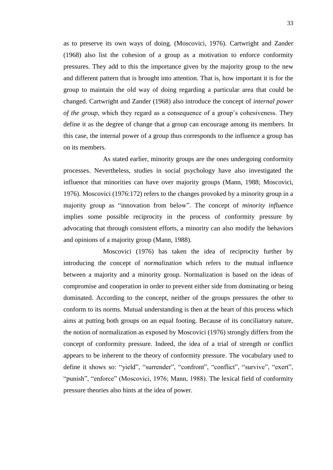as to preserve its own ways of doing. (Moscovici, 1976). Cartwright and Zander (1968) also list the cohesion of a group as a motivation to enforce conformity pressures. They add to this the importance given by the majority group to the new and different pattern that is brought into attention. That is, how important it is for the group to maintain the old way of doing regarding a particular area that could be changed. Cartwright and Zander (1968) also introduce the concept of *internal power of the group*, which they regard as a consequence of a group's cohesiveness. They define it as the degree of change that a group can encourage among its members. In this case, the internal power of a group thus corresponds to the influence a group has on its members.

As stated earlier, minority groups are the ones undergoing conformity processes. Nevertheless, studies in social psychology have also investigated the influence that minorities can have over majority groups (Mann, 1988; Moscovici, 1976). Moscovici (1976:172) refers to the changes provoked by a minority group in a majority group as "innovation from below". The concept of *minority influence* implies some possible reciprocity in the process of conformity pressure by advocating that through consistent efforts, a minority can also modify the behaviors and opinions of a majority group (Mann, 1988).

Moscovici (1976) has taken the idea of reciprocity further by introducing the concept of *normalization* which refers to the mutual influence between a majority and a minority group. Normalization is based on the ideas of compromise and cooperation in order to prevent either side from dominating or being dominated. According to the concept, neither of the groups pressures the other to conform to its norms. Mutual understanding is then at the heart of this process which aims at putting both groups on an equal footing. Because of its conciliatory nature, the notion of normalization as exposed by Moscovici (1976) strongly differs from the concept of conformity pressure. Indeed, the idea of a trial of strength or conflict appears to be inherent to the theory of conformity pressure. The vocabulary used to define it shows so: "yield", "surrender", "confront", "conflict", "survive", "exert", "punish", "enforce" (Moscovici, 1976; Mann, 1988). The lexical field of conformity pressure theories also hints at the idea of power.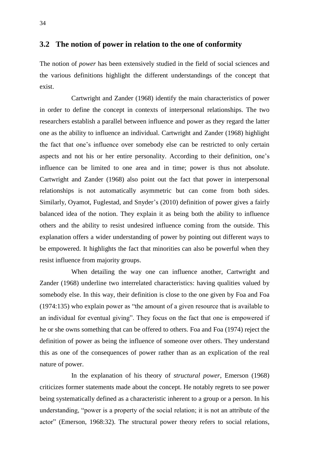#### <span id="page-33-0"></span>**3.2 The notion of power in relation to the one of conformity**

The notion of *power* has been extensively studied in the field of social sciences and the various definitions highlight the different understandings of the concept that exist.

Cartwright and Zander (1968) identify the main characteristics of power in order to define the concept in contexts of interpersonal relationships. The two researchers establish a parallel between influence and power as they regard the latter one as the ability to influence an individual. Cartwright and Zander (1968) highlight the fact that one's influence over somebody else can be restricted to only certain aspects and not his or her entire personality. According to their definition, one's influence can be limited to one area and in time; power is thus not absolute. Cartwright and Zander (1968) also point out the fact that power in interpersonal relationships is not automatically asymmetric but can come from both sides. Similarly, Oyamot, Fuglestad, and Snyder's (2010) definition of power gives a fairly balanced idea of the notion. They explain it as being both the ability to influence others and the ability to resist undesired influence coming from the outside. This explanation offers a wider understanding of power by pointing out different ways to be empowered. It highlights the fact that minorities can also be powerful when they resist influence from majority groups.

When detailing the way one can influence another, Cartwright and Zander (1968) underline two interrelated characteristics: having qualities valued by somebody else. In this way, their definition is close to the one given by Foa and Foa (1974:135) who explain power as "the amount of a given resource that is available to an individual for eventual giving". They focus on the fact that one is empowered if he or she owns something that can be offered to others. Foa and Foa (1974) reject the definition of power as being the influence of someone over others. They understand this as one of the consequences of power rather than as an explication of the real nature of power.

In the explanation of his theory of *structural power*, Emerson (1968) criticizes former statements made about the concept. He notably regrets to see power being systematically defined as a characteristic inherent to a group or a person. In his understanding, "power is a property of the social relation; it is not an attribute of the actor" (Emerson, 1968:32). The structural power theory refers to social relations,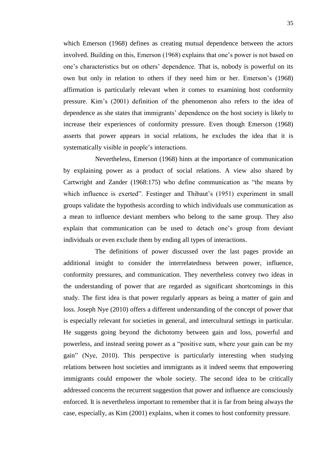which Emerson (1968) defines as creating mutual dependence between the actors involved. Building on this, Emerson (1968) explains that one's power is not based on one's characteristics but on others' dependence. That is, nobody is powerful on its own but only in relation to others if they need him or her. Emerson's (1968) affirmation is particularly relevant when it comes to examining host conformity pressure. Kim's (2001) definition of the phenomenon also refers to the idea of dependence as she states that immigrants' dependence on the host society is likely to increase their experiences of conformity pressure. Even though Emerson (1968) asserts that power appears in social relations, he excludes the idea that it is systematically visible in people's interactions.

Nevertheless, Emerson (1968) hints at the importance of communication by explaining power as a product of social relations. A view also shared by Cartwright and Zander (1968:175) who define communication as "the means by which influence is exerted". Festinger and Thibaut's (1951) experiment in small groups validate the hypothesis according to which individuals use communication as a mean to influence deviant members who belong to the same group. They also explain that communication can be used to detach one's group from deviant individuals or even exclude them by ending all types of interactions.

The definitions of power discussed over the last pages provide an additional insight to consider the interrelatedness between power, influence, conformity pressures, and communication. They nevertheless convey two ideas in the understanding of power that are regarded as significant shortcomings in this study. The first idea is that power regularly appears as being a matter of gain and loss. Joseph Nye (2010) offers a different understanding of the concept of power that is especially relevant for societies in general, and intercultural settings in particular. He suggests going beyond the dichotomy between gain and loss, powerful and powerless, and instead seeing power as a "positive sum, where your gain can be my gain" (Nye, 2010). This perspective is particularly interesting when studying relations between host societies and immigrants as it indeed seems that empowering immigrants could empower the whole society. The second idea to be critically addressed concerns the recurrent suggestion that power and influence are consciously enforced. It is nevertheless important to remember that it is far from being always the case, especially, as Kim (2001) explains, when it comes to host conformity pressure.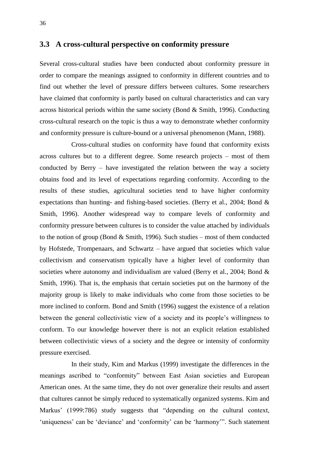#### <span id="page-35-0"></span>**3.3 A cross-cultural perspective on conformity pressure**

Several cross-cultural studies have been conducted about conformity pressure in order to compare the meanings assigned to conformity in different countries and to find out whether the level of pressure differs between cultures. Some researchers have claimed that conformity is partly based on cultural characteristics and can vary across historical periods within the same society (Bond  $\&$  Smith, 1996). Conducting cross-cultural research on the topic is thus a way to demonstrate whether conformity and conformity pressure is culture-bound or a universal phenomenon (Mann, 1988).

Cross-cultural studies on conformity have found that conformity exists across cultures but to a different degree. Some research projects – most of them conducted by Berry – have investigated the relation between the way a society obtains food and its level of expectations regarding conformity. According to the results of these studies, agricultural societies tend to have higher conformity expectations than hunting- and fishing-based societies. (Berry et al., 2004; Bond & Smith, 1996). Another widespread way to compare levels of conformity and conformity pressure between cultures is to consider the value attached by individuals to the notion of group (Bond & Smith, 1996). Such studies – most of them conducted by Hofstede, Trompenaars, and Schwartz – have argued that societies which value collectivism and conservatism typically have a higher level of conformity than societies where autonomy and individualism are valued (Berry et al., 2004; Bond & Smith, 1996). That is, the emphasis that certain societies put on the harmony of the majority group is likely to make individuals who come from those societies to be more inclined to conform. Bond and Smith (1996) suggest the existence of a relation between the general collectivistic view of a society and its people's willingness to conform. To our knowledge however there is not an explicit relation established between collectivistic views of a society and the degree or intensity of conformity pressure exercised.

In their study, Kim and Markus (1999) investigate the differences in the meanings ascribed to "conformity" between East Asian societies and European American ones. At the same time, they do not over generalize their results and assert that cultures cannot be simply reduced to systematically organized systems. Kim and Markus' (1999:786) study suggests that "depending on the cultural context, 'uniqueness' can be 'deviance' and 'conformity' can be 'harmony'". Such statement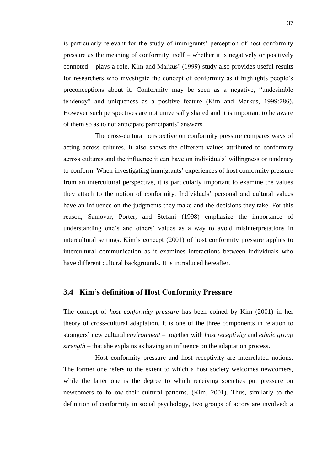is particularly relevant for the study of immigrants' perception of host conformity pressure as the meaning of conformity itself – whether it is negatively or positively connoted – plays a role. Kim and Markus' (1999) study also provides useful results for researchers who investigate the concept of conformity as it highlights people's preconceptions about it. Conformity may be seen as a negative, "undesirable tendency" and uniqueness as a positive feature (Kim and Markus, 1999:786). However such perspectives are not universally shared and it is important to be aware of them so as to not anticipate participants' answers.

The cross-cultural perspective on conformity pressure compares ways of acting across cultures. It also shows the different values attributed to conformity across cultures and the influence it can have on individuals' willingness or tendency to conform. When investigating immigrants' experiences of host conformity pressure from an intercultural perspective, it is particularly important to examine the values they attach to the notion of conformity. Individuals' personal and cultural values have an influence on the judgments they make and the decisions they take. For this reason, Samovar, Porter, and Stefani (1998) emphasize the importance of understanding one's and others' values as a way to avoid misinterpretations in intercultural settings. Kim's concept (2001) of host conformity pressure applies to intercultural communication as it examines interactions between individuals who have different cultural backgrounds. It is introduced hereafter.

## **3.4 Kim's definition of Host Conformity Pressure**

The concept of *host conformity pressure* has been coined by Kim (2001) in her theory of cross-cultural adaptation. It is one of the three components in relation to strangers' new cultural *environment* – together with *host receptivity* and *ethnic group strength* – that she explains as having an influence on the adaptation process.

Host conformity pressure and host receptivity are interrelated notions. The former one refers to the extent to which a host society welcomes newcomers, while the latter one is the degree to which receiving societies put pressure on newcomers to follow their cultural patterns. (Kim, 2001). Thus, similarly to the definition of conformity in social psychology, two groups of actors are involved: a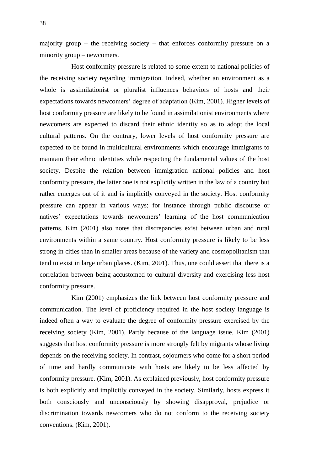majority group – the receiving society – that enforces conformity pressure on a minority group – newcomers.

Host conformity pressure is related to some extent to national policies of the receiving society regarding immigration. Indeed, whether an environment as a whole is assimilationist or pluralist influences behaviors of hosts and their expectations towards newcomers' degree of adaptation (Kim, 2001). Higher levels of host conformity pressure are likely to be found in assimilationist environments where newcomers are expected to discard their ethnic identity so as to adopt the local cultural patterns. On the contrary, lower levels of host conformity pressure are expected to be found in multicultural environments which encourage immigrants to maintain their ethnic identities while respecting the fundamental values of the host society. Despite the relation between immigration national policies and host conformity pressure, the latter one is not explicitly written in the law of a country but rather emerges out of it and is implicitly conveyed in the society. Host conformity pressure can appear in various ways; for instance through public discourse or natives' expectations towards newcomers' learning of the host communication patterns. Kim (2001) also notes that discrepancies exist between urban and rural environments within a same country. Host conformity pressure is likely to be less strong in cities than in smaller areas because of the variety and cosmopolitanism that tend to exist in large urban places. (Kim, 2001). Thus, one could assert that there is a correlation between being accustomed to cultural diversity and exercising less host conformity pressure.

Kim (2001) emphasizes the link between host conformity pressure and communication. The level of proficiency required in the host society language is indeed often a way to evaluate the degree of conformity pressure exercised by the receiving society (Kim, 2001). Partly because of the language issue, Kim (2001) suggests that host conformity pressure is more strongly felt by migrants whose living depends on the receiving society. In contrast, sojourners who come for a short period of time and hardly communicate with hosts are likely to be less affected by conformity pressure. (Kim, 2001). As explained previously, host conformity pressure is both explicitly and implicitly conveyed in the society. Similarly, hosts express it both consciously and unconsciously by showing disapproval, prejudice or discrimination towards newcomers who do not conform to the receiving society conventions. (Kim, 2001).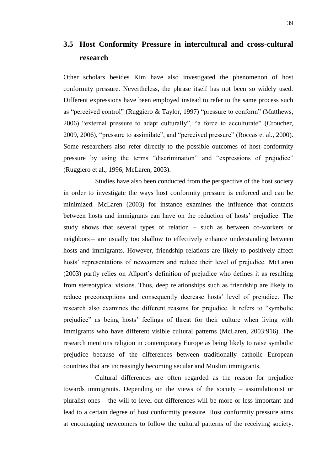## **3.5 Host Conformity Pressure in intercultural and cross-cultural research**

Other scholars besides Kim have also investigated the phenomenon of host conformity pressure. Nevertheless, the phrase itself has not been so widely used. Different expressions have been employed instead to refer to the same process such as "perceived control" (Ruggiero & Taylor, 1997) "pressure to conform" (Matthews, 2006) "external pressure to adapt culturally", "a force to acculturate" (Croucher, 2009, 2006), "pressure to assimilate", and "perceived pressure" (Roccas et al., 2000). Some researchers also refer directly to the possible outcomes of host conformity pressure by using the terms "discrimination" and "expressions of prejudice" (Ruggiero et al., 1996; McLaren, 2003).

Studies have also been conducted from the perspective of the host society in order to investigate the ways host conformity pressure is enforced and can be minimized. McLaren (2003) for instance examines the influence that contacts between hosts and immigrants can have on the reduction of hosts' prejudice. The study shows that several types of relation – such as between co-workers or neighbors – are usually too shallow to effectively enhance understanding between hosts and immigrants. However, friendship relations are likely to positively affect hosts' representations of newcomers and reduce their level of prejudice. McLaren (2003) partly relies on Allport's definition of prejudice who defines it as resulting from stereotypical visions. Thus, deep relationships such as friendship are likely to reduce preconceptions and consequently decrease hosts' level of prejudice. The research also examines the different reasons for prejudice. It refers to "symbolic prejudice" as being hosts' feelings of threat for their culture when living with immigrants who have different visible cultural patterns (McLaren, 2003:916). The research mentions religion in contemporary Europe as being likely to raise symbolic prejudice because of the differences between traditionally catholic European countries that are increasingly becoming secular and Muslim immigrants.

Cultural differences are often regarded as the reason for prejudice towards immigrants. Depending on the views of the society – assimilationist or pluralist ones – the will to level out differences will be more or less important and lead to a certain degree of host conformity pressure. Host conformity pressure aims at encouraging newcomers to follow the cultural patterns of the receiving society.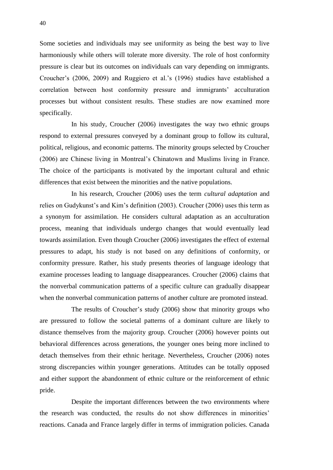Some societies and individuals may see uniformity as being the best way to live harmoniously while others will tolerate more diversity. The role of host conformity pressure is clear but its outcomes on individuals can vary depending on immigrants. Croucher's (2006, 2009) and Ruggiero et al.'s (1996) studies have established a correlation between host conformity pressure and immigrants' acculturation processes but without consistent results. These studies are now examined more specifically.

In his study, Croucher (2006) investigates the way two ethnic groups respond to external pressures conveyed by a dominant group to follow its cultural, political, religious, and economic patterns. The minority groups selected by Croucher (2006) are Chinese living in Montreal's Chinatown and Muslims living in France. The choice of the participants is motivated by the important cultural and ethnic differences that exist between the minorities and the native populations.

In his research, Croucher (2006) uses the term *cultural adaptation* and relies on Gudykunst's and Kim's definition (2003). Croucher (2006) uses this term as a synonym for assimilation. He considers cultural adaptation as an acculturation process, meaning that individuals undergo changes that would eventually lead towards assimilation. Even though Croucher (2006) investigates the effect of external pressures to adapt, his study is not based on any definitions of conformity, or conformity pressure. Rather, his study presents theories of language ideology that examine processes leading to language disappearances. Croucher (2006) claims that the nonverbal communication patterns of a specific culture can gradually disappear when the nonverbal communication patterns of another culture are promoted instead.

The results of Croucher's study (2006) show that minority groups who are pressured to follow the societal patterns of a dominant culture are likely to distance themselves from the majority group. Croucher (2006) however points out behavioral differences across generations, the younger ones being more inclined to detach themselves from their ethnic heritage. Nevertheless, Croucher (2006) notes strong discrepancies within younger generations. Attitudes can be totally opposed and either support the abandonment of ethnic culture or the reinforcement of ethnic pride.

Despite the important differences between the two environments where the research was conducted, the results do not show differences in minorities' reactions. Canada and France largely differ in terms of immigration policies. Canada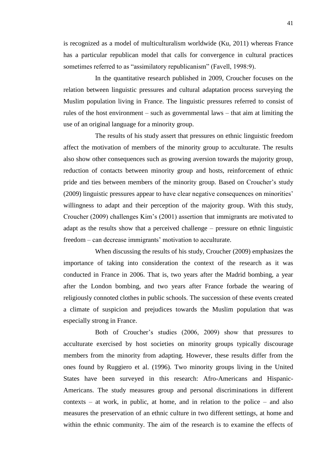is recognized as a model of multiculturalism worldwide (Ku, 2011) whereas France has a particular republican model that calls for convergence in cultural practices sometimes referred to as "assimilatory republicanism" (Favell, 1998:9).

In the quantitative research published in 2009, Croucher focuses on the relation between linguistic pressures and cultural adaptation process surveying the Muslim population living in France. The linguistic pressures referred to consist of rules of the host environment – such as governmental laws – that aim at limiting the use of an original language for a minority group.

The results of his study assert that pressures on ethnic linguistic freedom affect the motivation of members of the minority group to acculturate. The results also show other consequences such as growing aversion towards the majority group, reduction of contacts between minority group and hosts, reinforcement of ethnic pride and ties between members of the minority group. Based on Croucher's study (2009) linguistic pressures appear to have clear negative consequences on minorities' willingness to adapt and their perception of the majority group. With this study, Croucher (2009) challenges Kim's (2001) assertion that immigrants are motivated to adapt as the results show that a perceived challenge – pressure on ethnic linguistic freedom – can decrease immigrants' motivation to acculturate.

When discussing the results of his study, Croucher (2009) emphasizes the importance of taking into consideration the context of the research as it was conducted in France in 2006. That is, two years after the Madrid bombing, a year after the London bombing, and two years after France forbade the wearing of religiously connoted clothes in public schools. The succession of these events created a climate of suspicion and prejudices towards the Muslim population that was especially strong in France.

Both of Croucher's studies (2006, 2009) show that pressures to acculturate exercised by host societies on minority groups typically discourage members from the minority from adapting. However, these results differ from the ones found by Ruggiero et al. (1996). Two minority groups living in the United States have been surveyed in this research: Afro-Americans and Hispanic-Americans. The study measures group and personal discriminations in different contexts – at work, in public, at home, and in relation to the police – and also measures the preservation of an ethnic culture in two different settings, at home and within the ethnic community. The aim of the research is to examine the effects of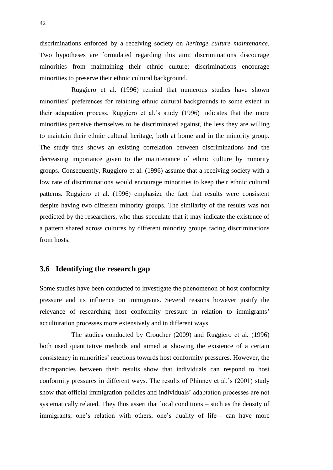discriminations enforced by a receiving society on *heritage culture maintenance*. Two hypotheses are formulated regarding this aim: discriminations discourage minorities from maintaining their ethnic culture; discriminations encourage minorities to preserve their ethnic cultural background.

Ruggiero et al. (1996) remind that numerous studies have shown minorities' preferences for retaining ethnic cultural backgrounds to some extent in their adaptation process. Ruggiero et al.'s study (1996) indicates that the more minorities perceive themselves to be discriminated against, the less they are willing to maintain their ethnic cultural heritage, both at home and in the minority group. The study thus shows an existing correlation between discriminations and the decreasing importance given to the maintenance of ethnic culture by minority groups. Consequently, Ruggiero et al. (1996) assume that a receiving society with a low rate of discriminations would encourage minorities to keep their ethnic cultural patterns. Ruggiero et al. (1996) emphasize the fact that results were consistent despite having two different minority groups. The similarity of the results was not predicted by the researchers, who thus speculate that it may indicate the existence of a pattern shared across cultures by different minority groups facing discriminations from hosts.

## **3.6 Identifying the research gap**

Some studies have been conducted to investigate the phenomenon of host conformity pressure and its influence on immigrants. Several reasons however justify the relevance of researching host conformity pressure in relation to immigrants' acculturation processes more extensively and in different ways.

The studies conducted by Croucher (2009) and Ruggiero et al. (1996) both used quantitative methods and aimed at showing the existence of a certain consistency in minorities' reactions towards host conformity pressures. However, the discrepancies between their results show that individuals can respond to host conformity pressures in different ways. The results of Phinney et al.'s (2001) study show that official immigration policies and individuals' adaptation processes are not systematically related. They thus assert that local conditions – such as the density of immigrants, one's relation with others, one's quality of life – can have more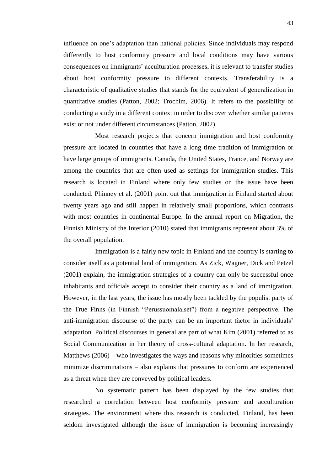influence on one's adaptation than national policies. Since individuals may respond differently to host conformity pressure and local conditions may have various consequences on immigrants' acculturation processes, it is relevant to transfer studies about host conformity pressure to different contexts. Transferability is a characteristic of qualitative studies that stands for the equivalent of generalization in quantitative studies (Patton, 2002; Trochim, 2006). It refers to the possibility of conducting a study in a different context in order to discover whether similar patterns exist or not under different circumstances (Patton, 2002).

Most research projects that concern immigration and host conformity pressure are located in countries that have a long time tradition of immigration or have large groups of immigrants. Canada, the United States, France, and Norway are among the countries that are often used as settings for immigration studies. This research is located in Finland where only few studies on the issue have been conducted. Phinney et al. (2001) point out that immigration in Finland started about twenty years ago and still happen in relatively small proportions, which contrasts with most countries in continental Europe. In the annual report on Migration, the Finnish Ministry of the Interior (2010) stated that immigrants represent about 3% of the overall population.

Immigration is a fairly new topic in Finland and the country is starting to consider itself as a potential land of immigration. As Zick, Wagner, Dick and Petzel (2001) explain, the immigration strategies of a country can only be successful once inhabitants and officials accept to consider their country as a land of immigration. However, in the last years, the issue has mostly been tackled by the populist party of the True Finns (in Finnish "Perussuomalaiset") from a negative perspective. The anti-immigration discourse of the party can be an important factor in individuals' adaptation. Political discourses in general are part of what Kim (2001) referred to as Social Communication in her theory of cross-cultural adaptation. In her research, Matthews (2006) – who investigates the ways and reasons why minorities sometimes minimize discriminations – also explains that pressures to conform are experienced as a threat when they are conveyed by political leaders.

No systematic pattern has been displayed by the few studies that researched a correlation between host conformity pressure and acculturation strategies. The environment where this research is conducted, Finland, has been seldom investigated although the issue of immigration is becoming increasingly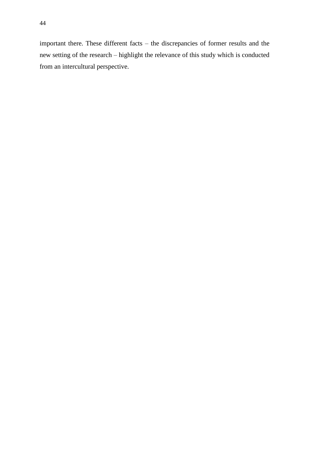important there. These different facts – the discrepancies of former results and the new setting of the research – highlight the relevance of this study which is conducted from an intercultural perspective.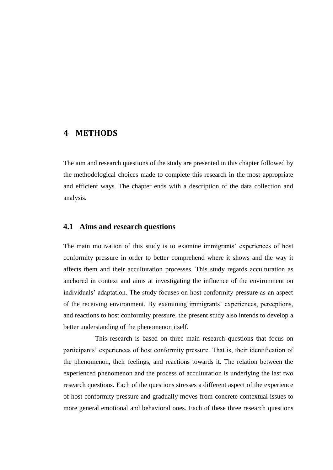## **4 METHODS**

The aim and research questions of the study are presented in this chapter followed by the methodological choices made to complete this research in the most appropriate and efficient ways. The chapter ends with a description of the data collection and analysis.

### **4.1 Aims and research questions**

The main motivation of this study is to examine immigrants' experiences of host conformity pressure in order to better comprehend where it shows and the way it affects them and their acculturation processes. This study regards acculturation as anchored in context and aims at investigating the influence of the environment on individuals' adaptation. The study focuses on host conformity pressure as an aspect of the receiving environment. By examining immigrants' experiences, perceptions, and reactions to host conformity pressure, the present study also intends to develop a better understanding of the phenomenon itself.

This research is based on three main research questions that focus on participants' experiences of host conformity pressure. That is, their identification of the phenomenon, their feelings, and reactions towards it. The relation between the experienced phenomenon and the process of acculturation is underlying the last two research questions. Each of the questions stresses a different aspect of the experience of host conformity pressure and gradually moves from concrete contextual issues to more general emotional and behavioral ones. Each of these three research questions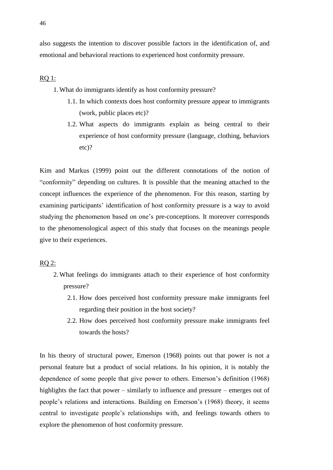## RQ 1:

- 1.What do immigrants identify as host conformity pressure?
	- 1.1. In which contexts does host conformity pressure appear to immigrants (work, public places etc)?
	- 1.2. What aspects do immigrants explain as being central to their experience of host conformity pressure (language, clothing, behaviors etc)?

Kim and Markus (1999) point out the different connotations of the notion of "conformity" depending on cultures. It is possible that the meaning attached to the concept influences the experience of the phenomenon. For this reason, starting by examining participants' identification of host conformity pressure is a way to avoid studying the phenomenon based on one's pre-conceptions. It moreover corresponds to the phenomenological aspect of this study that focuses on the meanings people give to their experiences.

#### RQ 2:

- 2.What feelings do immigrants attach to their experience of host conformity pressure?
	- 2.1. How does perceived host conformity pressure make immigrants feel regarding their position in the host society?
	- 2.2. How does perceived host conformity pressure make immigrants feel towards the hosts?

In his theory of structural power, Emerson (1968) points out that power is not a personal feature but a product of social relations. In his opinion, it is notably the dependence of some people that give power to others. Emerson's definition (1968) highlights the fact that power – similarly to influence and pressure – emerges out of people's relations and interactions. Building on Emerson's (1968) theory, it seems central to investigate people's relationships with, and feelings towards others to explore the phenomenon of host conformity pressure.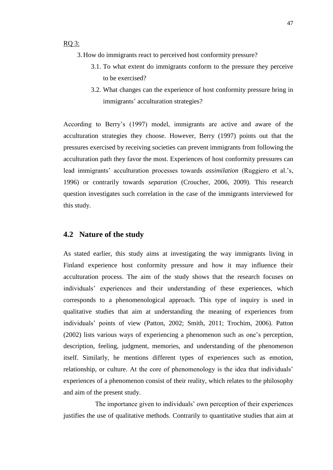- 3. How do immigrants react to perceived host conformity pressure?
	- 3.1. To what extent do immigrants conform to the pressure they perceive to be exercised?
	- 3.2. What changes can the experience of host conformity pressure bring in immigrants' acculturation strategies?

According to Berry's (1997) model, immigrants are active and aware of the acculturation strategies they choose. However, Berry (1997) points out that the pressures exercised by receiving societies can prevent immigrants from following the acculturation path they favor the most. Experiences of host conformity pressures can lead immigrants' acculturation processes towards *assimilation* (Ruggiero et al.'s, 1996) or contrarily towards *separation* (Croucher, 2006, 2009). This research question investigates such correlation in the case of the immigrants interviewed for this study.

### **4.2 Nature of the study**

As stated earlier, this study aims at investigating the way immigrants living in Finland experience host conformity pressure and how it may influence their acculturation process. The aim of the study shows that the research focuses on individuals' experiences and their understanding of these experiences, which corresponds to a phenomenological approach. This type of inquiry is used in qualitative studies that aim at understanding the meaning of experiences from individuals' points of view (Patton, 2002; Smith, 2011; Trochim, 2006). Patton (2002) lists various ways of experiencing a phenomenon such as one's perception, description, feeling, judgment, memories, and understanding of the phenomenon itself. Similarly, he mentions different types of experiences such as emotion, relationship, or culture. At the core of phenomenology is the idea that individuals' experiences of a phenomenon consist of their reality, which relates to the philosophy and aim of the present study.

The importance given to individuals' own perception of their experiences justifies the use of qualitative methods. Contrarily to quantitative studies that aim at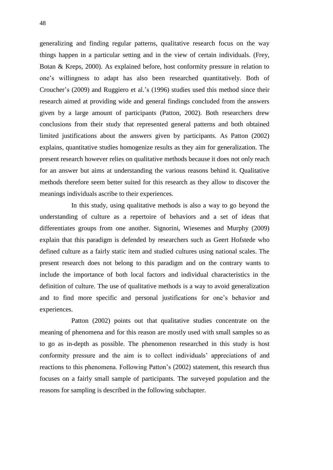generalizing and finding regular patterns, qualitative research focus on the way things happen in a particular setting and in the view of certain individuals. (Frey, Botan & Kreps, 2000). As explained before, host conformity pressure in relation to one's willingness to adapt has also been researched quantitatively. Both of Croucher's (2009) and Ruggiero et al.'s (1996) studies used this method since their research aimed at providing wide and general findings concluded from the answers given by a large amount of participants (Patton, 2002). Both researchers drew conclusions from their study that represented general patterns and both obtained limited justifications about the answers given by participants. As Patton (2002) explains, quantitative studies homogenize results as they aim for generalization. The present research however relies on qualitative methods because it does not only reach for an answer but aims at understanding the various reasons behind it. Qualitative methods therefore seem better suited for this research as they allow to discover the meanings individuals ascribe to their experiences.

In this study, using qualitative methods is also a way to go beyond the understanding of culture as a repertoire of behaviors and a set of ideas that differentiates groups from one another. Signorini, Wiesemes and Murphy (2009) explain that this paradigm is defended by researchers such as Geert Hofstede who defined culture as a fairly static item and studied cultures using national scales. The present research does not belong to this paradigm and on the contrary wants to include the importance of both local factors and individual characteristics in the definition of culture. The use of qualitative methods is a way to avoid generalization and to find more specific and personal justifications for one's behavior and experiences.

Patton (2002) points out that qualitative studies concentrate on the meaning of phenomena and for this reason are mostly used with small samples so as to go as in-depth as possible. The phenomenon researched in this study is host conformity pressure and the aim is to collect individuals' appreciations of and reactions to this phenomena. Following Patton's (2002) statement, this research thus focuses on a fairly small sample of participants. The surveyed population and the reasons for sampling is described in the following subchapter.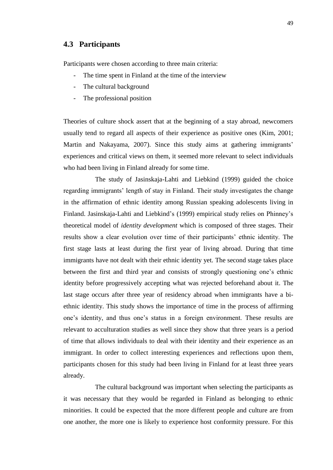## **4.3 Participants**

Participants were chosen according to three main criteria:

- The time spent in Finland at the time of the interview
- The cultural background
- The professional position

Theories of culture shock assert that at the beginning of a stay abroad, newcomers usually tend to regard all aspects of their experience as positive ones (Kim, 2001; Martin and Nakayama, 2007). Since this study aims at gathering immigrants' experiences and critical views on them, it seemed more relevant to select individuals who had been living in Finland already for some time.

The study of Jasinskaja-Lahti and Liebkind (1999) guided the choice regarding immigrants' length of stay in Finland. Their study investigates the change in the affirmation of ethnic identity among Russian speaking adolescents living in Finland. Jasinskaja-Lahti and Liebkind's (1999) empirical study relies on Phinney's theoretical model of *identity development* which is composed of three stages. Their results show a clear evolution over time of their participants' ethnic identity. The first stage lasts at least during the first year of living abroad. During that time immigrants have not dealt with their ethnic identity yet. The second stage takes place between the first and third year and consists of strongly questioning one's ethnic identity before progressively accepting what was rejected beforehand about it. The last stage occurs after three year of residency abroad when immigrants have a biethnic identity. This study shows the importance of time in the process of affirming one's identity, and thus one's status in a foreign environment. These results are relevant to acculturation studies as well since they show that three years is a period of time that allows individuals to deal with their identity and their experience as an immigrant. In order to collect interesting experiences and reflections upon them, participants chosen for this study had been living in Finland for at least three years already.

The cultural background was important when selecting the participants as it was necessary that they would be regarded in Finland as belonging to ethnic minorities. It could be expected that the more different people and culture are from one another, the more one is likely to experience host conformity pressure. For this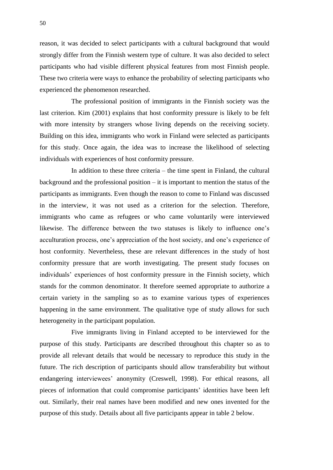reason, it was decided to select participants with a cultural background that would strongly differ from the Finnish western type of culture. It was also decided to select participants who had visible different physical features from most Finnish people. These two criteria were ways to enhance the probability of selecting participants who experienced the phenomenon researched.

The professional position of immigrants in the Finnish society was the last criterion. Kim (2001) explains that host conformity pressure is likely to be felt with more intensity by strangers whose living depends on the receiving society. Building on this idea, immigrants who work in Finland were selected as participants for this study. Once again, the idea was to increase the likelihood of selecting individuals with experiences of host conformity pressure.

In addition to these three criteria – the time spent in Finland, the cultural background and the professional position – it is important to mention the status of the participants as immigrants. Even though the reason to come to Finland was discussed in the interview, it was not used as a criterion for the selection. Therefore, immigrants who came as refugees or who came voluntarily were interviewed likewise. The difference between the two statuses is likely to influence one's acculturation process, one's appreciation of the host society, and one's experience of host conformity. Nevertheless, these are relevant differences in the study of host conformity pressure that are worth investigating. The present study focuses on individuals' experiences of host conformity pressure in the Finnish society, which stands for the common denominator. It therefore seemed appropriate to authorize a certain variety in the sampling so as to examine various types of experiences happening in the same environment. The qualitative type of study allows for such heterogeneity in the participant population.

Five immigrants living in Finland accepted to be interviewed for the purpose of this study. Participants are described throughout this chapter so as to provide all relevant details that would be necessary to reproduce this study in the future. The rich description of participants should allow transferability but without endangering interviewees' anonymity (Creswell, 1998). For ethical reasons, all pieces of information that could compromise participants' identities have been left out. Similarly, their real names have been modified and new ones invented for the purpose of this study. Details about all five participants appear in table 2 below.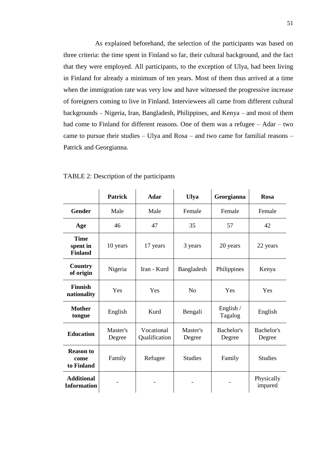As explained beforehand, the selection of the participants was based on three criteria: the time spent in Finland so far, their cultural background, and the fact that they were employed. All participants, to the exception of Ulya, had been living in Finland for already a minimum of ten years. Most of them thus arrived at a time when the immigration rate was very low and have witnessed the progressive increase of foreigners coming to live in Finland. Interviewees all came from different cultural backgrounds – Nigeria, Iran, Bangladesh, Philippines, and Kenya – and most of them had come to Finland for different reasons. One of them was a refugee – Adar – two came to pursue their studies – Ulya and Rosa – and two came for familial reasons – Patrick and Georgianna.

|                                           | <b>Patrick</b>     | <b>Adar</b>                                       | <b>Ulya</b>    | Georgianna           | <b>Rosa</b>           |
|-------------------------------------------|--------------------|---------------------------------------------------|----------------|----------------------|-----------------------|
| <b>Gender</b>                             | Male               | Male                                              | Female         | Female               | Female                |
| Age                                       | 46                 | 47                                                | 35             | 57                   | 42                    |
| <b>Time</b><br>spent in<br><b>Finland</b> | 10 years           | 17 years                                          | 3 years        | 20 years             | 22 years              |
| Country<br>of origin                      | Nigeria            | Iran - Kurd                                       | Bangladesh     | Philippines          | Kenya                 |
| <b>Finnish</b><br>nationality             | Yes                | Yes                                               | N <sub>0</sub> | Yes                  | Yes                   |
| <b>Mother</b><br>tongue                   | English            | Kurd                                              | Bengali        | English /<br>Tagalog | English               |
| <b>Education</b>                          | Master's<br>Degree | Vocational<br>Master's<br>Qualification<br>Degree |                | Bachelor's<br>Degree | Bachelor's<br>Degree  |
| <b>Reason to</b><br>come<br>to Finland    | Family             | Refugee                                           | <b>Studies</b> | Family               | <b>Studies</b>        |
| <b>Additional</b><br><b>Information</b>   |                    |                                                   |                |                      | Physically<br>impared |

TABLE 2: Description of the participants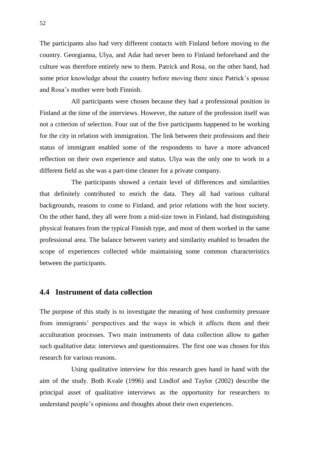The participants also had very different contacts with Finland before moving to the country. Georgianna, Ulya, and Adar had never been to Finland beforehand and the culture was therefore entirely new to them. Patrick and Rosa, on the other hand, had some prior knowledge about the country before moving there since Patrick's spouse and Rosa's mother were both Finnish.

All participants were chosen because they had a professional position in Finland at the time of the interviews. However, the nature of the profession itself was not a criterion of selection. Four out of the five participants happened to be working for the city in relation with immigration. The link between their professions and their status of immigrant enabled some of the respondents to have a more advanced reflection on their own experience and status. Ulya was the only one to work in a different field as she was a part-time cleaner for a private company.

The participants showed a certain level of differences and similarities that definitely contributed to enrich the data. They all had various cultural backgrounds, reasons to come to Finland, and prior relations with the host society. On the other hand, they all were from a mid-size town in Finland, had distinguishing physical features from the typical Finnish type, and most of them worked in the same professional area. The balance between variety and similarity enabled to broaden the scope of experiences collected while maintaining some common characteristics between the participants.

## **4.4 Instrument of data collection**

The purpose of this study is to investigate the meaning of host conformity pressure from immigrants' perspectives and the ways in which it affects them and their acculturation processes. Two main instruments of data collection allow to gather such qualitative data: interviews and questionnaires. The first one was chosen for this research for various reasons.

Using qualitative interview for this research goes hand in hand with the aim of the study. Both Kvale (1996) and Lindlof and Taylor (2002) describe the principal asset of qualitative interviews as the opportunity for researchers to understand people's opinions and thoughts about their own experiences.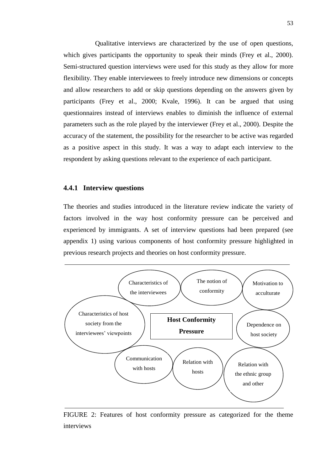Qualitative interviews are characterized by the use of open questions, which gives participants the opportunity to speak their minds (Frey et al., 2000). Semi-structured question interviews were used for this study as they allow for more flexibility. They enable interviewees to freely introduce new dimensions or concepts and allow researchers to add or skip questions depending on the answers given by participants (Frey et al., 2000; Kvale, 1996). It can be argued that using questionnaires instead of interviews enables to diminish the influence of external parameters such as the role played by the interviewer (Frey et al., 2000). Despite the accuracy of the statement, the possibility for the researcher to be active was regarded as a positive aspect in this study. It was a way to adapt each interview to the respondent by asking questions relevant to the experience of each participant.

#### **4.4.1 Interview questions**

The theories and studies introduced in the literature review indicate the variety of factors involved in the way host conformity pressure can be perceived and experienced by immigrants. A set of interview questions had been prepared (see appendix 1) using various components of host conformity pressure highlighted in previous research projects and theories on host conformity pressure.



FIGURE 2: Features of host conformity pressure as categorized for the theme interviews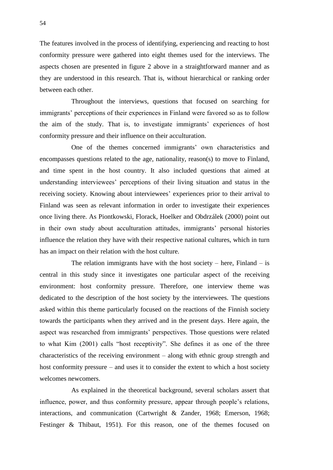The features involved in the process of identifying, experiencing and reacting to host conformity pressure were gathered into eight themes used for the interviews. The aspects chosen are presented in figure 2 above in a straightforward manner and as they are understood in this research. That is, without hierarchical or ranking order between each other.

Throughout the interviews, questions that focused on searching for immigrants' perceptions of their experiences in Finland were favored so as to follow the aim of the study. That is, to investigate immigrants' experiences of host conformity pressure and their influence on their acculturation.

One of the themes concerned immigrants' own characteristics and encompasses questions related to the age, nationality, reason(s) to move to Finland, and time spent in the host country. It also included questions that aimed at understanding interviewees' perceptions of their living situation and status in the receiving society. Knowing about interviewees' experiences prior to their arrival to Finland was seen as relevant information in order to investigate their experiences once living there. As Piontkowski, Florack, Hoelker and Obdrzálek (2000) point out in their own study about acculturation attitudes, immigrants' personal histories influence the relation they have with their respective national cultures, which in turn has an impact on their relation with the host culture.

The relation immigrants have with the host society – here, Finland – is central in this study since it investigates one particular aspect of the receiving environment: host conformity pressure. Therefore, one interview theme was dedicated to the description of the host society by the interviewees. The questions asked within this theme particularly focused on the reactions of the Finnish society towards the participants when they arrived and in the present days. Here again, the aspect was researched from immigrants' perspectives. Those questions were related to what Kim (2001) calls "host receptivity". She defines it as one of the three characteristics of the receiving environment – along with ethnic group strength and host conformity pressure – and uses it to consider the extent to which a host society welcomes newcomers.

As explained in the theoretical background, several scholars assert that influence, power, and thus conformity pressure, appear through people's relations, interactions, and communication (Cartwright & Zander, 1968; Emerson, 1968; Festinger & Thibaut, 1951). For this reason, one of the themes focused on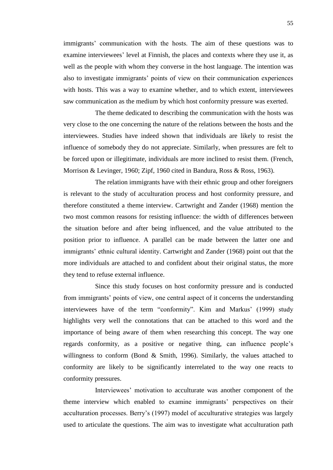immigrants' communication with the hosts. The aim of these questions was to examine interviewees' level at Finnish, the places and contexts where they use it, as well as the people with whom they converse in the host language. The intention was also to investigate immigrants' points of view on their communication experiences with hosts. This was a way to examine whether, and to which extent, interviewees saw communication as the medium by which host conformity pressure was exerted.

The theme dedicated to describing the communication with the hosts was very close to the one concerning the nature of the relations between the hosts and the interviewees. Studies have indeed shown that individuals are likely to resist the influence of somebody they do not appreciate. Similarly, when pressures are felt to be forced upon or illegitimate, individuals are more inclined to resist them. (French, Morrison & Levinger, 1960; Zipf, 1960 cited in Bandura, Ross & Ross, 1963).

The relation immigrants have with their ethnic group and other foreigners is relevant to the study of acculturation process and host conformity pressure, and therefore constituted a theme interview. Cartwright and Zander (1968) mention the two most common reasons for resisting influence: the width of differences between the situation before and after being influenced, and the value attributed to the position prior to influence. A parallel can be made between the latter one and immigrants' ethnic cultural identity. Cartwright and Zander (1968) point out that the more individuals are attached to and confident about their original status, the more they tend to refuse external influence.

Since this study focuses on host conformity pressure and is conducted from immigrants' points of view, one central aspect of it concerns the understanding interviewees have of the term "conformity". Kim and Markus' (1999) study highlights very well the connotations that can be attached to this word and the importance of being aware of them when researching this concept. The way one regards conformity, as a positive or negative thing, can influence people's willingness to conform (Bond & Smith, 1996). Similarly, the values attached to conformity are likely to be significantly interrelated to the way one reacts to conformity pressures.

Interviewees' motivation to acculturate was another component of the theme interview which enabled to examine immigrants' perspectives on their acculturation processes. Berry's (1997) model of acculturative strategies was largely used to articulate the questions. The aim was to investigate what acculturation path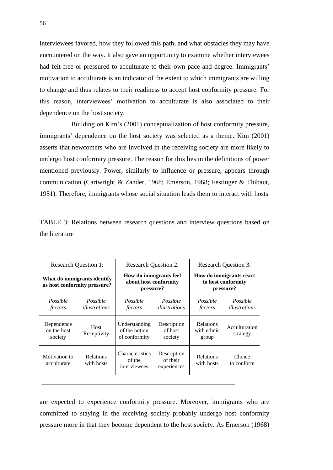interviewees favored, how they followed this path, and what obstacles they may have encountered on the way. It also gave an opportunity to examine whether interviewees had felt free or pressured to acculturate to their own pace and degree. Immigrants' motivation to acculturate is an indicator of the extent to which immigrants are willing to change and thus relates to their readiness to accept host conformity pressure. For this reason, interviewees' motivation to acculturate is also associated to their dependence on the host society.

Building on Kim's (2001) conceptualization of host conformity pressure, immigrants' dependence on the host society was selected as a theme. Kim (2001) asserts that newcomers who are involved in the receiving society are more likely to undergo host conformity pressure. The reason for this lies in the definitions of power mentioned previously. Power, similarly to influence or pressure, appears through communication (Cartwright & Zander, 1968; Emerson, 1968; Festinger & Thibaut, 1951). Therefore, immigrants whose social situation leads them to interact with hosts

| TABLE 3: Relations between research questions and interview questions based on |  |  |  |  |
|--------------------------------------------------------------------------------|--|--|--|--|
| the literature                                                                 |  |  |  |  |

| <b>Research Question 1:</b>                                 |                                | <b>Research Question 2:</b>                                  |                                        | <b>Research Question 3:</b>                                |                           |
|-------------------------------------------------------------|--------------------------------|--------------------------------------------------------------|----------------------------------------|------------------------------------------------------------|---------------------------|
| What do immigrants identify<br>as host conformity pressure? |                                | How do immigrants feel<br>about host conformity<br>pressure? |                                        | How do immigrants react<br>to host conformity<br>pressure? |                           |
| Possible<br>factors                                         | Possible<br>illustrations      | Possible<br>factors                                          | Possible<br>illustrations              | Possible<br>factors                                        | Possible<br>illustrations |
| Dependence<br>on the host<br>society                        | Host<br>Receptivity            | Understanding<br>of the notion<br>of conformity              | Description<br>of host<br>society      | <b>Relations</b><br>with ethnic<br>group                   | Acculturation<br>strategy |
| Motivation to<br>acculturate                                | <b>Relations</b><br>with hosts | <b>Characteristics</b><br>of the<br>interviewees             | Description<br>of their<br>experiences | <b>Relations</b><br>with hosts                             | Choice<br>to conform      |

are expected to experience conformity pressure. Moreover, immigrants who are committed to staying in the receiving society probably undergo host conformity pressure more in that they become dependent to the host society. As Emerson (1968)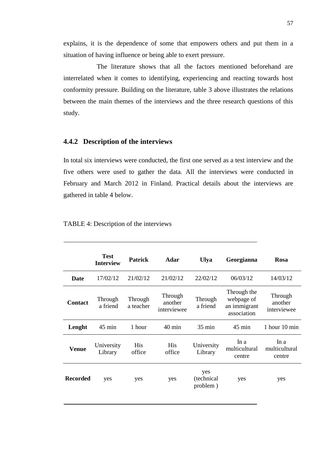explains, it is the dependence of some that empowers others and put them in a situation of having influence or being able to exert pressure.

The literature shows that all the factors mentioned beforehand are interrelated when it comes to identifying, experiencing and reacting towards host conformity pressure. Building on the literature, table 3 above illustrates the relations between the main themes of the interviews and the three research questions of this study.

#### **4.4.2 Description of the interviews**

In total six interviews were conducted, the first one served as a test interview and the five others were used to gather the data. All the interviews were conducted in February and March 2012 in Finland. Practical details about the interviews are gathered in table 4 below.

|                 | <b>Test</b><br><b>Interview</b> | <b>Patrick</b>       | <b>Adar</b>                       | Ulya                          | Georgianna                                               | <b>Rosa</b>                       |
|-----------------|---------------------------------|----------------------|-----------------------------------|-------------------------------|----------------------------------------------------------|-----------------------------------|
| Date            | 17/02/12                        | 21/02/12             | 21/02/12                          | 22/02/12                      | 06/03/12                                                 | 14/03/12                          |
| <b>Contact</b>  | Through<br>a friend             | Through<br>a teacher | Through<br>another<br>interviewee | Through<br>a friend           | Through the<br>webpage of<br>an immigrant<br>association | Through<br>another<br>interviewee |
| Lenght          | $45$ min                        | 1 hour               | $40 \text{ min}$                  | $35 \text{ min}$              | $45 \text{ min}$                                         | 1 hour $10 \text{ min}$           |
| <b>Venue</b>    | University<br>Library           | His<br>office        | His<br>office                     | University<br>Library         | In $a$<br>multicultural<br>centre                        | In a<br>multicultural<br>centre   |
| <b>Recorded</b> | yes                             | yes                  | yes                               | yes<br>(technical<br>problem) | yes                                                      | yes                               |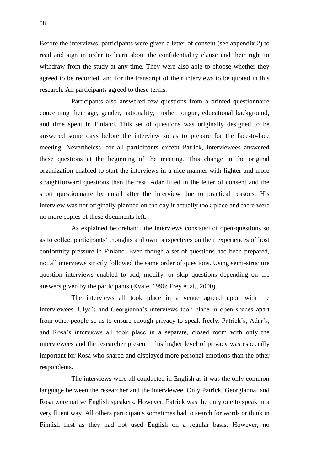Before the interviews, participants were given a letter of consent (see appendix 2) to read and sign in order to learn about the confidentiality clause and their right to withdraw from the study at any time. They were also able to choose whether they agreed to be recorded, and for the transcript of their interviews to be quoted in this research. All participants agreed to these terms.

Participants also answered few questions from a printed questionnaire concerning their age, gender, nationality, mother tongue, educational background, and time spent in Finland. This set of questions was originally designed to be answered some days before the interview so as to prepare for the face-to-face meeting. Nevertheless, for all participants except Patrick, interviewees answered these questions at the beginning of the meeting. This change in the original organization enabled to start the interviews in a nice manner with lighter and more straightforward questions than the rest. Adar filled in the letter of consent and the short questionnaire by email after the interview due to practical reasons. His interview was not originally planned on the day it actually took place and there were no more copies of these documents left.

As explained beforehand, the interviews consisted of open-questions so as to collect participants' thoughts and own perspectives on their experiences of host conformity pressure in Finland. Even though a set of questions had been prepared, not all interviews strictly followed the same order of questions. Using semi-structure question interviews enabled to add, modify, or skip questions depending on the answers given by the participants (Kvale, 1996; Frey et al., 2000).

The interviews all took place in a venue agreed upon with the interviewees. Ulya's and Georgianna's interviews took place in open spaces apart from other people so as to ensure enough privacy to speak freely. Patrick's, Adar's, and Rosa's interviews all took place in a separate, closed room with only the interviewees and the researcher present. This higher level of privacy was especially important for Rosa who shared and displayed more personal emotions than the other respondents.

The interviews were all conducted in English as it was the only common language between the researcher and the interviewee. Only Patrick, Georgianna, and Rosa were native English speakers. However, Patrick was the only one to speak in a very fluent way. All others participants sometimes had to search for words or think in Finnish first as they had not used English on a regular basis. However, no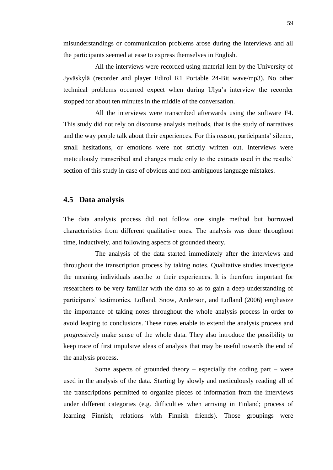misunderstandings or communication problems arose during the interviews and all the participants seemed at ease to express themselves in English.

All the interviews were recorded using material lent by the University of Jyväskylä (recorder and player Edirol R1 Portable 24-Bit wave/mp3). No other technical problems occurred expect when during Ulya's interview the recorder stopped for about ten minutes in the middle of the conversation.

All the interviews were transcribed afterwards using the software F4. This study did not rely on discourse analysis methods, that is the study of narratives and the way people talk about their experiences. For this reason, participants' silence, small hesitations, or emotions were not strictly written out. Interviews were meticulously transcribed and changes made only to the extracts used in the results' section of this study in case of obvious and non-ambiguous language mistakes.

#### **4.5 Data analysis**

The data analysis process did not follow one single method but borrowed characteristics from different qualitative ones. The analysis was done throughout time, inductively, and following aspects of grounded theory.

The analysis of the data started immediately after the interviews and throughout the transcription process by taking notes. Qualitative studies investigate the meaning individuals ascribe to their experiences. It is therefore important for researchers to be very familiar with the data so as to gain a deep understanding of participants' testimonies. Lofland, Snow, Anderson, and Lofland (2006) emphasize the importance of taking notes throughout the whole analysis process in order to avoid leaping to conclusions. These notes enable to extend the analysis process and progressively make sense of the whole data. They also introduce the possibility to keep trace of first impulsive ideas of analysis that may be useful towards the end of the analysis process.

Some aspects of grounded theory – especially the coding part – were used in the analysis of the data. Starting by slowly and meticulously reading all of the transcriptions permitted to organize pieces of information from the interviews under different categories (e.g. difficulties when arriving in Finland; process of learning Finnish; relations with Finnish friends). Those groupings were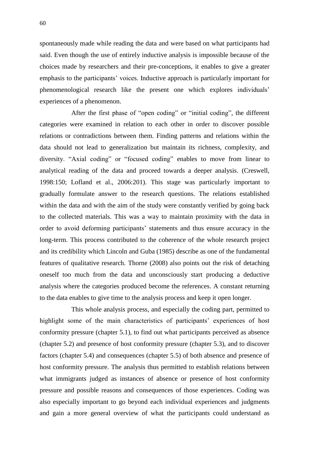spontaneously made while reading the data and were based on what participants had said. Even though the use of entirely inductive analysis is impossible because of the choices made by researchers and their pre-conceptions, it enables to give a greater emphasis to the participants' voices. Inductive approach is particularly important for phenomenological research like the present one which explores individuals' experiences of a phenomenon.

After the first phase of "open coding" or "initial coding", the different categories were examined in relation to each other in order to discover possible relations or contradictions between them. Finding patterns and relations within the data should not lead to generalization but maintain its richness, complexity, and diversity. "Axial coding" or "focused coding" enables to move from linear to analytical reading of the data and proceed towards a deeper analysis. (Creswell, 1998:150; Lofland et al., 2006:201). This stage was particularly important to gradually formulate answer to the research questions. The relations established within the data and with the aim of the study were constantly verified by going back to the collected materials. This was a way to maintain proximity with the data in order to avoid deforming participants' statements and thus ensure accuracy in the long-term. This process contributed to the coherence of the whole research project and its credibility which Lincoln and Guba (1985) describe as one of the fundamental features of qualitative research. Thorne (2008) also points out the risk of detaching oneself too much from the data and unconsciously start producing a deductive analysis where the categories produced become the references. A constant returning to the data enables to give time to the analysis process and keep it open longer.

This whole analysis process, and especially the coding part, permitted to highlight some of the main characteristics of participants' experiences of host conformity pressure (chapter 5.1), to find out what participants perceived as absence (chapter 5.2) and presence of host conformity pressure (chapter 5.3), and to discover factors (chapter 5.4) and consequences (chapter 5.5) of both absence and presence of host conformity pressure. The analysis thus permitted to establish relations between what immigrants judged as instances of absence or presence of host conformity pressure and possible reasons and consequences of those experiences. Coding was also especially important to go beyond each individual experiences and judgments and gain a more general overview of what the participants could understand as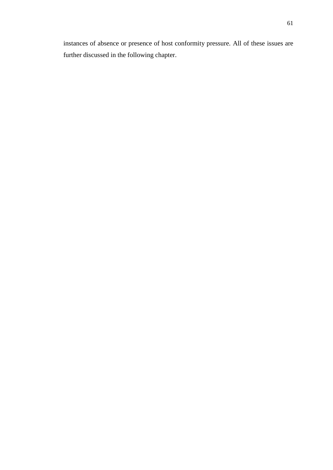instances of absence or presence of host conformity pressure. All of these issues are further discussed in the following chapter.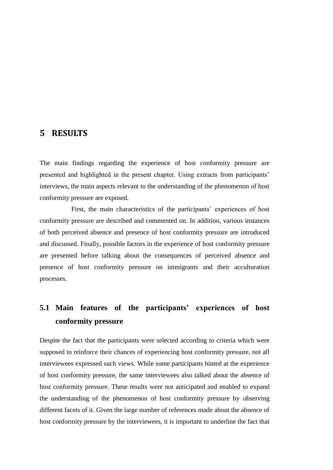## **5 RESULTS**

The main findings regarding the experience of host conformity pressure are presented and highlighted in the present chapter. Using extracts from participants' interviews, the main aspects relevant to the understanding of the phenomenon of host conformity pressure are exposed.

First, the main characteristics of the participants' experiences of host conformity pressure are described and commented on. In addition, various instances of both perceived absence and presence of host conformity pressure are introduced and discussed. Finally, possible factors in the experience of host conformity pressure are presented before talking about the consequences of perceived absence and presence of host conformity pressure on immigrants and their acculturation processes.

# **5.1 Main features of the participants' experiences of host conformity pressure**

Despite the fact that the participants were selected according to criteria which were supposed to reinforce their chances of experiencing host conformity pressure, not all interviewees expressed such views. While some participants hinted at the experience of host conformity pressure, the same interviewees also talked about the absence of host conformity pressure. These results were not anticipated and enabled to expand the understanding of the phenomenon of host conformity pressure by observing different facets of it. Given the large number of references made about the absence of host conformity pressure by the interviewees, it is important to underline the fact that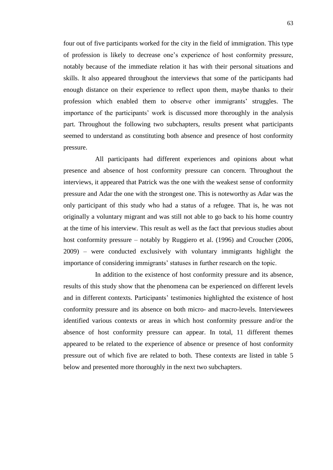four out of five participants worked for the city in the field of immigration. This type of profession is likely to decrease one's experience of host conformity pressure, notably because of the immediate relation it has with their personal situations and skills. It also appeared throughout the interviews that some of the participants had enough distance on their experience to reflect upon them, maybe thanks to their profession which enabled them to observe other immigrants' struggles. The importance of the participants' work is discussed more thoroughly in the analysis part. Throughout the following two subchapters, results present what participants seemed to understand as constituting both absence and presence of host conformity pressure.

All participants had different experiences and opinions about what presence and absence of host conformity pressure can concern. Throughout the interviews, it appeared that Patrick was the one with the weakest sense of conformity pressure and Adar the one with the strongest one. This is noteworthy as Adar was the only participant of this study who had a status of a refugee. That is, he was not originally a voluntary migrant and was still not able to go back to his home country at the time of his interview. This result as well as the fact that previous studies about host conformity pressure – notably by Ruggiero et al. (1996) and Croucher (2006, 2009) – were conducted exclusively with voluntary immigrants highlight the importance of considering immigrants' statuses in further research on the topic.

In addition to the existence of host conformity pressure and its absence, results of this study show that the phenomena can be experienced on different levels and in different contexts. Participants' testimonies highlighted the existence of host conformity pressure and its absence on both micro- and macro-levels. Interviewees identified various contexts or areas in which host conformity pressure and/or the absence of host conformity pressure can appear. In total, 11 different themes appeared to be related to the experience of absence or presence of host conformity pressure out of which five are related to both. These contexts are listed in table 5 below and presented more thoroughly in the next two subchapters.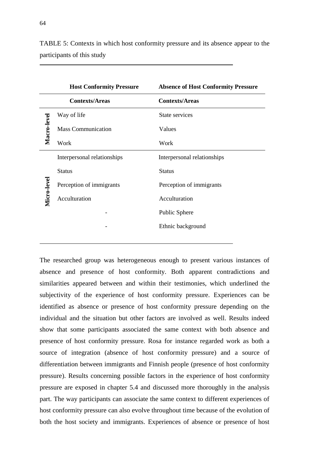|             | <b>Host Conformity Pressure</b> | <b>Absence of Host Conformity Pressure</b> |  |  |
|-------------|---------------------------------|--------------------------------------------|--|--|
|             | <b>Contexts/Areas</b>           | <b>Contexts/Areas</b>                      |  |  |
|             | Way of life                     | State services                             |  |  |
| Macro-level | <b>Mass Communication</b>       | Values                                     |  |  |
|             | Work                            | Work                                       |  |  |
|             | Interpersonal relationships     | Interpersonal relationships                |  |  |
| Micro-level | <b>Status</b>                   | <b>Status</b>                              |  |  |
|             | Perception of immigrants        | Perception of immigrants                   |  |  |
|             | Acculturation                   | Acculturation                              |  |  |
|             |                                 | Public Sphere                              |  |  |
|             |                                 | Ethnic background                          |  |  |
|             |                                 |                                            |  |  |

TABLE 5: Contexts in which host conformity pressure and its absence appear to the participants of this study

The researched group was heterogeneous enough to present various instances of absence and presence of host conformity. Both apparent contradictions and similarities appeared between and within their testimonies, which underlined the subjectivity of the experience of host conformity pressure. Experiences can be identified as absence or presence of host conformity pressure depending on the individual and the situation but other factors are involved as well. Results indeed show that some participants associated the same context with both absence and presence of host conformity pressure. Rosa for instance regarded work as both a source of integration (absence of host conformity pressure) and a source of differentiation between immigrants and Finnish people (presence of host conformity pressure). Results concerning possible factors in the experience of host conformity pressure are exposed in chapter 5.4 and discussed more thoroughly in the analysis part. The way participants can associate the same context to different experiences of host conformity pressure can also evolve throughout time because of the evolution of both the host society and immigrants. Experiences of absence or presence of host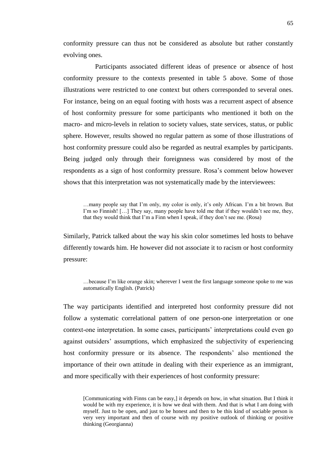conformity pressure can thus not be considered as absolute but rather constantly evolving ones.

Participants associated different ideas of presence or absence of host conformity pressure to the contexts presented in table 5 above. Some of those illustrations were restricted to one context but others corresponded to several ones. For instance, being on an equal footing with hosts was a recurrent aspect of absence of host conformity pressure for some participants who mentioned it both on the macro- and micro-levels in relation to society values, state services, status, or public sphere. However, results showed no regular pattern as some of those illustrations of host conformity pressure could also be regarded as neutral examples by participants. Being judged only through their foreignness was considered by most of the respondents as a sign of host conformity pressure. Rosa's comment below however shows that this interpretation was not systematically made by the interviewees:

…many people say that I'm only, my color is only, it's only African. I'm a bit brown. But I'm so Finnish! [...] They say, many people have told me that if they wouldn't see me, they, that they would think that I'm a Finn when I speak, if they don't see me. (Rosa)

Similarly, Patrick talked about the way his skin color sometimes led hosts to behave differently towards him. He however did not associate it to racism or host conformity pressure:

…because I'm like orange skin; wherever I went the first language someone spoke to me was automatically English. (Patrick)

The way participants identified and interpreted host conformity pressure did not follow a systematic correlational pattern of one person-one interpretation or one context-one interpretation. In some cases, participants' interpretations could even go against outsiders' assumptions, which emphasized the subjectivity of experiencing host conformity pressure or its absence. The respondents' also mentioned the importance of their own attitude in dealing with their experience as an immigrant, and more specifically with their experiences of host conformity pressure:

<sup>[</sup>Communicating with Finns can be easy,] it depends on how, in what situation. But I think it would be with my experience, it is how we deal with them. And that is what I am doing with myself. Just to be open, and just to be honest and then to be this kind of sociable person is very very important and then of course with my positive outlook of thinking or positive thinking (Georgianna)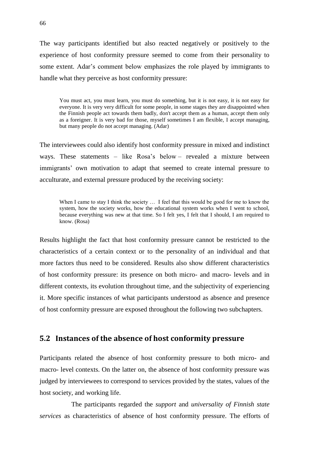The way participants identified but also reacted negatively or positively to the experience of host conformity pressure seemed to come from their personality to some extent. Adar's comment below emphasizes the role played by immigrants to handle what they perceive as host conformity pressure:

You must act, you must learn, you must do something, but it is not easy, it is not easy for everyone. It is very very difficult for some people, in some stages they are disappointed when the Finnish people act towards them badly, don't accept them as a human, accept them only as a foreigner. It is very bad for those, myself sometimes I am flexible, I accept managing, but many people do not accept managing. (Adar)

The interviewees could also identify host conformity pressure in mixed and indistinct ways. These statements – like Rosa's below – revealed a mixture between immigrants' own motivation to adapt that seemed to create internal pressure to acculturate, and external pressure produced by the receiving society:

When I came to stay I think the society ... I feel that this would be good for me to know the system, how the society works, how the educational system works when I went to school, because everything was new at that time. So I felt yes, I felt that I should, I am required to know. (Rosa)

Results highlight the fact that host conformity pressure cannot be restricted to the characteristics of a certain context or to the personality of an individual and that more factors thus need to be considered. Results also show different characteristics of host conformity pressure: its presence on both micro- and macro- levels and in different contexts, its evolution throughout time, and the subjectivity of experiencing it. More specific instances of what participants understood as absence and presence of host conformity pressure are exposed throughout the following two subchapters.

#### **5.2 Instances of the absence of host conformity pressure**

Participants related the absence of host conformity pressure to both micro- and macro- level contexts. On the latter on, the absence of host conformity pressure was judged by interviewees to correspond to services provided by the states, values of the host society, and working life.

The participants regarded the *support* and *universality of Finnish state services* as characteristics of absence of host conformity pressure. The efforts of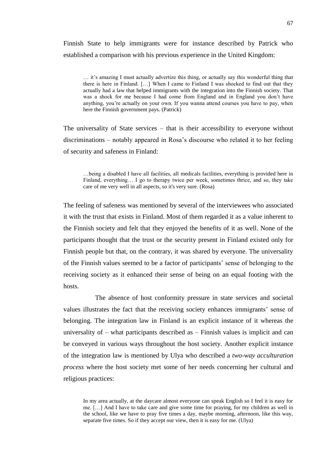Finnish State to help immigrants were for instance described by Patrick who established a comparison with his previous experience in the United Kingdom:

… it's amazing I must actually advertize this thing, or actually say this wonderful thing that there is here in Finland. […] When I came to Finland I was shocked to find out that they actually had a law that helped immigrants with the integration into the Finnish society. That was a shock for me because I had come from England and in England you don't have anything, you're actually on your own. If you wanna attend courses you have to pay, when here the Finnish government pays. (Patrick)

The universality of State services – that is their accessibility to everyone without discriminations – notably appeared in Rosa's discourse who related it to her feeling of security and safeness in Finland:

…being a disabled I have all facilities, all medicals facilities, everything is provided here in Finland, everything… I go to therapy twice per week, sometimes thrice, and so, they take care of me very well in all aspects, so it's very sure. (Rosa)

The feeling of safeness was mentioned by several of the interviewees who associated it with the trust that exists in Finland. Most of them regarded it as a value inherent to the Finnish society and felt that they enjoyed the benefits of it as well. None of the participants thought that the trust or the security present in Finland existed only for Finnish people but that, on the contrary, it was shared by everyone. The universality of the Finnish values seemed to be a factor of participants' sense of belonging to the receiving society as it enhanced their sense of being on an equal footing with the hosts.

The absence of host conformity pressure in state services and societal values illustrates the fact that the receiving society enhances immigrants' sense of belonging. The integration law in Finland is an explicit instance of it whereas the universality of – what participants described as – Finnish values is implicit and can be conveyed in various ways throughout the host society. Another explicit instance of the integration law is mentioned by Ulya who described a *two-way acculturation process* where the host society met some of her needs concerning her cultural and religious practices:

In my area actually, at the daycare almost everyone can speak English so I feel it is easy for me. […] And I have to take care and give some time for praying, for my children as well in the school, like we have to pray five times a day, maybe morning, afternoon, like this way, separate five times. So if they accept our view, then it is easy for me. (Ulya)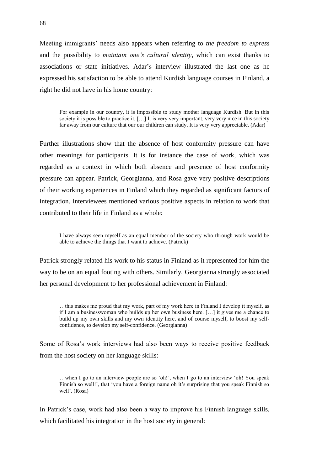Meeting immigrants' needs also appears when referring to *the freedom to express*  and the possibility to *maintain one's cultural identity*, which can exist thanks to associations or state initiatives. Adar's interview illustrated the last one as he expressed his satisfaction to be able to attend Kurdish language courses in Finland, a right he did not have in his home country:

For example in our country, it is impossible to study mother language Kurdish. But in this society it is possible to practice it. […] It is very very important, very very nice in this society far away from our culture that our our children can study. It is very very appreciable. (Adar)

Further illustrations show that the absence of host conformity pressure can have other meanings for participants. It is for instance the case of work, which was regarded as a context in which both absence and presence of host conformity pressure can appear. Patrick, Georgianna, and Rosa gave very positive descriptions of their working experiences in Finland which they regarded as significant factors of integration. Interviewees mentioned various positive aspects in relation to work that contributed to their life in Finland as a whole:

I have always seen myself as an equal member of the society who through work would be able to achieve the things that I want to achieve. (Patrick)

Patrick strongly related his work to his status in Finland as it represented for him the way to be on an equal footing with others. Similarly, Georgianna strongly associated her personal development to her professional achievement in Finland:

…this makes me proud that my work, part of my work here in Finland I develop it myself, as if I am a businesswoman who builds up her own business here. […] it gives me a chance to build up my own skills and my own identity here, and of course myself, to boost my selfconfidence, to develop my self-confidence. (Georgianna)

Some of Rosa's work interviews had also been ways to receive positive feedback from the host society on her language skills:

…when I go to an interview people are so 'oh!', when I go to an interview 'oh! You speak Finnish so well!', that 'you have a foreign name oh it's surprising that you speak Finnish so well'. (Rosa)

In Patrick's case, work had also been a way to improve his Finnish language skills, which facilitated his integration in the host society in general: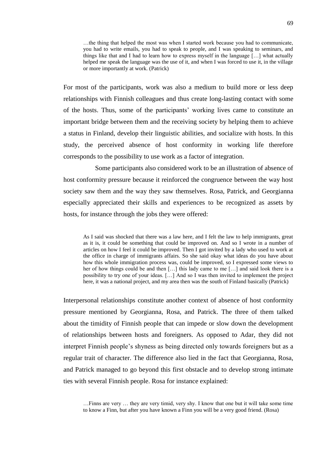…the thing that helped the most was when I started work because you had to communicate, you had to write emails, you had to speak to people, and I was speaking to seminars, and things like that and I had to learn how to express myself in the language […] what actually helped me speak the language was the use of it, and when I was forced to use it, in the village or more importantly at work. (Patrick)

For most of the participants, work was also a medium to build more or less deep relationships with Finnish colleagues and thus create long-lasting contact with some of the hosts. Thus, some of the participants' working lives came to constitute an important bridge between them and the receiving society by helping them to achieve a status in Finland, develop their linguistic abilities, and socialize with hosts. In this study, the perceived absence of host conformity in working life therefore corresponds to the possibility to use work as a factor of integration.

Some participants also considered work to be an illustration of absence of host conformity pressure because it reinforced the congruence between the way host society saw them and the way they saw themselves. Rosa, Patrick, and Georgianna especially appreciated their skills and experiences to be recognized as assets by hosts, for instance through the jobs they were offered:

As I said was shocked that there was a law here, and I felt the law to help immigrants, great as it is, it could be something that could be improved on. And so I wrote in a number of articles on how I feel it could be improved. Then I got invited by a lady who used to work at the office in charge of immigrants affairs. So she said okay what ideas do you have about how this whole immigration process was, could be improved, so I expressed some views to her of how things could be and then […] this lady came to me […] and said look there is a possibility to try one of your ideas. […] And so I was then invited to implement the project here, it was a national project, and my area then was the south of Finland basically (Patrick)

Interpersonal relationships constitute another context of absence of host conformity pressure mentioned by Georgianna, Rosa, and Patrick. The three of them talked about the timidity of Finnish people that can impede or slow down the development of relationships between hosts and foreigners. As opposed to Adar, they did not interpret Finnish people's shyness as being directed only towards foreigners but as a regular trait of character. The difference also lied in the fact that Georgianna, Rosa, and Patrick managed to go beyond this first obstacle and to develop strong intimate ties with several Finnish people. Rosa for instance explained:

…Finns are very … they are very timid, very shy. I know that one but it will take some time to know a Finn, but after you have known a Finn you will be a very good friend. (Rosa)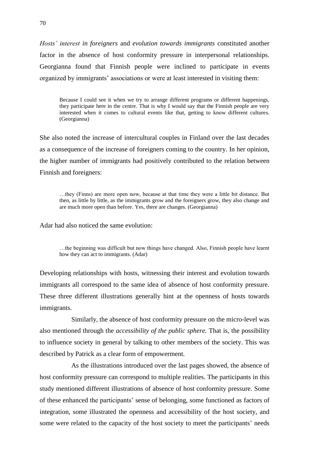*Hosts' interest in foreigners* and *evolution towards immigrants* constituted another factor in the absence of host conformity pressure in interpersonal relationships. Georgianna found that Finnish people were inclined to participate in events organized by immigrants' associations or were at least interested in visiting them:

Because I could see it when we try to arrange different programs or different happenings, they participate here in the centre. That is why I would say that the Finnish people are very interested when it comes to cultural events like that, getting to know different cultures. (Georgianna)

She also noted the increase of intercultural couples in Finland over the last decades as a consequence of the increase of foreigners coming to the country. In her opinion, the higher number of immigrants had positively contributed to the relation between Finnish and foreigners:

…they (Finns) are more open now, because at that time they were a little bit distance. But then, as little by little, as the immigrants grow and the foreigners grow, they also change and are much more open than before. Yes, there are changes. (Georgianna)

Adar had also noticed the same evolution:

…the beginning was difficult but now things have changed. Also, Finnish people have learnt how they can act to immigrants. (Adar)

Developing relationships with hosts, witnessing their interest and evolution towards immigrants all correspond to the same idea of absence of host conformity pressure. These three different illustrations generally hint at the openness of hosts towards immigrants.

Similarly, the absence of host conformity pressure on the micro-level was also mentioned through the *accessibility of the public sphere.* That is, the possibility to influence society in general by talking to other members of the society. This was described by Patrick as a clear form of empowerment.

As the illustrations introduced over the last pages showed, the absence of host conformity pressure can correspond to multiple realities. The participants in this study mentioned different illustrations of absence of host conformity pressure. Some of these enhanced the participants' sense of belonging, some functioned as factors of integration, some illustrated the openness and accessibility of the host society, and some were related to the capacity of the host society to meet the participants' needs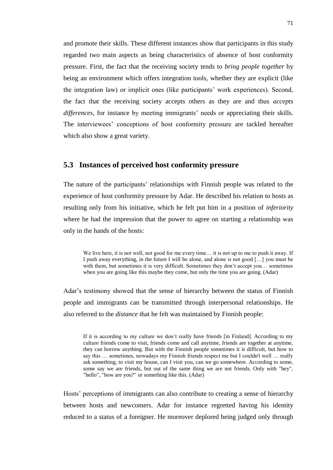and promote their skills. These different instances show that participants in this study regarded two main aspects as being characteristics of absence of host conformity pressure. First, the fact that the receiving society tends to *bring people together* by being an environment which offers integration tools, whether they are explicit (like the integration law) or implicit ones (like participants' work experiences). Second, the fact that the receiving society accepts others as they are and thus *accepts differences*, for instance by meeting immigrants' needs or appreciating their skills. The interviewees' conceptions of host conformity pressure are tackled hereafter which also show a great variety.

#### **5.3 Instances of perceived host conformity pressure**

The nature of the participants' relationships with Finnish people was related to the experience of host conformity pressure by Adar. He described his relation to hosts as resulting only from his initiative, which he felt put him in a position of *inferiority*  where he had the impression that the power to agree on starting a relationship was only in the hands of the hosts:

We live here, it is not well, not good for me every time... it is not up to me to push it away. If I push away everything, in the future I will be alone, and alone is not good […] you must be with them, but sometimes it is very difficult. Sometimes they don't accept you… sometimes when you are going like this maybe they come, but only the time you are going. (Adar)

Adar's testimony showed that the sense of hierarchy between the status of Finnish people and immigrants can be transmitted through interpersonal relationships. He also referred to the *distance* that he felt was maintained by Finnish people:

If it is according to my culture we don't really have friends [in Finland]. According to my culture friends come to visit, friends come and call anytime, friends are together at anytime, they can borrow anything. But with the Finnish people sometimes it is difficult, but how to say this … sometimes, nowadays my Finnish friends respect me but I couldn't well … really ask something; to visit my house, can I visit you, can we go somewhere. According to some, some say we are friends, but out of the same thing we are not friends. Only with "hey", "hello", "how are you?" or something like this. (Adar)

Hosts' perceptions of immigrants can also contribute to creating a sense of hierarchy between hosts and newcomers. Adar for instance regretted having his identity reduced to a status of a foreigner. He moreover deplored being judged only through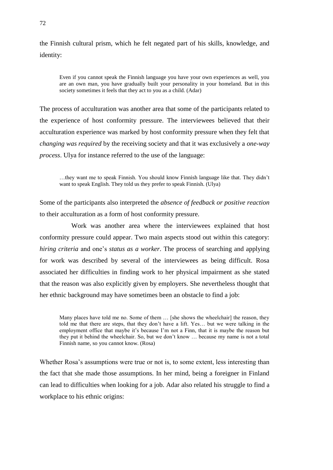the Finnish cultural prism, which he felt negated part of his skills, knowledge, and identity:

Even if you cannot speak the Finnish language you have your own experiences as well, you are an own man, you have gradually built your personality in your homeland. But in this society sometimes it feels that they act to you as a child. (Adar)

The process of acculturation was another area that some of the participants related to the experience of host conformity pressure. The interviewees believed that their acculturation experience was marked by host conformity pressure when they felt that *changing was required* by the receiving society and that it was exclusively a *one-way process*. Ulya for instance referred to the use of the language:

…they want me to speak Finnish. You should know Finnish language like that. They didn't want to speak English. They told us they prefer to speak Finnish. (Ulya)

Some of the participants also interpreted the *absence of feedback or positive reaction* to their acculturation as a form of host conformity pressure.

Work was another area where the interviewees explained that host conformity pressure could appear. Two main aspects stood out within this category: *hiring criteria* and one's *status as a worker*. The process of searching and applying for work was described by several of the interviewees as being difficult. Rosa associated her difficulties in finding work to her physical impairment as she stated that the reason was also explicitly given by employers. She nevertheless thought that her ethnic background may have sometimes been an obstacle to find a job:

Many places have told me no. Some of them ... [she shows the wheelchair] the reason, they told me that there are steps, that they don't have a lift. Yes… but we were talking in the employment office that maybe it's because I'm not a Finn, that it is maybe the reason but they put it behind the wheelchair. So, but we don't know … because my name is not a total Finnish name, so you cannot know. (Rosa)

Whether Rosa's assumptions were true or not is, to some extent, less interesting than the fact that she made those assumptions. In her mind, being a foreigner in Finland can lead to difficulties when looking for a job. Adar also related his struggle to find a workplace to his ethnic origins: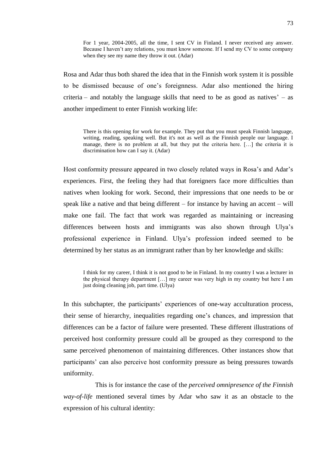For 1 year, 2004-2005, all the time, I sent CV in Finland. I never received any answer. Because I haven't any relations, you must know someone. If I send my CV to some company when they see my name they throw it out. (Adar)

Rosa and Adar thus both shared the idea that in the Finnish work system it is possible to be dismissed because of one's foreignness. Adar also mentioned the hiring criteria – and notably the language skills that need to be as good as natives' – as another impediment to enter Finnish working life:

There is this opening for work for example. They put that you must speak Finnish language, writing, reading, speaking well. But it's not as well as the Finnish people our language. I manage, there is no problem at all, but they put the criteria here. […] the criteria it is discrimination how can I say it. (Adar)

Host conformity pressure appeared in two closely related ways in Rosa's and Adar's experiences. First, the feeling they had that foreigners face more difficulties than natives when looking for work. Second, their impressions that one needs to be or speak like a native and that being different – for instance by having an accent – will make one fail. The fact that work was regarded as maintaining or increasing differences between hosts and immigrants was also shown through Ulya's professional experience in Finland. Ulya's profession indeed seemed to be determined by her status as an immigrant rather than by her knowledge and skills:

I think for my career, I think it is not good to be in Finland. In my country I was a lecturer in the physical therapy department […] my career was very high in my country but here I am just doing cleaning job, part time. (Ulya)

In this subchapter, the participants' experiences of one-way acculturation process, their sense of hierarchy, inequalities regarding one's chances, and impression that differences can be a factor of failure were presented. These different illustrations of perceived host conformity pressure could all be grouped as they correspond to the same perceived phenomenon of maintaining differences. Other instances show that participants' can also perceive host conformity pressure as being pressures towards uniformity.

This is for instance the case of the *perceived omnipresence of the Finnish way-of-life* mentioned several times by Adar who saw it as an obstacle to the expression of his cultural identity: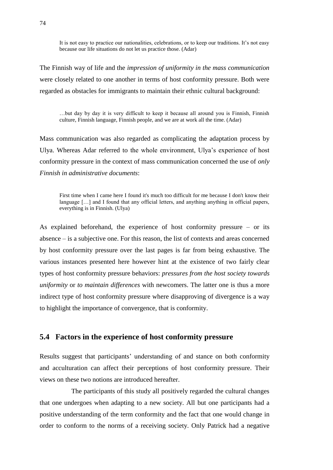It is not easy to practice our nationalities, celebrations, or to keep our traditions. It's not easy because our life situations do not let us practice those. (Adar)

The Finnish way of life and the *impression of uniformity in the mass communication* were closely related to one another in terms of host conformity pressure. Both were regarded as obstacles for immigrants to maintain their ethnic cultural background:

…but day by day it is very difficult to keep it because all around you is Finnish, Finnish culture, Finnish language, Finnish people, and we are at work all the time. (Adar)

Mass communication was also regarded as complicating the adaptation process by Ulya. Whereas Adar referred to the whole environment, Ulya's experience of host conformity pressure in the context of mass communication concerned the use of *only Finnish in administrative documents*:

First time when I came here I found it's much too difficult for me because I don't know their language […] and I found that any official letters, and anything anything in official papers, everything is in Finnish. (Ulya)

As explained beforehand, the experience of host conformity pressure – or its absence – is a subjective one. For this reason, the list of contexts and areas concerned by host conformity pressure over the last pages is far from being exhaustive. The various instances presented here however hint at the existence of two fairly clear types of host conformity pressure behaviors: *pressures from the host society towards uniformity* or *to maintain differences* with newcomers. The latter one is thus a more indirect type of host conformity pressure where disapproving of divergence is a way to highlight the importance of convergence, that is conformity.

#### **5.4 Factors in the experience of host conformity pressure**

Results suggest that participants' understanding of and stance on both conformity and acculturation can affect their perceptions of host conformity pressure. Their views on these two notions are introduced hereafter.

The participants of this study all positively regarded the cultural changes that one undergoes when adapting to a new society. All but one participants had a positive understanding of the term conformity and the fact that one would change in order to conform to the norms of a receiving society. Only Patrick had a negative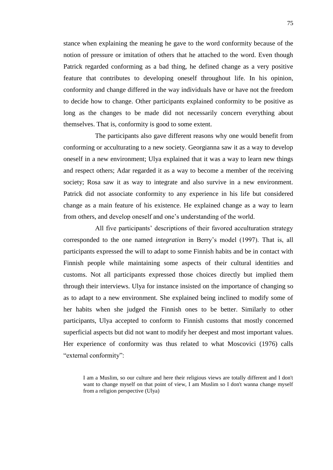stance when explaining the meaning he gave to the word conformity because of the notion of pressure or imitation of others that he attached to the word. Even though Patrick regarded conforming as a bad thing, he defined change as a very positive feature that contributes to developing oneself throughout life. In his opinion, conformity and change differed in the way individuals have or have not the freedom to decide how to change. Other participants explained conformity to be positive as long as the changes to be made did not necessarily concern everything about themselves. That is, conformity is good to some extent.

The participants also gave different reasons why one would benefit from conforming or acculturating to a new society. Georgianna saw it as a way to develop oneself in a new environment; Ulya explained that it was a way to learn new things and respect others; Adar regarded it as a way to become a member of the receiving society; Rosa saw it as way to integrate and also survive in a new environment. Patrick did not associate conformity to any experience in his life but considered change as a main feature of his existence. He explained change as a way to learn from others, and develop oneself and one's understanding of the world.

All five participants' descriptions of their favored acculturation strategy corresponded to the one named *integration* in Berry's model (1997). That is, all participants expressed the will to adapt to some Finnish habits and be in contact with Finnish people while maintaining some aspects of their cultural identities and customs. Not all participants expressed those choices directly but implied them through their interviews. Ulya for instance insisted on the importance of changing so as to adapt to a new environment. She explained being inclined to modify some of her habits when she judged the Finnish ones to be better. Similarly to other participants, Ulya accepted to conform to Finnish customs that mostly concerned superficial aspects but did not want to modify her deepest and most important values. Her experience of conformity was thus related to what Moscovici (1976) calls "external conformity":

I am a Muslim, so our culture and here their religious views are totally different and I don't want to change myself on that point of view, I am Muslim so I don't wanna change myself from a religion perspective (Ulya)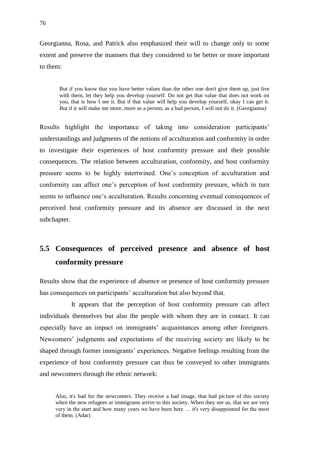Georgianna, Rosa, and Patrick also emphasized their will to change only to some extent and preserve the manners that they considered to be better or more important to them:

But if you know that you have better values than the other one don't give them up, just live with them, let they help you develop yourself. Do not get that value that does not work on you, that is how I see it. But if that value will help you develop yourself, okay I can get it. But if it will make me more, more as a person, as a bad person, I will not do it. (Georgianna)

Results highlight the importance of taking into consideration participants' understandings and judgments of the notions of acculturation and conformity in order to investigate their experiences of host conformity pressure and their possible consequences. The relation between acculturation, conformity, and host conformity pressure seems to be highly intertwined. One's conception of acculturation and conformity can affect one's perception of host conformity pressure, which in turn seems to influence one's acculturation. Results concerning eventual consequences of perceived host conformity pressure and its absence are discussed in the next subchapter.

# **5.5 Consequences of perceived presence and absence of host conformity pressure**

Results show that the experience of absence or presence of host conformity pressure has consequences on participants' acculturation but also beyond that.

It appears that the perception of host conformity pressure can affect individuals themselves but also the people with whom they are in contact. It can especially have an impact on immigrants' acquaintances among other foreigners. Newcomers' judgments and expectations of the receiving society are likely to be shaped through former immigrants' experiences. Negative feelings resulting from the experience of host conformity pressure can thus be conveyed to other immigrants and newcomers through the ethnic network:

Also, it's bad for the newcomers. They receive a bad image, that bad picture of this society when the new refugees or immigrants arrive to this society. When they see us, that we are very very in the start and how many years we have been here … it's very disappointed for the most of them. (Adar)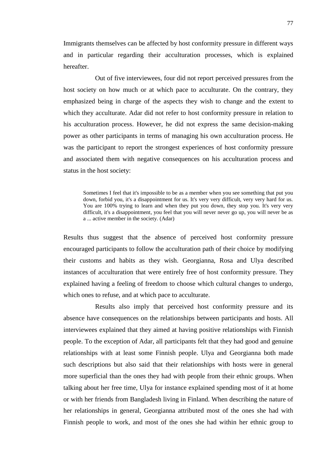Immigrants themselves can be affected by host conformity pressure in different ways and in particular regarding their acculturation processes, which is explained hereafter.

Out of five interviewees, four did not report perceived pressures from the host society on how much or at which pace to acculturate. On the contrary, they emphasized being in charge of the aspects they wish to change and the extent to which they acculturate. Adar did not refer to host conformity pressure in relation to his acculturation process. However, he did not express the same decision-making power as other participants in terms of managing his own acculturation process. He was the participant to report the strongest experiences of host conformity pressure and associated them with negative consequences on his acculturation process and status in the host society:

Sometimes I feel that it's impossible to be as a member when you see something that put you down, forbid you, it's a disappointment for us. It's very very difficult, very very hard for us. You are 100% trying to learn and when they put you down, they stop you. It's very very difficult, it's a disappointment, you feel that you will never never go up, you will never be as a ... active member in the society. (Adar)

Results thus suggest that the absence of perceived host conformity pressure encouraged participants to follow the acculturation path of their choice by modifying their customs and habits as they wish. Georgianna, Rosa and Ulya described instances of acculturation that were entirely free of host conformity pressure. They explained having a feeling of freedom to choose which cultural changes to undergo, which ones to refuse, and at which pace to acculturate.

Results also imply that perceived host conformity pressure and its absence have consequences on the relationships between participants and hosts. All interviewees explained that they aimed at having positive relationships with Finnish people. To the exception of Adar, all participants felt that they had good and genuine relationships with at least some Finnish people. Ulya and Georgianna both made such descriptions but also said that their relationships with hosts were in general more superficial than the ones they had with people from their ethnic groups. When talking about her free time, Ulya for instance explained spending most of it at home or with her friends from Bangladesh living in Finland. When describing the nature of her relationships in general, Georgianna attributed most of the ones she had with Finnish people to work, and most of the ones she had within her ethnic group to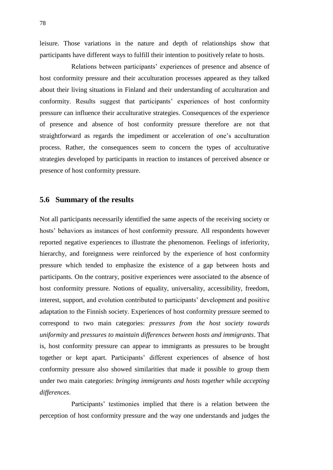leisure. Those variations in the nature and depth of relationships show that participants have different ways to fulfill their intention to positively relate to hosts.

Relations between participants' experiences of presence and absence of host conformity pressure and their acculturation processes appeared as they talked about their living situations in Finland and their understanding of acculturation and conformity. Results suggest that participants' experiences of host conformity pressure can influence their acculturative strategies. Consequences of the experience of presence and absence of host conformity pressure therefore are not that straightforward as regards the impediment or acceleration of one's acculturation process. Rather, the consequences seem to concern the types of acculturative strategies developed by participants in reaction to instances of perceived absence or presence of host conformity pressure.

#### **5.6 Summary of the results**

Not all participants necessarily identified the same aspects of the receiving society or hosts' behaviors as instances of host conformity pressure. All respondents however reported negative experiences to illustrate the phenomenon. Feelings of inferiority, hierarchy, and foreignness were reinforced by the experience of host conformity pressure which tended to emphasize the existence of a gap between hosts and participants. On the contrary, positive experiences were associated to the absence of host conformity pressure. Notions of equality, universality, accessibility, freedom, interest, support, and evolution contributed to participants' development and positive adaptation to the Finnish society. Experiences of host conformity pressure seemed to correspond to two main categories: *pressures from the host society towards uniformity* and *pressures to maintain differences between hosts and immigrants*. That is, host conformity pressure can appear to immigrants as pressures to be brought together or kept apart. Participants' different experiences of absence of host conformity pressure also showed similarities that made it possible to group them under two main categories: *bringing immigrants and hosts together* while *accepting differences*.

Participants' testimonies implied that there is a relation between the perception of host conformity pressure and the way one understands and judges the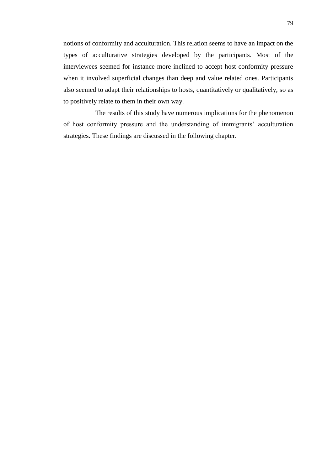notions of conformity and acculturation. This relation seems to have an impact on the types of acculturative strategies developed by the participants. Most of the interviewees seemed for instance more inclined to accept host conformity pressure when it involved superficial changes than deep and value related ones. Participants also seemed to adapt their relationships to hosts, quantitatively or qualitatively, so as to positively relate to them in their own way.

The results of this study have numerous implications for the phenomenon of host conformity pressure and the understanding of immigrants' acculturation strategies. These findings are discussed in the following chapter.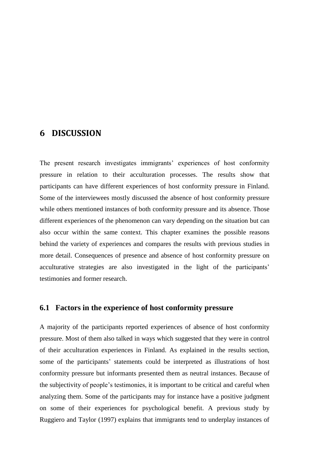### **6 DISCUSSION**

The present research investigates immigrants' experiences of host conformity pressure in relation to their acculturation processes. The results show that participants can have different experiences of host conformity pressure in Finland. Some of the interviewees mostly discussed the absence of host conformity pressure while others mentioned instances of both conformity pressure and its absence. Those different experiences of the phenomenon can vary depending on the situation but can also occur within the same context. This chapter examines the possible reasons behind the variety of experiences and compares the results with previous studies in more detail. Consequences of presence and absence of host conformity pressure on acculturative strategies are also investigated in the light of the participants' testimonies and former research.

#### **6.1 Factors in the experience of host conformity pressure**

A majority of the participants reported experiences of absence of host conformity pressure. Most of them also talked in ways which suggested that they were in control of their acculturation experiences in Finland. As explained in the results section, some of the participants' statements could be interpreted as illustrations of host conformity pressure but informants presented them as neutral instances. Because of the subjectivity of people's testimonies, it is important to be critical and careful when analyzing them. Some of the participants may for instance have a positive judgment on some of their experiences for psychological benefit. A previous study by Ruggiero and Taylor (1997) explains that immigrants tend to underplay instances of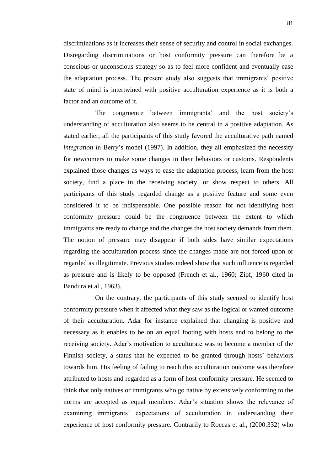discriminations as it increases their sense of security and control in social exchanges. Disregarding discriminations or host conformity pressure can therefore be a conscious or unconscious strategy so as to feel more confident and eventually ease the adaptation process. The present study also suggests that immigrants' positive state of mind is intertwined with positive acculturation experience as it is both a factor and an outcome of it.

The congruence between immigrants' and the host society's understanding of acculturation also seems to be central in a positive adaptation. As stated earlier, all the participants of this study favored the acculturative path named *integration* in Berry's model (1997). In addition, they all emphasized the necessity for newcomers to make some changes in their behaviors or customs. Respondents explained those changes as ways to ease the adaptation process, learn from the host society, find a place in the receiving society, or show respect to others. All participants of this study regarded change as a positive feature and some even considered it to be indispensable. One possible reason for not identifying host conformity pressure could be the congruence between the extent to which immigrants are ready to change and the changes the host society demands from them. The notion of pressure may disappear if both sides have similar expectations regarding the acculturation process since the changes made are not forced upon or regarded as illegitimate. Previous studies indeed show that such influence is regarded as pressure and is likely to be opposed (French et al., 1960; Zipf, 1960 cited in Bandura et al., 1963).

On the contrary, the participants of this study seemed to identify host conformity pressure when it affected what they saw as the logical or wanted outcome of their acculturation. Adar for instance explained that changing is positive and necessary as it enables to be on an equal footing with hosts and to belong to the receiving society. Adar's motivation to acculturate was to become a member of the Finnish society, a status that he expected to be granted through hosts' behaviors towards him. His feeling of failing to reach this acculturation outcome was therefore attributed to hosts and regarded as a form of host conformity pressure. He seemed to think that only natives or immigrants who go native by extensively conforming to the norms are accepted as equal members. Adar's situation shows the relevance of examining immigrants' expectations of acculturation in understanding their experience of host conformity pressure. Contrarily to Roccas et al., (2000:332) who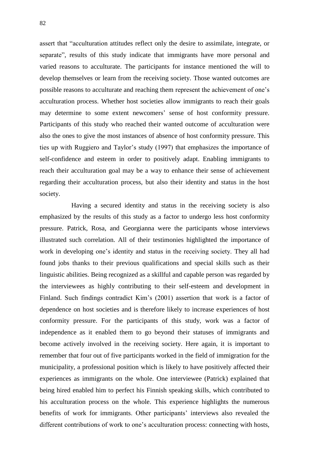assert that "acculturation attitudes reflect only the desire to assimilate, integrate, or separate", results of this study indicate that immigrants have more personal and varied reasons to acculturate. The participants for instance mentioned the will to develop themselves or learn from the receiving society. Those wanted outcomes are possible reasons to acculturate and reaching them represent the achievement of one's acculturation process. Whether host societies allow immigrants to reach their goals may determine to some extent newcomers' sense of host conformity pressure. Participants of this study who reached their wanted outcome of acculturation were also the ones to give the most instances of absence of host conformity pressure. This ties up with Ruggiero and Taylor's study (1997) that emphasizes the importance of self-confidence and esteem in order to positively adapt. Enabling immigrants to reach their acculturation goal may be a way to enhance their sense of achievement regarding their acculturation process, but also their identity and status in the host society.

Having a secured identity and status in the receiving society is also emphasized by the results of this study as a factor to undergo less host conformity pressure. Patrick, Rosa, and Georgianna were the participants whose interviews illustrated such correlation. All of their testimonies highlighted the importance of work in developing one's identity and status in the receiving society. They all had found jobs thanks to their previous qualifications and special skills such as their linguistic abilities. Being recognized as a skillful and capable person was regarded by the interviewees as highly contributing to their self-esteem and development in Finland. Such findings contradict Kim's (2001) assertion that work is a factor of dependence on host societies and is therefore likely to increase experiences of host conformity pressure. For the participants of this study, work was a factor of independence as it enabled them to go beyond their statuses of immigrants and become actively involved in the receiving society. Here again, it is important to remember that four out of five participants worked in the field of immigration for the municipality, a professional position which is likely to have positively affected their experiences as immigrants on the whole. One interviewee (Patrick) explained that being hired enabled him to perfect his Finnish speaking skills, which contributed to his acculturation process on the whole. This experience highlights the numerous benefits of work for immigrants. Other participants' interviews also revealed the different contributions of work to one's acculturation process: connecting with hosts,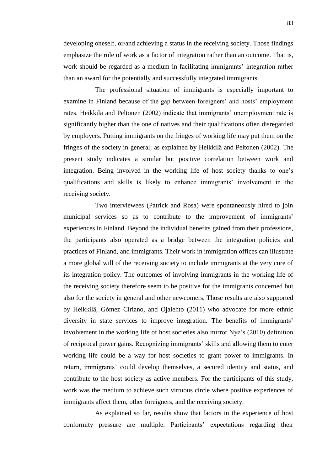developing oneself, or/and achieving a status in the receiving society. Those findings emphasize the role of work as a factor of integration rather than an outcome. That is, work should be regarded as a medium in facilitating immigrants' integration rather than an award for the potentially and successfully integrated immigrants.

The professional situation of immigrants is especially important to examine in Finland because of the gap between foreigners' and hosts' employment rates. Heikkilä and Peltonen (2002) indicate that immigrants' unemployment rate is significantly higher than the one of natives and their qualifications often disregarded by employers. Putting immigrants on the fringes of working life may put them on the fringes of the society in general; as explained by Heikkilä and Peltonen (2002). The present study indicates a similar but positive correlation between work and integration. Being involved in the working life of host society thanks to one's qualifications and skills is likely to enhance immigrants' involvement in the receiving society.

Two interviewees (Patrick and Rosa) were spontaneously hired to join municipal services so as to contribute to the improvement of immigrants' experiences in Finland. Beyond the individual benefits gained from their professions, the participants also operated as a bridge between the integration policies and practices of Finland, and immigrants. Their work in immigration offices can illustrate a more global will of the receiving society to include immigrants at the very core of its integration policy. The outcomes of involving immigrants in the working life of the receiving society therefore seem to be positive for the immigrants concerned but also for the society in general and other newcomers. Those results are also supported by Heikkilä, Gómez Ciriano, and Ojalehto (2011) who advocate for more ethnic diversity in state services to improve integration. The benefits of immigrants' involvement in the working life of host societies also mirror Nye's (2010) definition of reciprocal power gains. Recognizing immigrants' skills and allowing them to enter working life could be a way for host societies to grant power to immigrants. In return, immigrants' could develop themselves, a secured identity and status, and contribute to the host society as active members. For the participants of this study, work was the medium to achieve such virtuous circle where positive experiences of immigrants affect them, other foreigners, and the receiving society.

As explained so far, results show that factors in the experience of host conformity pressure are multiple. Participants' expectations regarding their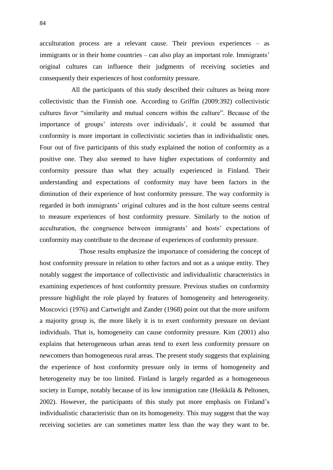acculturation process are a relevant cause. Their previous experiences – as immigrants or in their home countries – can also play an important role. Immigrants' original cultures can influence their judgments of receiving societies and consequently their experiences of host conformity pressure.

All the participants of this study described their cultures as being more collectivistic than the Finnish one. According to Griffin (2009:392) collectivistic cultures favor "similarity and mutual concern within the culture". Because of the importance of groups' interests over individuals', it could be assumed that conformity is more important in collectivistic societies than in individualistic ones. Four out of five participants of this study explained the notion of conformity as a positive one. They also seemed to have higher expectations of conformity and conformity pressure than what they actually experienced in Finland. Their understanding and expectations of conformity may have been factors in the diminution of their experience of host conformity pressure. The way conformity is regarded in both immigrants' original cultures and in the host culture seems central to measure experiences of host conformity pressure. Similarly to the notion of acculturation, the congruence between immigrants' and hosts' expectations of conformity may contribute to the decrease of experiences of conformity pressure.

Those results emphasize the importance of considering the concept of host conformity pressure in relation to other factors and not as a unique entity. They notably suggest the importance of collectivistic and individualistic characteristics in examining experiences of host conformity pressure. Previous studies on conformity pressure highlight the role played by features of homogeneity and heterogeneity. Moscovici (1976) and Cartwright and Zander (1968) point out that the more uniform a majority group is, the more likely it is to exert conformity pressure on deviant individuals. That is, homogeneity can cause conformity pressure. Kim (2001) also explains that heterogeneous urban areas tend to exert less conformity pressure on newcomers than homogeneous rural areas. The present study suggests that explaining the experience of host conformity pressure only in terms of homogeneity and heterogeneity may be too limited. Finland is largely regarded as a homogeneous society in Europe, notably because of its low immigration rate (Heikkilä & Peltonen, 2002). However, the participants of this study put more emphasis on Finland's individualistic characteristic than on its homogeneity. This may suggest that the way receiving societies are can sometimes matter less than the way they want to be.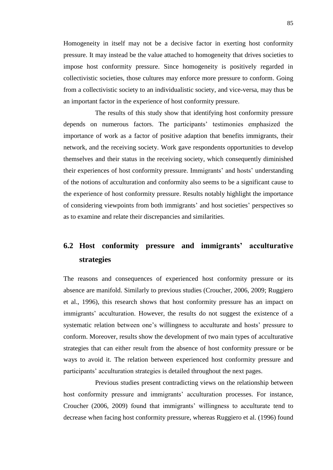Homogeneity in itself may not be a decisive factor in exerting host conformity pressure. It may instead be the value attached to homogeneity that drives societies to impose host conformity pressure. Since homogeneity is positively regarded in collectivistic societies, those cultures may enforce more pressure to conform. Going from a collectivistic society to an individualistic society, and vice-versa, may thus be an important factor in the experience of host conformity pressure.

The results of this study show that identifying host conformity pressure depends on numerous factors. The participants' testimonies emphasized the importance of work as a factor of positive adaption that benefits immigrants, their network, and the receiving society. Work gave respondents opportunities to develop themselves and their status in the receiving society, which consequently diminished their experiences of host conformity pressure. Immigrants' and hosts' understanding of the notions of acculturation and conformity also seems to be a significant cause to the experience of host conformity pressure. Results notably highlight the importance of considering viewpoints from both immigrants' and host societies' perspectives so as to examine and relate their discrepancies and similarities.

# **6.2 Host conformity pressure and immigrants' acculturative strategies**

The reasons and consequences of experienced host conformity pressure or its absence are manifold. Similarly to previous studies (Croucher, 2006, 2009; Ruggiero et al., 1996), this research shows that host conformity pressure has an impact on immigrants' acculturation. However, the results do not suggest the existence of a systematic relation between one's willingness to acculturate and hosts' pressure to conform. Moreover, results show the development of two main types of acculturative strategies that can either result from the absence of host conformity pressure or be ways to avoid it. The relation between experienced host conformity pressure and participants' acculturation strategies is detailed throughout the next pages.

Previous studies present contradicting views on the relationship between host conformity pressure and immigrants' acculturation processes. For instance, Croucher (2006, 2009) found that immigrants' willingness to acculturate tend to decrease when facing host conformity pressure, whereas Ruggiero et al. (1996) found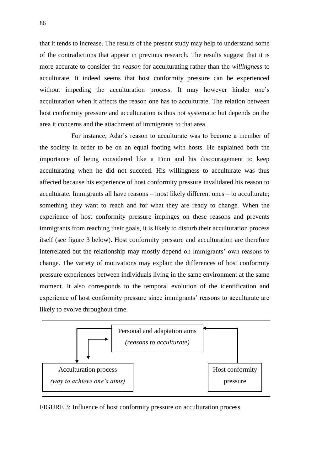that it tends to increase. The results of the present study may help to understand some of the contradictions that appear in previous research. The results suggest that it is more accurate to consider the *reason* for acculturating rather than the *willingness* to acculturate. It indeed seems that host conformity pressure can be experienced without impeding the acculturation process. It may however hinder one's acculturation when it affects the reason one has to acculturate. The relation between host conformity pressure and acculturation is thus not systematic but depends on the area it concerns and the attachment of immigrants to that area.

For instance, Adar's reason to acculturate was to become a member of the society in order to be on an equal footing with hosts. He explained both the importance of being considered like a Finn and his discouragement to keep acculturating when he did not succeed. His willingness to acculturate was thus affected because his experience of host conformity pressure invalidated his reason to acculturate. Immigrants all have reasons – most likely different ones – to acculturate; something they want to reach and for what they are ready to change. When the experience of host conformity pressure impinges on these reasons and prevents immigrants from reaching their goals, it is likely to disturb their acculturation process itself (see figure 3 below). Host conformity pressure and acculturation are therefore interrelated but the relationship may mostly depend on immigrants' own reasons to change. The variety of motivations may explain the differences of host conformity pressure experiences between individuals living in the same environment at the same moment. It also corresponds to the temporal evolution of the identification and experience of host conformity pressure since immigrants' reasons to acculturate are likely to evolve throughout time.



FIGURE 3: Influence of host conformity pressure on acculturation process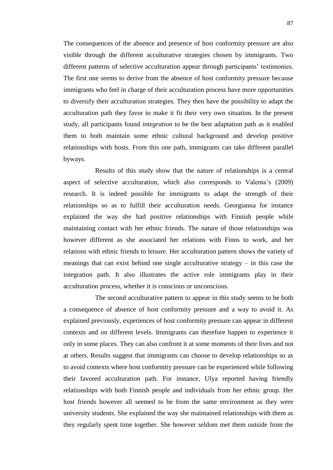The consequences of the absence and presence of host conformity pressure are also visible through the different acculturative strategies chosen by immigrants. Two different patterns of selective acculturation appear through participants' testimonies. The first one seems to derive from the absence of host conformity pressure because immigrants who feel in charge of their acculturation process have more opportunities to diversify their acculturation strategies. They then have the possibility to adapt the acculturation path they favor to make it fit their very own situation. In the present study, all participants found *integration* to be the best adaptation path as it enabled them to both maintain some ethnic cultural background and develop positive relationships with hosts. From this one path, immigrants can take different parallel byways.

Results of this study show that the nature of relationships is a central aspect of selective acculturation, which also corresponds to Valenta's (2009) research. It is indeed possible for immigrants to adapt the strength of their relationships so as to fulfill their acculturation needs. Georgianna for instance explained the way she had positive relationships with Finnish people while maintaining contact with her ethnic friends. The nature of those relationships was however different as she associated her relations with Finns to work, and her relations with ethnic friends to leisure. Her acculturation pattern shows the variety of meanings that can exist behind one single acculturative strategy – in this case the integration path. It also illustrates the active role immigrants play in their acculturation process, whether it is conscious or unconscious.

The second acculturative pattern to appear in this study seems to be both a consequence of absence of host conformity pressure and a way to avoid it. As explained previously, experiences of host conformity pressure can appear in different contexts and on different levels. Immigrants can therefore happen to experience it only in some places. They can also confront it at some moments of their lives and not at others. Results suggest that immigrants can choose to develop relationships so as to avoid contexts where host conformity pressure can be experienced while following their favored acculturation path. For instance, Ulya reported having friendly relationships with both Finnish people and individuals from her ethnic group. Her host friends however all seemed to be from the same environment as they were university students. She explained the way she maintained relationships with them as they regularly spent time together. She however seldom met them outside from the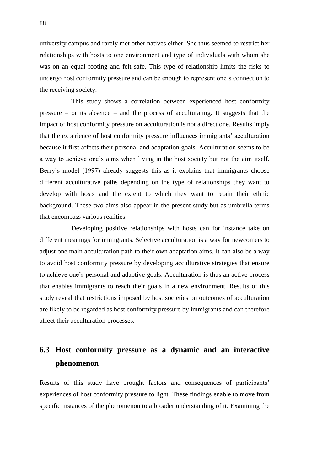university campus and rarely met other natives either. She thus seemed to restrict her relationships with hosts to one environment and type of individuals with whom she was on an equal footing and felt safe. This type of relationship limits the risks to undergo host conformity pressure and can be enough to represent one's connection to the receiving society.

This study shows a correlation between experienced host conformity pressure – or its absence – and the process of acculturating. It suggests that the impact of host conformity pressure on acculturation is not a direct one. Results imply that the experience of host conformity pressure influences immigrants' acculturation because it first affects their personal and adaptation goals. Acculturation seems to be a way to achieve one's aims when living in the host society but not the aim itself. Berry's model (1997) already suggests this as it explains that immigrants choose different acculturative paths depending on the type of relationships they want to develop with hosts and the extent to which they want to retain their ethnic background. These two aims also appear in the present study but as umbrella terms that encompass various realities.

Developing positive relationships with hosts can for instance take on different meanings for immigrants. Selective acculturation is a way for newcomers to adjust one main acculturation path to their own adaptation aims. It can also be a way to avoid host conformity pressure by developing acculturative strategies that ensure to achieve one's personal and adaptive goals. Acculturation is thus an active process that enables immigrants to reach their goals in a new environment. Results of this study reveal that restrictions imposed by host societies on outcomes of acculturation are likely to be regarded as host conformity pressure by immigrants and can therefore affect their acculturation processes.

## **6.3 Host conformity pressure as a dynamic and an interactive phenomenon**

Results of this study have brought factors and consequences of participants' experiences of host conformity pressure to light. These findings enable to move from specific instances of the phenomenon to a broader understanding of it. Examining the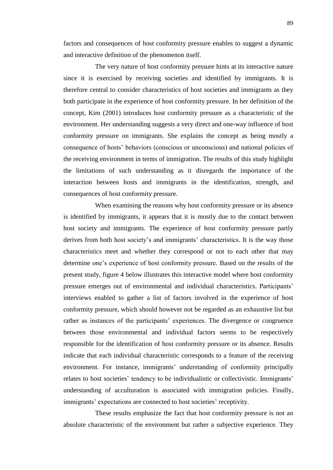The very nature of host conformity pressure hints at its interactive nature since it is exercised by receiving societies and identified by immigrants. It is therefore central to consider characteristics of host societies and immigrants as they both participate in the experience of host conformity pressure. In her definition of the concept, Kim (2001) introduces host conformity pressure as a characteristic of the environment. Her understanding suggests a very direct and one-way influence of host conformity pressure on immigrants. She explains the concept as being mostly a consequence of hosts' behaviors (conscious or unconscious) and national policies of the receiving environment in terms of immigration. The results of this study highlight the limitations of such understanding as it disregards the importance of the interaction between hosts and immigrants in the identification, strength, and consequences of host conformity pressure.

When examining the reasons why host conformity pressure or its absence is identified by immigrants, it appears that it is mostly due to the contact between host society and immigrants. The experience of host conformity pressure partly derives from both host society's and immigrants' characteristics. It is the way those characteristics meet and whether they correspond or not to each other that may determine one's experience of host conformity pressure. Based on the results of the present study, figure 4 below illustrates this interactive model where host conformity pressure emerges out of environmental and individual characteristics. Participants' interviews enabled to gather a list of factors involved in the experience of host conformity pressure, which should however not be regarded as an exhaustive list but rather as instances of the participants' experiences. The divergence or congruence between those environmental and individual factors seems to be respectively responsible for the identification of host conformity pressure or its absence. Results indicate that each individual characteristic corresponds to a feature of the receiving environment. For instance, immigrants' understanding of conformity principally relates to host societies' tendency to be individualistic or collectivistic. Immigrants' understanding of acculturation is associated with immigration policies. Finally, immigrants' expectations are connected to host societies' receptivity.

These results emphasize the fact that host conformity pressure is not an absolute characteristic of the environment but rather a subjective experience. They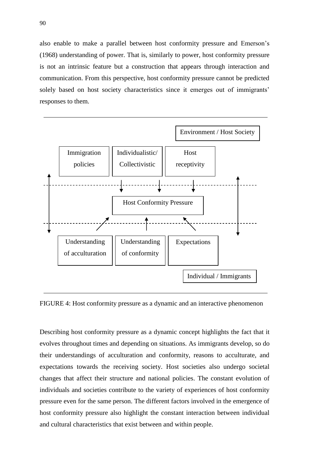also enable to make a parallel between host conformity pressure and Emerson's (1968) understanding of power. That is, similarly to power, host conformity pressure is not an intrinsic feature but a construction that appears through interaction and communication. From this perspective, host conformity pressure cannot be predicted solely based on host society characteristics since it emerges out of immigrants' responses to them.



FIGURE 4: Host conformity pressure as a dynamic and an interactive phenomenon

Describing host conformity pressure as a dynamic concept highlights the fact that it evolves throughout times and depending on situations. As immigrants develop, so do their understandings of acculturation and conformity, reasons to acculturate, and expectations towards the receiving society. Host societies also undergo societal changes that affect their structure and national policies. The constant evolution of individuals and societies contribute to the variety of experiences of host conformity pressure even for the same person. The different factors involved in the emergence of host conformity pressure also highlight the constant interaction between individual and cultural characteristics that exist between and within people.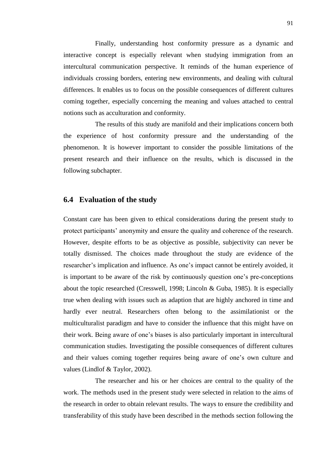Finally, understanding host conformity pressure as a dynamic and interactive concept is especially relevant when studying immigration from an intercultural communication perspective. It reminds of the human experience of individuals crossing borders, entering new environments, and dealing with cultural differences. It enables us to focus on the possible consequences of different cultures coming together, especially concerning the meaning and values attached to central notions such as acculturation and conformity.

The results of this study are manifold and their implications concern both the experience of host conformity pressure and the understanding of the phenomenon. It is however important to consider the possible limitations of the present research and their influence on the results, which is discussed in the following subchapter.

#### **6.4 Evaluation of the study**

Constant care has been given to ethical considerations during the present study to protect participants' anonymity and ensure the quality and coherence of the research. However, despite efforts to be as objective as possible, subjectivity can never be totally dismissed. The choices made throughout the study are evidence of the researcher's implication and influence. As one's impact cannot be entirely avoided, it is important to be aware of the risk by continuously question one's pre-conceptions about the topic researched (Cresswell, 1998; Lincoln & Guba, 1985). It is especially true when dealing with issues such as adaption that are highly anchored in time and hardly ever neutral. Researchers often belong to the assimilationist or the multiculturalist paradigm and have to consider the influence that this might have on their work. Being aware of one's biases is also particularly important in intercultural communication studies. Investigating the possible consequences of different cultures and their values coming together requires being aware of one's own culture and values (Lindlof & Taylor, 2002).

The researcher and his or her choices are central to the quality of the work. The methods used in the present study were selected in relation to the aims of the research in order to obtain relevant results. The ways to ensure the credibility and transferability of this study have been described in the methods section following the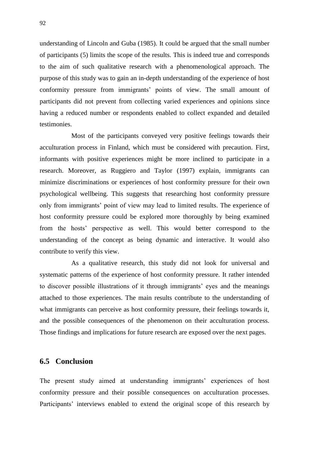understanding of Lincoln and Guba (1985). It could be argued that the small number of participants (5) limits the scope of the results. This is indeed true and corresponds to the aim of such qualitative research with a phenomenological approach. The purpose of this study was to gain an in-depth understanding of the experience of host conformity pressure from immigrants' points of view. The small amount of participants did not prevent from collecting varied experiences and opinions since having a reduced number or respondents enabled to collect expanded and detailed testimonies.

Most of the participants conveyed very positive feelings towards their acculturation process in Finland, which must be considered with precaution. First, informants with positive experiences might be more inclined to participate in a research. Moreover, as Ruggiero and Taylor (1997) explain, immigrants can minimize discriminations or experiences of host conformity pressure for their own psychological wellbeing. This suggests that researching host conformity pressure only from immigrants' point of view may lead to limited results. The experience of host conformity pressure could be explored more thoroughly by being examined from the hosts' perspective as well. This would better correspond to the understanding of the concept as being dynamic and interactive. It would also contribute to verify this view.

As a qualitative research, this study did not look for universal and systematic patterns of the experience of host conformity pressure. It rather intended to discover possible illustrations of it through immigrants' eyes and the meanings attached to those experiences. The main results contribute to the understanding of what immigrants can perceive as host conformity pressure, their feelings towards it, and the possible consequences of the phenomenon on their acculturation process. Those findings and implications for future research are exposed over the next pages.

#### **6.5 Conclusion**

The present study aimed at understanding immigrants' experiences of host conformity pressure and their possible consequences on acculturation processes. Participants' interviews enabled to extend the original scope of this research by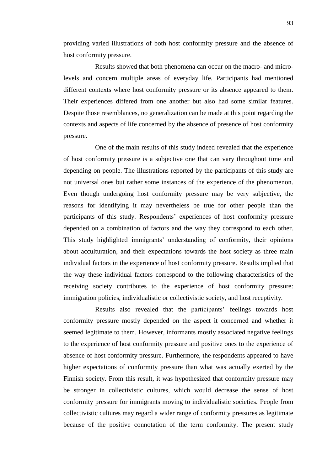providing varied illustrations of both host conformity pressure and the absence of host conformity pressure.

Results showed that both phenomena can occur on the macro- and microlevels and concern multiple areas of everyday life. Participants had mentioned different contexts where host conformity pressure or its absence appeared to them. Their experiences differed from one another but also had some similar features. Despite those resemblances, no generalization can be made at this point regarding the contexts and aspects of life concerned by the absence of presence of host conformity pressure.

One of the main results of this study indeed revealed that the experience of host conformity pressure is a subjective one that can vary throughout time and depending on people. The illustrations reported by the participants of this study are not universal ones but rather some instances of the experience of the phenomenon. Even though undergoing host conformity pressure may be very subjective, the reasons for identifying it may nevertheless be true for other people than the participants of this study. Respondents' experiences of host conformity pressure depended on a combination of factors and the way they correspond to each other. This study highlighted immigrants' understanding of conformity, their opinions about acculturation, and their expectations towards the host society as three main individual factors in the experience of host conformity pressure. Results implied that the way these individual factors correspond to the following characteristics of the receiving society contributes to the experience of host conformity pressure: immigration policies, individualistic or collectivistic society, and host receptivity.

Results also revealed that the participants' feelings towards host conformity pressure mostly depended on the aspect it concerned and whether it seemed legitimate to them. However, informants mostly associated negative feelings to the experience of host conformity pressure and positive ones to the experience of absence of host conformity pressure. Furthermore, the respondents appeared to have higher expectations of conformity pressure than what was actually exerted by the Finnish society. From this result, it was hypothesized that conformity pressure may be stronger in collectivistic cultures, which would decrease the sense of host conformity pressure for immigrants moving to individualistic societies. People from collectivistic cultures may regard a wider range of conformity pressures as legitimate because of the positive connotation of the term conformity. The present study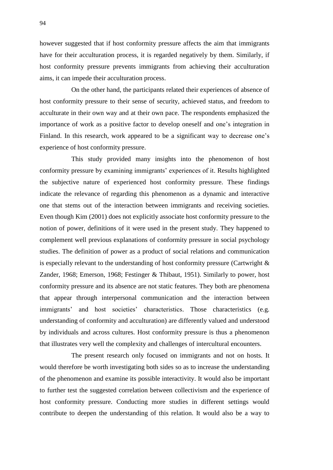however suggested that if host conformity pressure affects the aim that immigrants have for their acculturation process, it is regarded negatively by them. Similarly, if host conformity pressure prevents immigrants from achieving their acculturation aims, it can impede their acculturation process.

On the other hand, the participants related their experiences of absence of host conformity pressure to their sense of security, achieved status, and freedom to acculturate in their own way and at their own pace. The respondents emphasized the importance of work as a positive factor to develop oneself and one's integration in Finland. In this research, work appeared to be a significant way to decrease one's experience of host conformity pressure.

This study provided many insights into the phenomenon of host conformity pressure by examining immigrants' experiences of it. Results highlighted the subjective nature of experienced host conformity pressure. These findings indicate the relevance of regarding this phenomenon as a dynamic and interactive one that stems out of the interaction between immigrants and receiving societies. Even though Kim (2001) does not explicitly associate host conformity pressure to the notion of power, definitions of it were used in the present study. They happened to complement well previous explanations of conformity pressure in social psychology studies. The definition of power as a product of social relations and communication is especially relevant to the understanding of host conformity pressure (Cartwright & Zander, 1968; Emerson, 1968; Festinger & Thibaut, 1951). Similarly to power, host conformity pressure and its absence are not static features. They both are phenomena that appear through interpersonal communication and the interaction between immigrants' and host societies' characteristics. Those characteristics (e.g. understanding of conformity and acculturation) are differently valued and understood by individuals and across cultures. Host conformity pressure is thus a phenomenon that illustrates very well the complexity and challenges of intercultural encounters.

The present research only focused on immigrants and not on hosts. It would therefore be worth investigating both sides so as to increase the understanding of the phenomenon and examine its possible interactivity. It would also be important to further test the suggested correlation between collectivism and the experience of host conformity pressure. Conducting more studies in different settings would contribute to deepen the understanding of this relation. It would also be a way to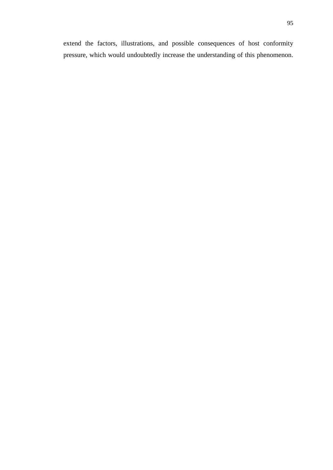extend the factors, illustrations, and possible consequences of host conformity pressure, which would undoubtedly increase the understanding of this phenomenon.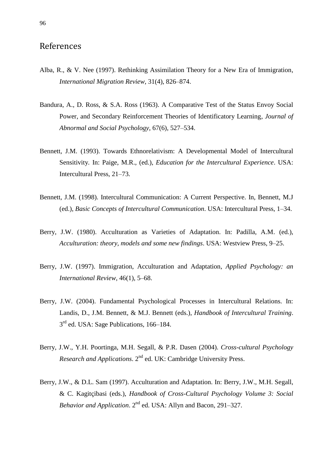### References

- Alba, R., & V. Nee (1997). Rethinking Assimilation Theory for a New Era of Immigration, *International Migration Review*, 31(4), 826–874.
- Bandura, A., D. Ross, & S.A. Ross (1963). A Comparative Test of the Status Envoy Social Power, and Secondary Reinforcement Theories of Identificatory Learning, *Journal of Abnormal and Social Psychology*, 67(6), 527–534.
- Bennett, J.M. (1993). Towards Ethnorelativism: A Developmental Model of Intercultural Sensitivity*.* In: Paige, M.R., (ed.), *Education for the Intercultural Experience*. USA: Intercultural Press, 21–73.
- Bennett, J.M. (1998). Intercultural Communication: A Current Perspective. In, Bennett, M.J (ed.), *Basic Concepts of Intercultural Communication*. USA: Intercultural Press, 1–34.
- Berry, J.W. (1980). Acculturation as Varieties of Adaptation. In: Padilla, A.M. (ed.), *[Acculturation: theory, models and some new findings](https://jykdok.linneanet.fi/cgi-bin/Pwebrecon.cgi?SC=Title&SEQ=20110924155956&PID=muMyjcK0o_sAO2dVIHMyQffpyMoL&SA=Acculturation+:+theory,+models+and+some+new+findings+/)*. USA: Westview Press, 9–25.
- Berry, J.W. (1997). Immigration, Acculturation and Adaptation, *Applied Psychology: an International Review*, 46(1), 5–68.
- Berry, J.W. (2004). Fundamental Psychological Processes in Intercultural Relations. In: Landis, D., J.M. Bennett, & M.J. Bennett (eds.), *Handbook of Intercultural Training*. 3<sup>rd</sup> ed. USA: Sage Publications, 166-184.
- Berry, J.W., Y.H. Poortinga, M.H. Segall, & P.R. Dasen (2004). *Cross-cultural Psychology Research and Applications.* 2<sup>nd</sup> ed. UK: Cambridge University Press.
- Berry, J.W., & D.L. Sam (1997). Acculturation and Adaptation. In: Berry, J.W., M.H. Segall, & C. Kagitçibasi (eds.), *Handbook of Cross-Cultural Psychology Volume 3: Social Behavior and Application.*  $2^{nd}$  ed. USA: Allyn and Bacon, 291–327.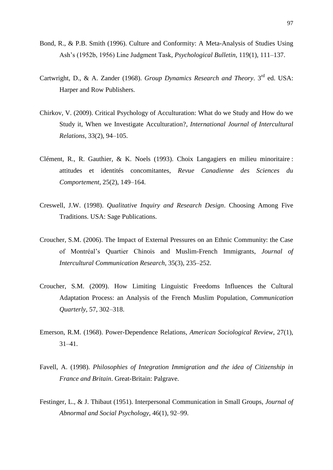- Bond, R., & P.B. Smith (1996). Culture and Conformity: A Meta-Analysis of Studies Using Ash's (1952b, 1956) Line Judgment Task, *Psychological Bulletin*, 119(1), 111–137.
- Cartwright, D., & A. Zander (1968). *Group Dynamics Research and Theory*. 3rd ed. USA: Harper and Row Publishers.
- Chirkov, V. (2009). Critical Psychology of Acculturation: What do we Study and How do we Study it, When we Investigate Acculturation?, *International Journal of Intercultural Relations*, 33(2), 94–105.
- Clément, R., R. Gauthier, & K. Noels (1993). Choix Langagiers en milieu minoritaire : attitudes et identités concomitantes, *Revue Canadienne des Sciences du Comportement*, 25(2), 149–164.
- Creswell, J.W. (1998). *Qualitative Inquiry and Research Design*. Choosing Among Five Traditions. USA: Sage Publications.
- Croucher, S.M. (2006). The Impact of External Pressures on an Ethnic Community: the Case of Montréal's Quartier Chinois and Muslim-French Immigrants, *Journal of Intercultural Communication Research*, 35(3), 235–252.
- Croucher, S.M. (2009). How Limiting Linguistic Freedoms Influences the Cultural Adaptation Process: an Analysis of the French Muslim Population, *Communication Quarterly*, 57, 302–318.
- Emerson, R.M. (1968). Power-Dependence Relations, *American Sociological Review*, 27(1), 31–41.
- Favell, A. (1998). *Philosophies of Integration Immigration and the idea of Citizenship in France and Britain*. Great-Britain: Palgrave.
- Festinger, L., & J. Thibaut (1951). Interpersonal Communication in Small Groups, *Journal of Abnormal and Social Psychology*, 46(1), 92–99.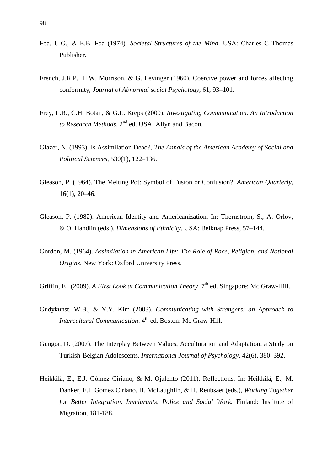- Foa, U.G., & E.B. Foa (1974). *Societal Structures of the Mind*. USA: Charles C Thomas Publisher.
- French, J.R.P., H.W. Morrison, & G. Levinger (1960). Coercive power and forces affecting conformity, *Journal of Abnormal social Psychology*, 61, 93–101.
- Frey, L.R., C.H. Botan, & G.L. Kreps (2000). *Investigating Communication. An Introduction to Research Methods*. 2nd ed. USA: Allyn and Bacon.
- Glazer, N. (1993). Is Assimilation Dead?, *The Annals of the American Academy of Social and Political Sciences*, 530(1), 122–136.
- Gleason, P. (1964). The Melting Pot: Symbol of Fusion or Confusion?, *American Quarterly*, 16(1), 20–46.
- Gleason, P. (1982). American Identity and Americanization. In: Thernstrom, S., A. Orlov, & O. Handlin (eds.), *Dimensions of Ethnicity*. USA: Belknap Press, 57–144.
- Gordon, M. (1964). *Assimilation in American Life: The Role of Race, Religion, and National Origins*. New York: Oxford University Press.
- Griffin, E. (2009). *A First Look at Communication Theory*. 7<sup>th</sup> ed. Singapore: Mc Graw-Hill.
- Gudykunst, W.B., & Y.Y. Kim (2003). *Communicating with Strangers: an Approach to Intercultural Communication*. 4<sup>th</sup> ed. Boston: Mc Graw-Hill.
- Güngör, D. (2007). The Interplay Between Values, Acculturation and Adaptation: a Study on Turkish-Belgian Adolescents, *International Journal of Psychology*, 42(6), 380–392.
- Heikkilä, E., E.J. Gómez Ciriano, & M. Ojalehto (2011). Reflections. In: Heikkilä, E., M. Danker, E.J. Gomez Ciriano, H. McLaughlin, & H. Reubsaet (eds.), *Working Together for Better Integration*. *Immigrants, Police and Social Work.* Finland: Institute of Migration, 181-188.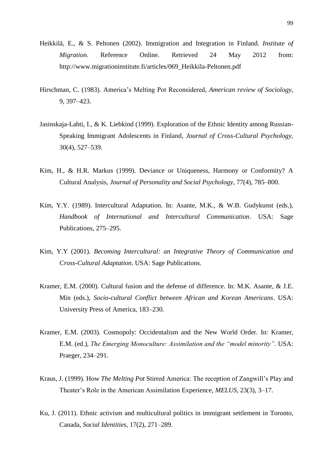- Heikkilä, E., & S. Peltonen (2002). Immigration and Integration in Finland*. Institute of Migration*. Reference Online. Retrieved 24 May 2012 from: http://www.migrationinstitute.fi/articles/069\_Heikkila-Peltonen.pdf
- Hirschman, C. (1983). America's Melting Pot Reconsidered, *American review of Sociology*, 9, 397–423.
- Jasinskaja-Lahti, I., & K. Liebkind (1999). Exploration of the Ethnic Identity among Russian-Speaking Immigrant Adolescents in Finland, *Journal of Cross-Cultural Psychology*, 30(4), 527–539.
- Kim, H., & H.R. Markus (1999). Deviance or Uniqueness, Harmony or Conformity? A Cultural Analysis, *Journal of Personality and Social Psychology*, 77(4), 785–800.
- Kim, Y.Y. (1989). Intercultural Adaptation. In: Asante, M.K., & W.B. Gudykunst (eds.), *Handbook of International and Intercultural Communication*. USA: Sage Publications, 275–295.
- Kim, Y.Y (2001). *Becoming Intercultural: an Integrative Theory of Communication and Cross-Cultural Adaptation*. USA: Sage Publications.
- Kramer, E.M. (2000). Cultural fusion and the defense of difference. In: M.K. Asante, & J.E. Min (eds.), *Socio-cultural Conflict between African and Korean Americans*. USA: University Press of America, 183–230.
- Kramer, E.M. (2003). Cosmopoly: Occidentalism and the New World Order. In: Kramer, E.M. (ed.), *The Emerging Monoculture: Assimilation and the "model minority"*. USA: Praeger, 234–291.
- Kraus, J. (1999). How *The Melting Pot* Stirred America: The reception of Zangwill's Play and Theater's Role in the American Assimilation Experience, *MELUS*, 23(3), 3–17.
- Ku, J. (2011). Ethnic activism and multicultural politics in immigrant settlement in Toronto, Canada, *Social Identities*, 17(2), 271–289.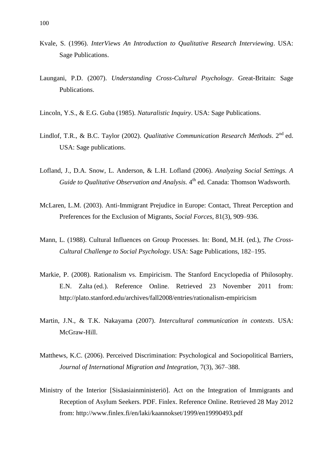- Kvale, S. (1996). *InterViews An Introduction to Qualitative Research Interviewing*. USA: Sage Publications.
- Laungani, P.D. (2007). *Understanding Cross-Cultural Psychology*. Great-Britain: Sage Publications.
- Lincoln, Y.S., & E.G. Guba (1985). *Naturalistic Inquiry*. USA: Sage Publications.
- Lindlof, T.R., & B.C. Taylor (2002). *Qualitative Communication Research Methods*. 2<sup>nd</sup> ed. USA: Sage publications.
- Lofland, J., D.A. Snow, L. Anderson, & L.H. Lofland (2006). *Analyzing Social Settings. A*  Guide to Qualitative Observation and Analysis. 4<sup>th</sup> ed. Canada: Thomson Wadsworth.
- McLaren, L.M. (2003). Anti-Immigrant Prejudice in Europe: Contact, Threat Perception and Preferences for the Exclusion of Migrants, *Social Forces*, 81(3), 909–936.
- Mann, L. (1988). Cultural Influences on Group Processes. In: Bond, M.H. (ed.), *The Cross-Cultural Challenge to Social Psychology*. USA: Sage Publications, 182–195.
- Markie, P. (2008). Rationalism vs. Empiricism. The Stanford Encyclopedia of Philosophy*.* E.N. Zalta (ed.). Reference Online. Retrieved 23 November 2011 from: http://plato.stanford.edu/archives/fall2008/entries/rationalism-empiricism
- Martin, J.N., & T.K. Nakayama (2007). *Intercultural communication in contexts*. USA: McGraw-Hill.
- Matthews, K.C. (2006). Perceived Discrimination: Psychological and Sociopolitical Barriers, *Journal of International Migration and Integration*, 7(3), 367–388.
- Ministry of the Interior [Sisäasiainministeriö]. Act on the Integration of Immigrants and Reception of Asylum Seekers. PDF. Finlex. Reference Online. Retrieved 28 May 2012 from: http://www.finlex.fi/en/laki/kaannokset/1999/en19990493.pdf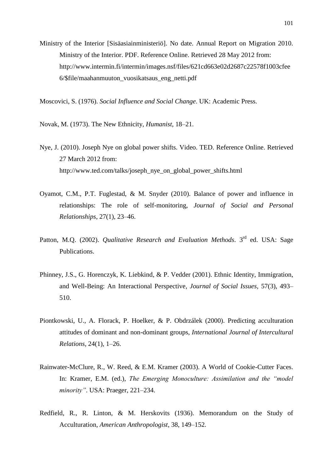Ministry of the Interior [Sisäasiainministeriö]. No date. Annual Report on Migration 2010. Ministry of the Interior. PDF. Reference Online. Retrieved 28 May 2012 from: http://www.intermin.fi/intermin/images.nsf/files/621cd663e02d2687c22578f1003cfee 6/\$file/maahanmuuton\_vuosikatsaus\_eng\_netti.pdf

Moscovici, S. (1976). *Social Influence and Social Change*. UK: Academic Press.

Novak, M. (1973). The New Ethnicity, *Humanist*, 18–21.

- Nye, J. (2010). Joseph Nye on global power shifts. Video. TED. Reference Online. Retrieved 27 March 2012 from: http://www.ted.com/talks/joseph\_nye\_on\_global\_power\_shifts.html
- Oyamot, C.M., P.T. Fuglestad, & M. Snyder (2010). Balance of power and influence in relationships: The role of self-monitoring, *Journal of Social and Personal Relationships*, 27(1), 23–46.
- Patton, M.Q. (2002). *Qualitative Research and Evaluation Methods*. 3<sup>rd</sup> ed. USA: Sage Publications.
- Phinney, J.S., G. Horenczyk, K. Liebkind, & P. Vedder (2001). Ethnic Identity, Immigration, and Well-Being: An Interactional Perspective, *Journal of Social Issues*, 57(3), 493– 510.
- Piontkowski, U., A. Florack, P. Hoelker, & P. Obdrzálek (2000). Predicting acculturation attitudes of dominant and non-dominant groups, *International Journal of Intercultural Relations*, 24(1), 1–26.
- Rainwater-McClure, R., W. Reed, & E.M. Kramer (2003). A World of Cookie-Cutter Faces. In: Kramer, E.M. (ed.), *The Emerging Monoculture: Assimilation and the "model minority"*. USA: Praeger, 221–234.
- Redfield, R., R. Linton, & M. Herskovits (1936). Memorandum on the Study of Acculturation, *American Anthropologist*, 38, 149–152.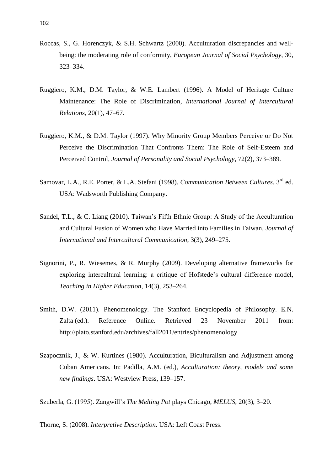- Roccas, S., G. Horenczyk, & S.H. Schwartz (2000). Acculturation discrepancies and wellbeing: the moderating role of conformity, *European Journal of Social Psychology*, 30, 323–334.
- Ruggiero, K.M., D.M. Taylor, & W.E. Lambert (1996). A Model of Heritage Culture Maintenance: The Role of Discrimination, *International Journal of Intercultural Relations*, 20(1), 47–67.
- Ruggiero, K.M., & D.M. Taylor (1997). Why Minority Group Members Perceive or Do Not Perceive the Discrimination That Confronts Them: The Role of Self-Esteem and Perceived Control, *Journal of Personality and Social Psychology*, 72(2), 373–389.
- Samovar, L.A., R.E. Porter, & L.A. Stefani (1998). *Communication Between Cultures*. 3rd ed. USA: Wadsworth Publishing Company.
- Sandel, T.L., & C. Liang (2010). Taiwan's Fifth Ethnic Group: A Study of the Acculturation and Cultural Fusion of Women who Have Married into Families in Taiwan, *Journal of International and Intercultural Communication*, 3(3), 249–275.
- Signorini, P., R. Wiesemes, & R. Murphy (2009). Developing alternative frameworks for exploring intercultural learning: a critique of Hofstede's cultural difference model, *Teaching in Higher Education*, 14(3), 253–264.
- Smith, D.W. (2011). Phenomenology. The Stanford Encyclopedia of Philosophy. E.N. Zalta (ed.). Reference Online. Retrieved 23 November 2011 from: <http://plato.stanford.edu/archives/fall2011/entries/phenomenology>
- Szapocznik, J., & W. Kurtines (1980). Acculturation, Biculturalism and Adjustment among Cuban Americans. In: Padilla, A.M. (ed.), *[Acculturation: theory, models and some](https://jykdok.linneanet.fi/cgi-bin/Pwebrecon.cgi?SC=Title&SEQ=20110924155956&PID=muMyjcK0o_sAO2dVIHMyQffpyMoL&SA=Acculturation+:+theory,+models+and+some+new+findings+/)  [new findings](https://jykdok.linneanet.fi/cgi-bin/Pwebrecon.cgi?SC=Title&SEQ=20110924155956&PID=muMyjcK0o_sAO2dVIHMyQffpyMoL&SA=Acculturation+:+theory,+models+and+some+new+findings+/)*. USA: Westview Press, 139–157.

Szuberla, G. (1995). Zangwill's *The Melting Pot* plays Chicago, *MELUS*, 20(3), 3–20.

Thorne, S. (2008). *Interpretive Description*. USA: Left Coast Press.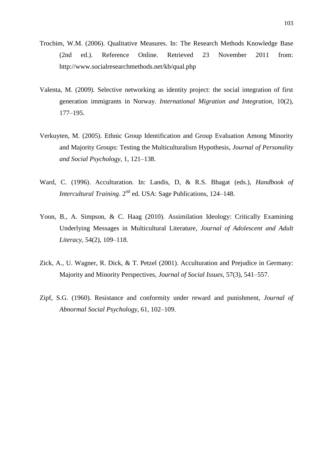- Trochim, W.M. (2006). Qualitative Measures. In: The Research Methods Knowledge Base (2nd ed.). Reference Online. Retrieved 23 November 2011 from: <http://www.socialresearchmethods.net/kb/qual.php>
- Valenta, M. (2009). Selective networking as identity project: the social integration of first generation immigrants in Norway. *International Migration and Integration*, 10(2), 177–195.
- Verkuyten, M. (2005). Ethnic Group Identification and Group Evaluation Among Minority and Majority Groups: Testing the Multiculturalism Hypothesis, *Journal of Personality and Social Psychology*, 1, 121–138.
- Ward, C. (1996). Acculturation. In: Landis, D, & R.S. Bhagat (eds.), *Handbook of Intercultural Training.* 2<sup>nd</sup> ed. USA: Sage Publications, 124–148.
- Yoon, B., A. Simpson, & C. Haag (2010). Assimilation Ideology: Critically Examining Underlying Messages in Multicultural Literature, *Journal of Adolescent and Adult Literacy*, 54(2), 109–118.
- Zick, A., U. Wagner, R. Dick, & T. Petzel (2001). Acculturation and Prejudice in Germany: Majority and Minority Perspectives, *Journal of Social Issues*, 57(3), 541–557.
- Zipf, S.G. (1960). Resistance and conformity under reward and punishment, *Journal of Abnormal Social Psychology*, 61, 102–109.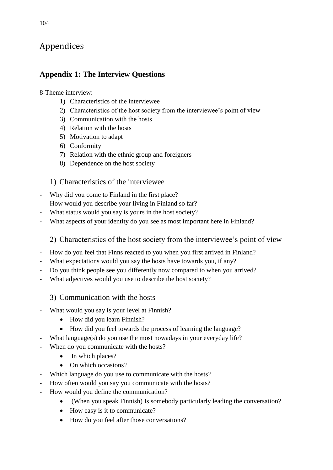# Appendices

## **Appendix 1: The Interview Questions**

#### 8-Theme interview:

- 1) Characteristics of the interviewee
- 2) Characteristics of the host society from the interviewee's point of view
- 3) Communication with the hosts
- 4) Relation with the hosts
- 5) Motivation to adapt
- 6) Conformity
- 7) Relation with the ethnic group and foreigners
- 8) Dependence on the host society

## 1) Characteristics of the interviewee

- Why did you come to Finland in the first place?
- How would you describe your living in Finland so far?
- What status would you say is yours in the host society?
- What aspects of your identity do you see as most important here in Finland?

## 2) Characteristics of the host society from the interviewee's point of view

- How do you feel that Finns reacted to you when you first arrived in Finland?
- What expectations would you say the hosts have towards you, if any?
- Do you think people see you differently now compared to when you arrived?
- What adjectives would you use to describe the host society?

## 3) Communication with the hosts

- What would you say is your level at Finnish?
	- How did you learn Finnish?
	- How did you feel towards the process of learning the language?
- What language(s) do you use the most nowadays in your everyday life?
- When do you communicate with the hosts?
	- In which places?
	- On which occasions?
- Which language do you use to communicate with the hosts?
- How often would you say you communicate with the hosts?
- How would you define the communication?
	- (When you speak Finnish) Is somebody particularly leading the conversation?
	- How easy is it to communicate?
	- How do you feel after those conversations?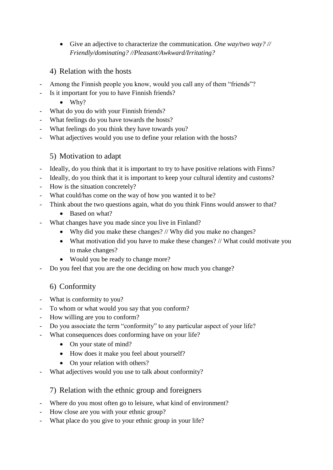- Give an adjective to characterize the communication. *One way/two way? // Friendly/dominating? //Pleasant/Awkward/Irritating?*
- 4) Relation with the hosts
- Among the Finnish people you know, would you call any of them "friends"?
- Is it important for you to have Finnish friends?
	- $\bullet$  Why?
- What do you do with your Finnish friends?
- What feelings do you have towards the hosts?
- What feelings do you think they have towards you?
- What adjectives would you use to define your relation with the hosts?

### 5) Motivation to adapt

- Ideally, do you think that it is important to try to have positive relations with Finns?
- Ideally, do you think that it is important to keep your cultural identity and customs?
- How is the situation concretely?
- What could/has come on the way of how you wanted it to be?
- Think about the two questions again, what do you think Finns would answer to that?
	- Based on what?
- What changes have you made since you live in Finland?
	- Why did you make these changes? // Why did you make no changes?
	- What motivation did you have to make these changes? // What could motivate you to make changes?
	- Would you be ready to change more?
- Do you feel that you are the one deciding on how much you change?

## 6) Conformity

- What is conformity to you?
- To whom or what would you say that you conform?
- How willing are you to conform?
- Do you associate the term "conformity" to any particular aspect of your life?
- What consequences does conforming have on your life?
	- On your state of mind?
	- How does it make you feel about yourself?
	- On your relation with others?
- What adjectives would you use to talk about conformity?

### 7) Relation with the ethnic group and foreigners

- Where do you most often go to leisure, what kind of environment?
- How close are you with your ethnic group?
- What place do you give to your ethnic group in your life?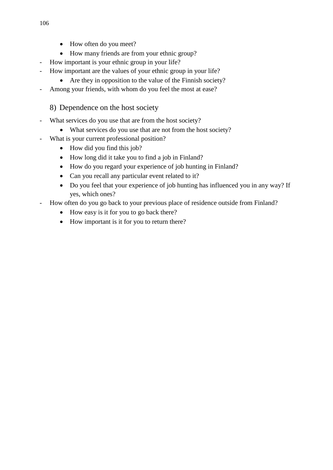- How often do you meet?
- How many friends are from your ethnic group?
- How important is your ethnic group in your life?
- How important are the values of your ethnic group in your life?
	- Are they in opposition to the value of the Finnish society?
- Among your friends, with whom do you feel the most at ease?

## 8) Dependence on the host society

- What services do you use that are from the host society?
	- What services do you use that are not from the host society?
- What is your current professional position?
	- How did you find this job?
	- How long did it take you to find a job in Finland?
	- How do you regard your experience of job hunting in Finland?
	- Can you recall any particular event related to it?
	- Do you feel that your experience of job hunting has influenced you in any way? If yes, which ones?
- How often do you go back to your previous place of residence outside from Finland?
	- How easy is it for you to go back there?
	- How important is it for you to return there?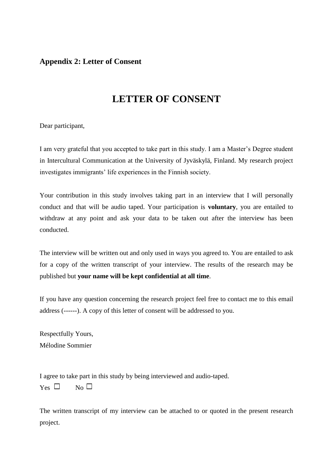### **Appendix 2: Letter of Consent**

# **LETTER OF CONSENT**

Dear participant,

I am very grateful that you accepted to take part in this study. I am a Master's Degree student in Intercultural Communication at the University of Jyväskylä, Finland. My research project investigates immigrants' life experiences in the Finnish society.

Your contribution in this study involves taking part in an interview that I will personally conduct and that will be audio taped. Your participation is **voluntary**, you are entailed to withdraw at any point and ask your data to be taken out after the interview has been conducted.

The interview will be written out and only used in ways you agreed to. You are entailed to ask for a copy of the written transcript of your interview. The results of the research may be published but **your name will be kept confidential at all time**.

If you have any question concerning the research project feel free to contact me to this email address (------). A copy of this letter of consent will be addressed to you.

Respectfully Yours, Mélodine Sommier

I agree to take part in this study by being interviewed and audio-taped.  $Y_{\text{es}} \Box$  No  $\Box$ 

The written transcript of my interview can be attached to or quoted in the present research project.